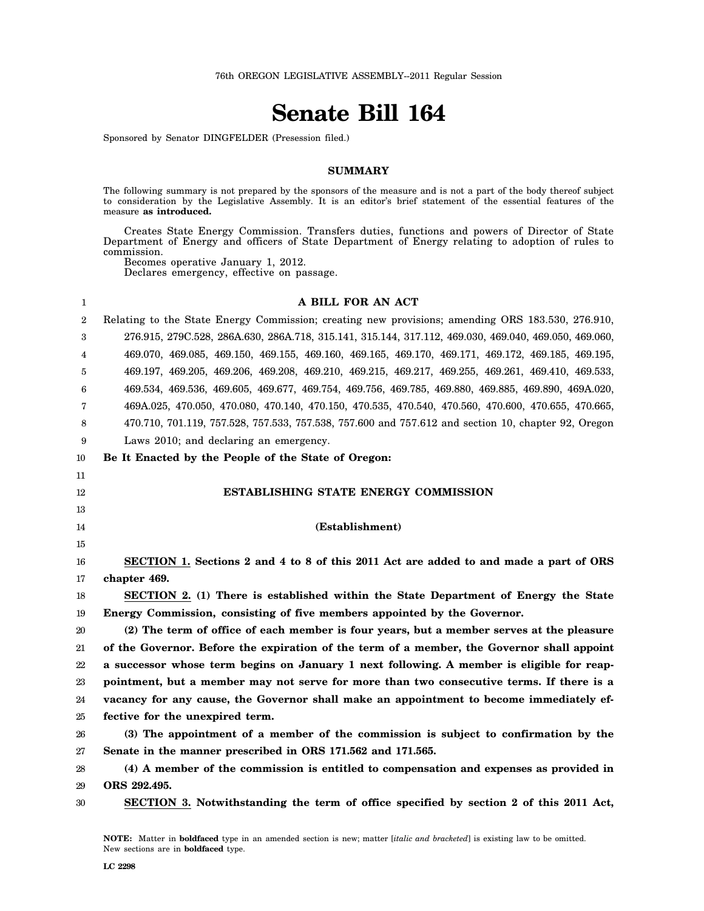# **Senate Bill 164**

Sponsored by Senator DINGFELDER (Presession filed.)

### **SUMMARY**

The following summary is not prepared by the sponsors of the measure and is not a part of the body thereof subject to consideration by the Legislative Assembly. It is an editor's brief statement of the essential features of the measure **as introduced.**

Creates State Energy Commission. Transfers duties, functions and powers of Director of State Department of Energy and officers of State Department of Energy relating to adoption of rules to commission.

Becomes operative January 1, 2012. Declares emergency, effective on passage.

| 1              | A BILL FOR AN ACT                                                                                      |
|----------------|--------------------------------------------------------------------------------------------------------|
| $\overline{2}$ | Relating to the State Energy Commission; creating new provisions; amending ORS 183.530, 276.910,       |
| 3              | 276.915, 279C.528, 286A.630, 286A.718, 315.141, 315.144, 317.112, 469.030, 469.040, 469.050, 469.060,  |
| 4              | 469.070, 469.085, 469.150, 469.155, 469.160, 469.165, 469.170, 469.171, 469.172, 469.185, 469.195,     |
| 5              | 469.197, 469.205, 469.206, 469.208, 469.210, 469.215, 469.217, 469.255, 469.261, 469.410, 469.533,     |
| 6              | 469.534, 469.536, 469.605, 469.677, 469.754, 469.756, 469.785, 469.880, 469.885, 469.890, 469A.020,    |
| 7              | 469A.025, 470.050, 470.080, 470.140, 470.150, 470.535, 470.540, 470.560, 470.600, 470.655, 470.665,    |
| 8              | 470.710, 701.119, 757.528, 757.533, 757.538, 757.600 and 757.612 and section 10, chapter 92, Oregon    |
| 9              | Laws 2010; and declaring an emergency.                                                                 |
| 10             | Be It Enacted by the People of the State of Oregon:                                                    |
| 11             |                                                                                                        |
| 12             | <b>ESTABLISHING STATE ENERGY COMMISSION</b>                                                            |
| 13             |                                                                                                        |
| 14             | (Establishment)                                                                                        |
| 15             |                                                                                                        |
|                |                                                                                                        |
| 16             | SECTION 1. Sections 2 and 4 to 8 of this 2011 Act are added to and made a part of ORS                  |
| 17             | chapter 469.                                                                                           |
| 18             | SECTION 2. (1) There is established within the State Department of Energy the State                    |
| 19             | Energy Commission, consisting of five members appointed by the Governor.                               |
| 20             | (2) The term of office of each member is four years, but a member serves at the pleasure               |
| 21             | of the Governor. Before the expiration of the term of a member, the Governor shall appoint             |
| 22             | a successor whose term begins on January 1 next following. A member is eligible for reap-              |
| 23             | pointment, but a member may not serve for more than two consecutive terms. If there is a               |
| 24             | vacancy for any cause, the Governor shall make an appointment to become immediately ef-                |
| 25             | fective for the unexpired term.                                                                        |
| 26             | (3) The appointment of a member of the commission is subject to confirmation by the                    |
| 27             | Senate in the manner prescribed in ORS 171.562 and 171.565.                                            |
| 28             | (4) A member of the commission is entitled to compensation and expenses as provided in                 |
| 29             | ORS 292.495.<br>SECTION 3. Notwithstanding the term of office specified by section 2 of this 2011 Act, |

**NOTE:** Matter in **boldfaced** type in an amended section is new; matter [*italic and bracketed*] is existing law to be omitted. New sections are in **boldfaced** type.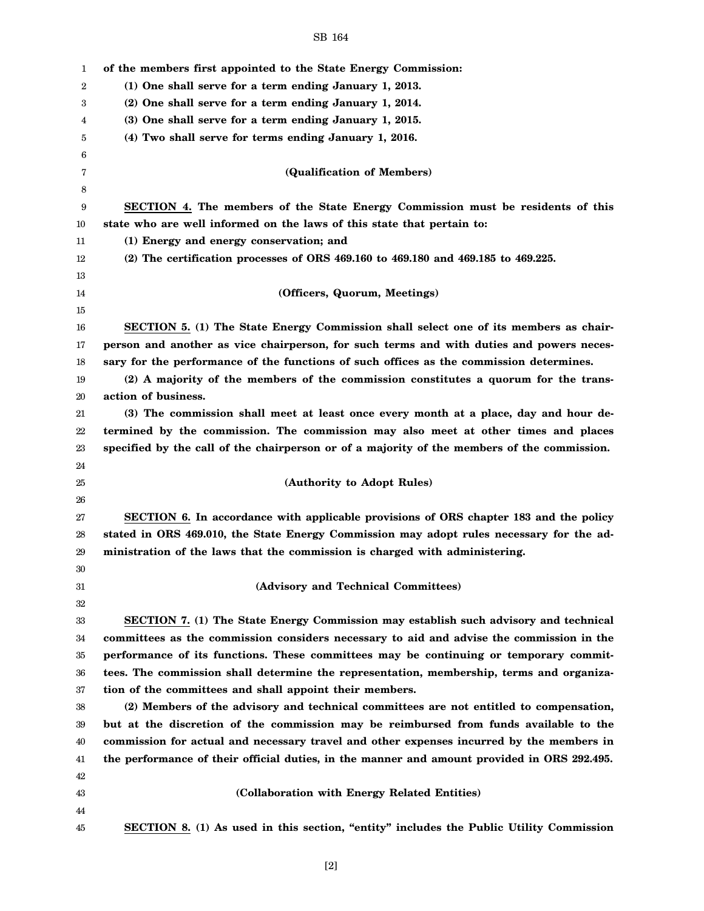| 1  | of the members first appointed to the State Energy Commission:                              |
|----|---------------------------------------------------------------------------------------------|
| 2  | (1) One shall serve for a term ending January 1, 2013.                                      |
| 3  | (2) One shall serve for a term ending January 1, 2014.                                      |
| 4  | (3) One shall serve for a term ending January 1, 2015.                                      |
| 5  | (4) Two shall serve for terms ending January 1, 2016.                                       |
| 6  |                                                                                             |
| 7  | (Qualification of Members)                                                                  |
| 8  |                                                                                             |
| 9  | SECTION 4. The members of the State Energy Commission must be residents of this             |
| 10 | state who are well informed on the laws of this state that pertain to:                      |
| 11 | (1) Energy and energy conservation; and                                                     |
| 12 | $(2)$ The certification processes of ORS 469.160 to 469.180 and 469.185 to 469.225.         |
| 13 |                                                                                             |
| 14 | (Officers, Quorum, Meetings)                                                                |
| 15 |                                                                                             |
| 16 | SECTION 5. (1) The State Energy Commission shall select one of its members as chair-        |
| 17 | person and another as vice chairperson, for such terms and with duties and powers neces-    |
| 18 | sary for the performance of the functions of such offices as the commission determines.     |
| 19 | (2) A majority of the members of the commission constitutes a quorum for the trans-         |
| 20 | action of business.                                                                         |
| 21 | (3) The commission shall meet at least once every month at a place, day and hour de-        |
| 22 | termined by the commission. The commission may also meet at other times and places          |
| 23 | specified by the call of the chairperson or of a majority of the members of the commission. |
| 24 |                                                                                             |
| 25 | (Authority to Adopt Rules)                                                                  |
| 26 |                                                                                             |
| 27 | SECTION 6. In accordance with applicable provisions of ORS chapter 183 and the policy       |
| 28 | stated in ORS 469.010, the State Energy Commission may adopt rules necessary for the ad-    |
| 29 | ministration of the laws that the commission is charged with administering.                 |
| 30 |                                                                                             |
| 31 | (Advisory and Technical Committees)                                                         |
| 32 |                                                                                             |
| 33 | SECTION 7. (1) The State Energy Commission may establish such advisory and technical        |
| 34 | committees as the commission considers necessary to aid and advise the commission in the    |
| 35 | performance of its functions. These committees may be continuing or temporary commit-       |
| 36 | tees. The commission shall determine the representation, membership, terms and organiza-    |
| 37 | tion of the committees and shall appoint their members.                                     |
| 38 | (2) Members of the advisory and technical committees are not entitled to compensation,      |
| 39 | but at the discretion of the commission may be reimbursed from funds available to the       |
| 40 | commission for actual and necessary travel and other expenses incurred by the members in    |
| 41 | the performance of their official duties, in the manner and amount provided in ORS 292.495. |
| 42 |                                                                                             |
| 43 | (Collaboration with Energy Related Entities)                                                |
| 44 |                                                                                             |
| 45 | SECTION 8. (1) As used in this section, "entity" includes the Public Utility Commission     |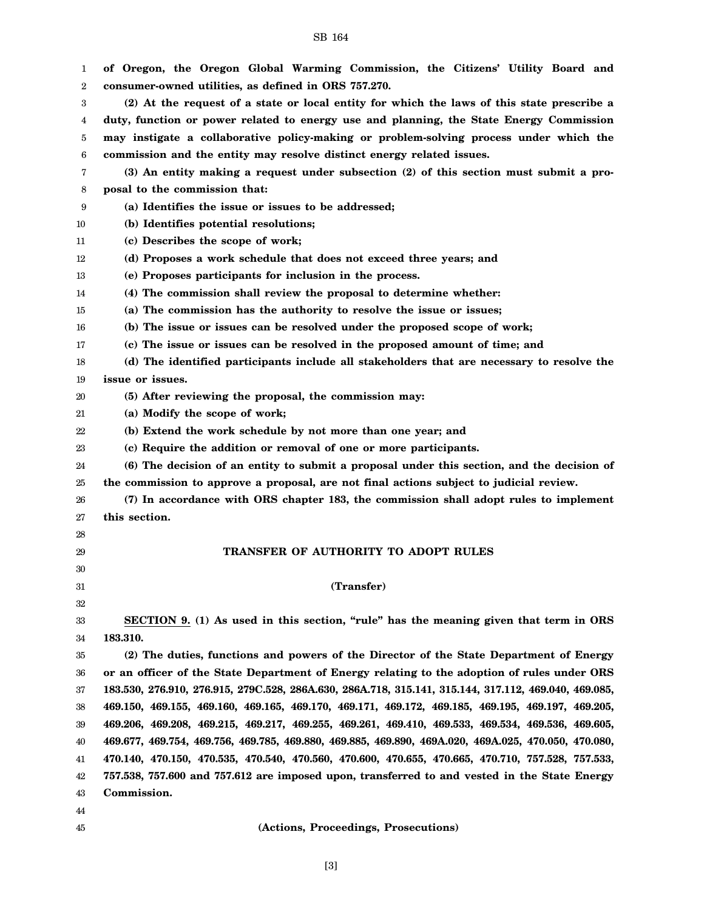1 2 3 4 5 6 7 8 9 10 11 12 13 14 15 16 17 18 19 20 21 22 23 24 25 26 27 28 29 30 31 32 33 34 35 36 37 38 39 40 41 42 43 44 **of Oregon, the Oregon Global Warming Commission, the Citizens' Utility Board and consumer-owned utilities, as defined in ORS 757.270. (2) At the request of a state or local entity for which the laws of this state prescribe a duty, function or power related to energy use and planning, the State Energy Commission may instigate a collaborative policy-making or problem-solving process under which the commission and the entity may resolve distinct energy related issues. (3) An entity making a request under subsection (2) of this section must submit a proposal to the commission that: (a) Identifies the issue or issues to be addressed; (b) Identifies potential resolutions; (c) Describes the scope of work; (d) Proposes a work schedule that does not exceed three years; and (e) Proposes participants for inclusion in the process. (4) The commission shall review the proposal to determine whether: (a) The commission has the authority to resolve the issue or issues; (b) The issue or issues can be resolved under the proposed scope of work; (c) The issue or issues can be resolved in the proposed amount of time; and (d) The identified participants include all stakeholders that are necessary to resolve the issue or issues. (5) After reviewing the proposal, the commission may: (a) Modify the scope of work; (b) Extend the work schedule by not more than one year; and (c) Require the addition or removal of one or more participants. (6) The decision of an entity to submit a proposal under this section, and the decision of the commission to approve a proposal, are not final actions subject to judicial review. (7) In accordance with ORS chapter 183, the commission shall adopt rules to implement this section. TRANSFER OF AUTHORITY TO ADOPT RULES (Transfer) SECTION 9. (1) As used in this section, "rule" has the meaning given that term in ORS 183.310. (2) The duties, functions and powers of the Director of the State Department of Energy or an officer of the State Department of Energy relating to the adoption of rules under ORS 183.530, 276.910, 276.915, 279C.528, 286A.630, 286A.718, 315.141, 315.144, 317.112, 469.040, 469.085, 469.150, 469.155, 469.160, 469.165, 469.170, 469.171, 469.172, 469.185, 469.195, 469.197, 469.205, 469.206, 469.208, 469.215, 469.217, 469.255, 469.261, 469.410, 469.533, 469.534, 469.536, 469.605, 469.677, 469.754, 469.756, 469.785, 469.880, 469.885, 469.890, 469A.020, 469A.025, 470.050, 470.080, 470.140, 470.150, 470.535, 470.540, 470.560, 470.600, 470.655, 470.665, 470.710, 757.528, 757.533, 757.538, 757.600 and 757.612 are imposed upon, transferred to and vested in the State Energy Commission.**

SB 164

45

# **(Actions, Proceedings, Prosecutions)**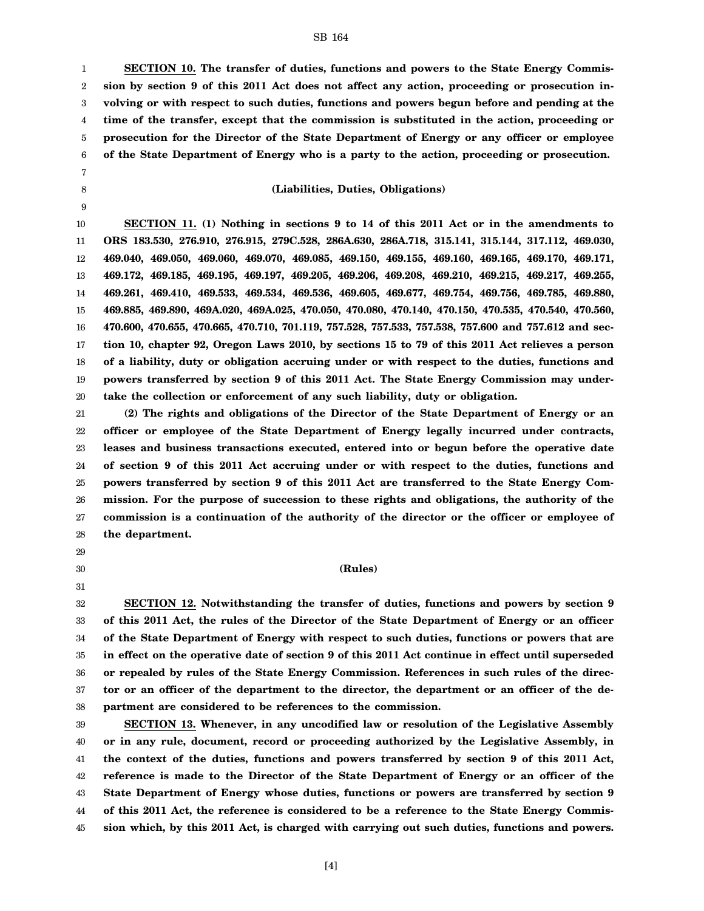1 2 3 4 5 6 **SECTION 10. The transfer of duties, functions and powers to the State Energy Commission by section 9 of this 2011 Act does not affect any action, proceeding or prosecution involving or with respect to such duties, functions and powers begun before and pending at the time of the transfer, except that the commission is substituted in the action, proceeding or prosecution for the Director of the State Department of Energy or any officer or employee of the State Department of Energy who is a party to the action, proceeding or prosecution.**

#### **(Liabilities, Duties, Obligations)**

10 11 12 13 14 15 16 17 18 19 20 **SECTION 11. (1) Nothing in sections 9 to 14 of this 2011 Act or in the amendments to ORS 183.530, 276.910, 276.915, 279C.528, 286A.630, 286A.718, 315.141, 315.144, 317.112, 469.030, 469.040, 469.050, 469.060, 469.070, 469.085, 469.150, 469.155, 469.160, 469.165, 469.170, 469.171, 469.172, 469.185, 469.195, 469.197, 469.205, 469.206, 469.208, 469.210, 469.215, 469.217, 469.255, 469.261, 469.410, 469.533, 469.534, 469.536, 469.605, 469.677, 469.754, 469.756, 469.785, 469.880, 469.885, 469.890, 469A.020, 469A.025, 470.050, 470.080, 470.140, 470.150, 470.535, 470.540, 470.560, 470.600, 470.655, 470.665, 470.710, 701.119, 757.528, 757.533, 757.538, 757.600 and 757.612 and section 10, chapter 92, Oregon Laws 2010, by sections 15 to 79 of this 2011 Act relieves a person of a liability, duty or obligation accruing under or with respect to the duties, functions and powers transferred by section 9 of this 2011 Act. The State Energy Commission may undertake the collection or enforcement of any such liability, duty or obligation.**

21 22 23 24 25 26 27 28 **(2) The rights and obligations of the Director of the State Department of Energy or an officer or employee of the State Department of Energy legally incurred under contracts, leases and business transactions executed, entered into or begun before the operative date of section 9 of this 2011 Act accruing under or with respect to the duties, functions and powers transferred by section 9 of this 2011 Act are transferred to the State Energy Commission. For the purpose of succession to these rights and obligations, the authority of the commission is a continuation of the authority of the director or the officer or employee of the department.**

29

7 8 9

30 31

# **(Rules)**

32 33 34 35 36 37 38 **SECTION 12. Notwithstanding the transfer of duties, functions and powers by section 9 of this 2011 Act, the rules of the Director of the State Department of Energy or an officer of the State Department of Energy with respect to such duties, functions or powers that are in effect on the operative date of section 9 of this 2011 Act continue in effect until superseded or repealed by rules of the State Energy Commission. References in such rules of the director or an officer of the department to the director, the department or an officer of the department are considered to be references to the commission.**

39 40 41 42 43 44 45 **SECTION 13. Whenever, in any uncodified law or resolution of the Legislative Assembly or in any rule, document, record or proceeding authorized by the Legislative Assembly, in the context of the duties, functions and powers transferred by section 9 of this 2011 Act, reference is made to the Director of the State Department of Energy or an officer of the State Department of Energy whose duties, functions or powers are transferred by section 9 of this 2011 Act, the reference is considered to be a reference to the State Energy Commission which, by this 2011 Act, is charged with carrying out such duties, functions and powers.**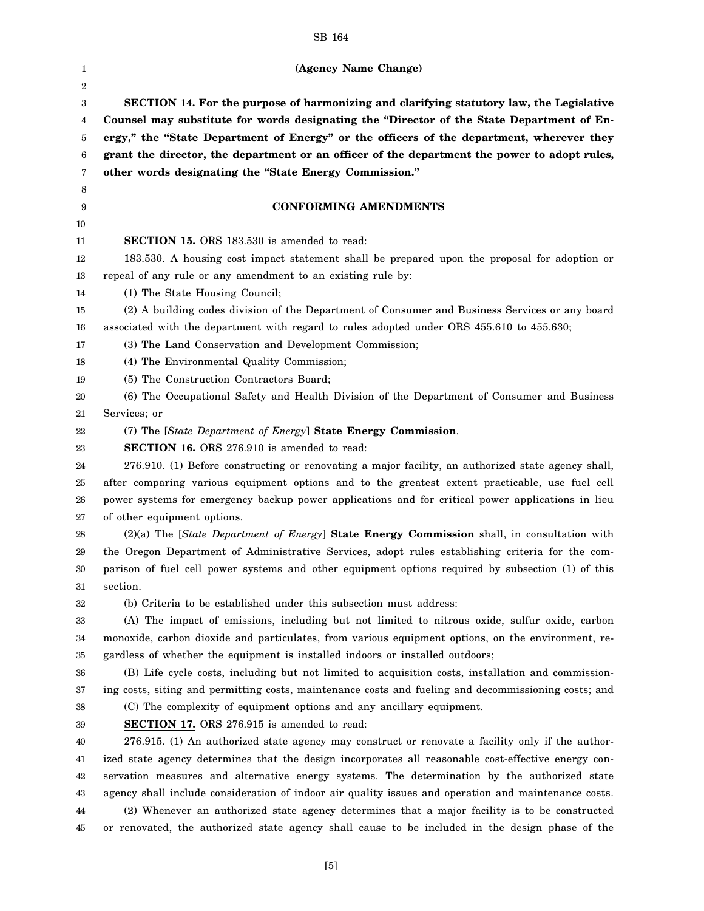| 1        | (Agency Name Change)                                                                                                                                                                                 |
|----------|------------------------------------------------------------------------------------------------------------------------------------------------------------------------------------------------------|
| 2<br>3   | SECTION 14. For the purpose of harmonizing and clarifying statutory law, the Legislative                                                                                                             |
| 4        | Counsel may substitute for words designating the "Director of the State Department of En-                                                                                                            |
| 5        | ergy," the "State Department of Energy" or the officers of the department, wherever they                                                                                                             |
| 6        | grant the director, the department or an officer of the department the power to adopt rules,                                                                                                         |
| 7        | other words designating the "State Energy Commission."                                                                                                                                               |
| 8        |                                                                                                                                                                                                      |
| 9        | <b>CONFORMING AMENDMENTS</b>                                                                                                                                                                         |
| 10       |                                                                                                                                                                                                      |
| 11       | <b>SECTION 15.</b> ORS 183.530 is amended to read:                                                                                                                                                   |
| 12       | 183.530. A housing cost impact statement shall be prepared upon the proposal for adoption or                                                                                                         |
| 13       | repeal of any rule or any amendment to an existing rule by:                                                                                                                                          |
| 14       | (1) The State Housing Council;                                                                                                                                                                       |
| 15       | (2) A building codes division of the Department of Consumer and Business Services or any board                                                                                                       |
| 16       | associated with the department with regard to rules adopted under ORS 455.610 to 455.630;                                                                                                            |
| 17       | (3) The Land Conservation and Development Commission;                                                                                                                                                |
| 18       | (4) The Environmental Quality Commission;                                                                                                                                                            |
| 19       | (5) The Construction Contractors Board;                                                                                                                                                              |
| 20       | (6) The Occupational Safety and Health Division of the Department of Consumer and Business                                                                                                           |
| 21       | Services; or                                                                                                                                                                                         |
| 22       | (7) The [State Department of Energy] State Energy Commission.                                                                                                                                        |
| 23       | <b>SECTION 16.</b> ORS 276.910 is amended to read:                                                                                                                                                   |
| 24       | 276.910. (1) Before constructing or renovating a major facility, an authorized state agency shall,                                                                                                   |
| 25       | after comparing various equipment options and to the greatest extent practicable, use fuel cell                                                                                                      |
| 26       | power systems for emergency backup power applications and for critical power applications in lieu                                                                                                    |
| 27       | of other equipment options.                                                                                                                                                                          |
| 28       | (2)(a) The [State Department of Energy] State Energy Commission shall, in consultation with                                                                                                          |
| 29       | the Oregon Department of Administrative Services, adopt rules establishing criteria for the com-                                                                                                     |
| 30       | parison of fuel cell power systems and other equipment options required by subsection (1) of this                                                                                                    |
| 31       | section.                                                                                                                                                                                             |
| 32       | (b) Criteria to be established under this subsection must address:                                                                                                                                   |
| 33       | (A) The impact of emissions, including but not limited to nitrous oxide, sulfur oxide, carbon                                                                                                        |
| 34       | monoxide, carbon dioxide and particulates, from various equipment options, on the environment, re-                                                                                                   |
| 35       | gardless of whether the equipment is installed indoors or installed outdoors;                                                                                                                        |
| 36       | (B) Life cycle costs, including but not limited to acquisition costs, installation and commission-                                                                                                   |
| 37       | ing costs, siting and permitting costs, maintenance costs and fueling and decommissioning costs; and                                                                                                 |
| 38       | (C) The complexity of equipment options and any ancillary equipment.                                                                                                                                 |
| 39       | <b>SECTION 17.</b> ORS 276.915 is amended to read:                                                                                                                                                   |
| 40       | 276.915. (1) An authorized state agency may construct or renovate a facility only if the author-                                                                                                     |
| 41       | ized state agency determines that the design incorporates all reasonable cost-effective energy con-                                                                                                  |
| 42       | servation measures and alternative energy systems. The determination by the authorized state<br>agency shall include consideration of indoor air quality issues and operation and maintenance costs. |
| 43<br>44 | (2) Whenever an authorized state agency determines that a major facility is to be constructed                                                                                                        |
|          | or renovated, the authorized state agency shall cause to be included in the design phase of the                                                                                                      |
| 45       |                                                                                                                                                                                                      |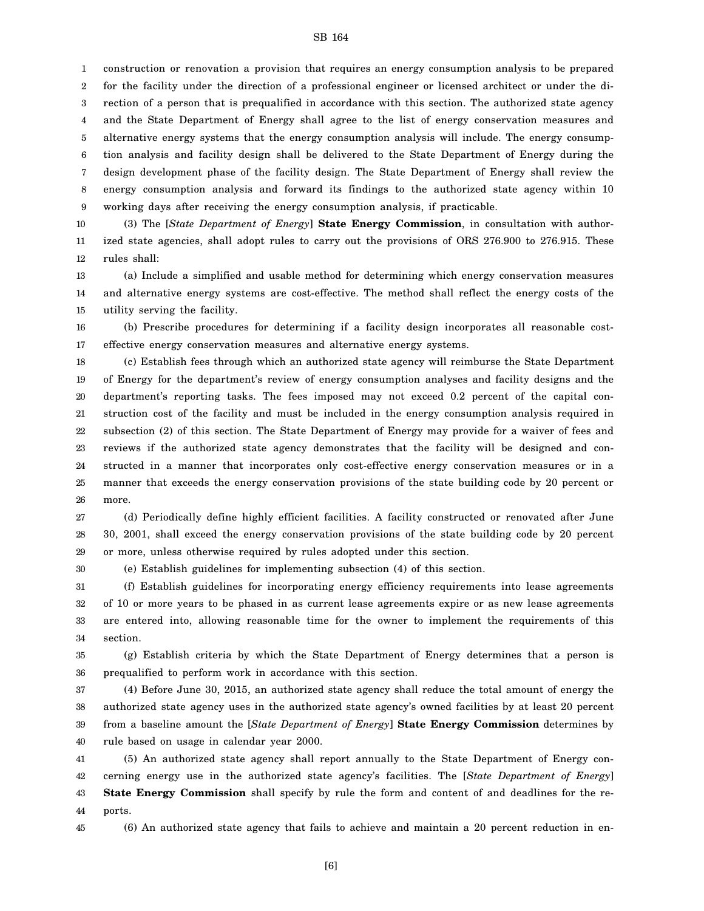construction or renovation a provision that requires an energy consumption analysis to be prepared

2 for the facility under the direction of a professional engineer or licensed architect or under the di-

3 rection of a person that is prequalified in accordance with this section. The authorized state agency

4 and the State Department of Energy shall agree to the list of energy conservation measures and

5 6 7 8 9 alternative energy systems that the energy consumption analysis will include. The energy consumption analysis and facility design shall be delivered to the State Department of Energy during the design development phase of the facility design. The State Department of Energy shall review the energy consumption analysis and forward its findings to the authorized state agency within 10 working days after receiving the energy consumption analysis, if practicable.

10 11 12 (3) The [*State Department of Energy*] **State Energy Commission**, in consultation with authorized state agencies, shall adopt rules to carry out the provisions of ORS 276.900 to 276.915. These rules shall:

13 14 15 (a) Include a simplified and usable method for determining which energy conservation measures and alternative energy systems are cost-effective. The method shall reflect the energy costs of the utility serving the facility.

16 17 (b) Prescribe procedures for determining if a facility design incorporates all reasonable costeffective energy conservation measures and alternative energy systems.

18 19 20 21 22 23 24 25 26 (c) Establish fees through which an authorized state agency will reimburse the State Department of Energy for the department's review of energy consumption analyses and facility designs and the department's reporting tasks. The fees imposed may not exceed 0.2 percent of the capital construction cost of the facility and must be included in the energy consumption analysis required in subsection (2) of this section. The State Department of Energy may provide for a waiver of fees and reviews if the authorized state agency demonstrates that the facility will be designed and constructed in a manner that incorporates only cost-effective energy conservation measures or in a manner that exceeds the energy conservation provisions of the state building code by 20 percent or more.

27 28 29 (d) Periodically define highly efficient facilities. A facility constructed or renovated after June 30, 2001, shall exceed the energy conservation provisions of the state building code by 20 percent or more, unless otherwise required by rules adopted under this section.

(e) Establish guidelines for implementing subsection (4) of this section.

31 32 33 34 (f) Establish guidelines for incorporating energy efficiency requirements into lease agreements of 10 or more years to be phased in as current lease agreements expire or as new lease agreements are entered into, allowing reasonable time for the owner to implement the requirements of this section.

35 36 (g) Establish criteria by which the State Department of Energy determines that a person is prequalified to perform work in accordance with this section.

37 38 39 40 (4) Before June 30, 2015, an authorized state agency shall reduce the total amount of energy the authorized state agency uses in the authorized state agency's owned facilities by at least 20 percent from a baseline amount the [*State Department of Energy*] **State Energy Commission** determines by rule based on usage in calendar year 2000.

41 42 43 44 (5) An authorized state agency shall report annually to the State Department of Energy concerning energy use in the authorized state agency's facilities. The [*State Department of Energy*] **State Energy Commission** shall specify by rule the form and content of and deadlines for the reports.

30

1

45 (6) An authorized state agency that fails to achieve and maintain a 20 percent reduction in en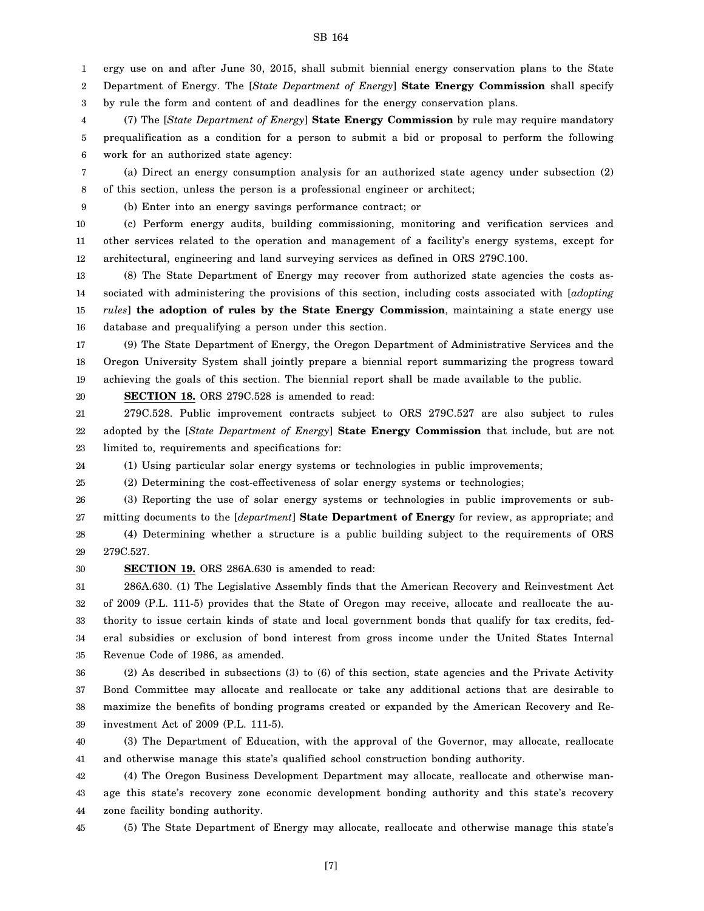ergy use on and after June 30, 2015, shall submit biennial energy conservation plans to the State

2 Department of Energy. The [*State Department of Energy*] **State Energy Commission** shall specify

3 by rule the form and content of and deadlines for the energy conservation plans.

4 5 6 (7) The [*State Department of Energy*] **State Energy Commission** by rule may require mandatory prequalification as a condition for a person to submit a bid or proposal to perform the following work for an authorized state agency:

7 8 (a) Direct an energy consumption analysis for an authorized state agency under subsection (2) of this section, unless the person is a professional engineer or architect;

(b) Enter into an energy savings performance contract; or

10 11 12 (c) Perform energy audits, building commissioning, monitoring and verification services and other services related to the operation and management of a facility's energy systems, except for architectural, engineering and land surveying services as defined in ORS 279C.100.

13 14 15 16 (8) The State Department of Energy may recover from authorized state agencies the costs associated with administering the provisions of this section, including costs associated with [*adopting rules*] **the adoption of rules by the State Energy Commission**, maintaining a state energy use database and prequalifying a person under this section.

17 18 19 (9) The State Department of Energy, the Oregon Department of Administrative Services and the Oregon University System shall jointly prepare a biennial report summarizing the progress toward achieving the goals of this section. The biennial report shall be made available to the public.

**SECTION 18.** ORS 279C.528 is amended to read:

21 22 23 279C.528. Public improvement contracts subject to ORS 279C.527 are also subject to rules adopted by the [*State Department of Energy*] **State Energy Commission** that include, but are not limited to, requirements and specifications for:

24 (1) Using particular solar energy systems or technologies in public improvements;

25 (2) Determining the cost-effectiveness of solar energy systems or technologies;

26 27 28 29 (3) Reporting the use of solar energy systems or technologies in public improvements or submitting documents to the [*department*] **State Department of Energy** for review, as appropriate; and (4) Determining whether a structure is a public building subject to the requirements of ORS 279C.527.

30

1

9

20

**SECTION 19.** ORS 286A.630 is amended to read:

31 32 33 34 35 286A.630. (1) The Legislative Assembly finds that the American Recovery and Reinvestment Act of 2009 (P.L. 111-5) provides that the State of Oregon may receive, allocate and reallocate the authority to issue certain kinds of state and local government bonds that qualify for tax credits, federal subsidies or exclusion of bond interest from gross income under the United States Internal Revenue Code of 1986, as amended.

36 37 38 39 (2) As described in subsections (3) to (6) of this section, state agencies and the Private Activity Bond Committee may allocate and reallocate or take any additional actions that are desirable to maximize the benefits of bonding programs created or expanded by the American Recovery and Reinvestment Act of 2009 (P.L. 111-5).

40 41 (3) The Department of Education, with the approval of the Governor, may allocate, reallocate and otherwise manage this state's qualified school construction bonding authority.

42 43 44 (4) The Oregon Business Development Department may allocate, reallocate and otherwise manage this state's recovery zone economic development bonding authority and this state's recovery zone facility bonding authority.

45

(5) The State Department of Energy may allocate, reallocate and otherwise manage this state's

SB 164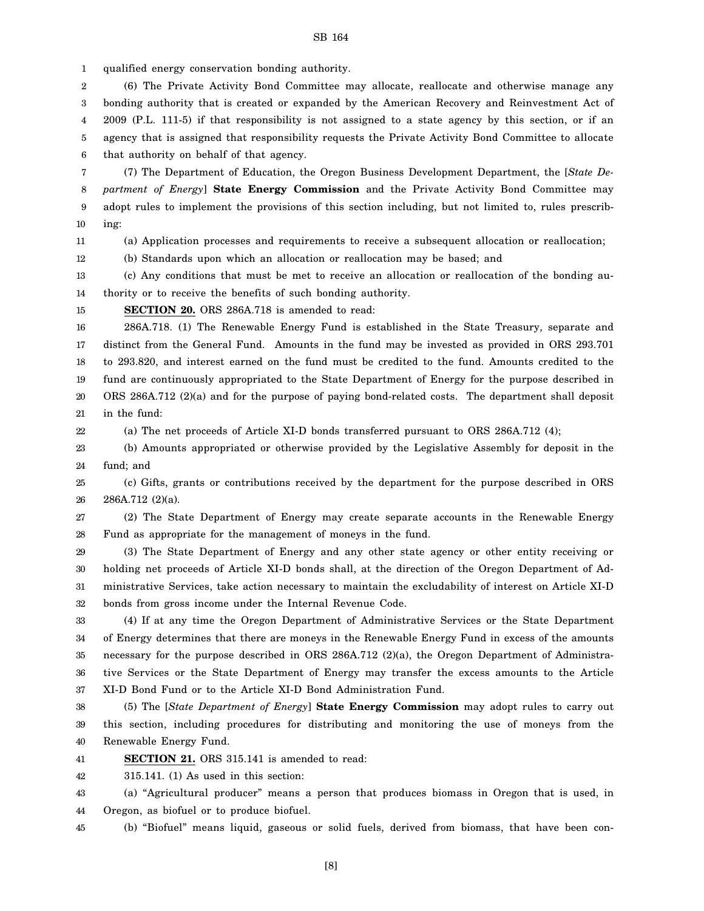1 qualified energy conservation bonding authority.

2 3 4 5 6 (6) The Private Activity Bond Committee may allocate, reallocate and otherwise manage any bonding authority that is created or expanded by the American Recovery and Reinvestment Act of 2009 (P.L. 111-5) if that responsibility is not assigned to a state agency by this section, or if an agency that is assigned that responsibility requests the Private Activity Bond Committee to allocate that authority on behalf of that agency.

7 8 9 10 (7) The Department of Education, the Oregon Business Development Department, the [*State Department of Energy*] **State Energy Commission** and the Private Activity Bond Committee may adopt rules to implement the provisions of this section including, but not limited to, rules prescribing:

11

22

(a) Application processes and requirements to receive a subsequent allocation or reallocation;

12 (b) Standards upon which an allocation or reallocation may be based; and

13 14 (c) Any conditions that must be met to receive an allocation or reallocation of the bonding authority or to receive the benefits of such bonding authority.

15

**SECTION 20.** ORS 286A.718 is amended to read:

16 17 18 19 20 21 286A.718. (1) The Renewable Energy Fund is established in the State Treasury, separate and distinct from the General Fund. Amounts in the fund may be invested as provided in ORS 293.701 to 293.820, and interest earned on the fund must be credited to the fund. Amounts credited to the fund are continuously appropriated to the State Department of Energy for the purpose described in ORS 286A.712 (2)(a) and for the purpose of paying bond-related costs. The department shall deposit in the fund:

(a) The net proceeds of Article XI-D bonds transferred pursuant to ORS 286A.712 (4);

23 24 (b) Amounts appropriated or otherwise provided by the Legislative Assembly for deposit in the fund; and

25 26 (c) Gifts, grants or contributions received by the department for the purpose described in ORS 286A.712 (2)(a).

27 28 (2) The State Department of Energy may create separate accounts in the Renewable Energy Fund as appropriate for the management of moneys in the fund.

29 30 31 32 (3) The State Department of Energy and any other state agency or other entity receiving or holding net proceeds of Article XI-D bonds shall, at the direction of the Oregon Department of Administrative Services, take action necessary to maintain the excludability of interest on Article XI-D bonds from gross income under the Internal Revenue Code.

33 34 35 36 37 (4) If at any time the Oregon Department of Administrative Services or the State Department of Energy determines that there are moneys in the Renewable Energy Fund in excess of the amounts necessary for the purpose described in ORS 286A.712 (2)(a), the Oregon Department of Administrative Services or the State Department of Energy may transfer the excess amounts to the Article XI-D Bond Fund or to the Article XI-D Bond Administration Fund.

38 39 40 (5) The [*State Department of Energy*] **State Energy Commission** may adopt rules to carry out this section, including procedures for distributing and monitoring the use of moneys from the Renewable Energy Fund.

41 **SECTION 21.** ORS 315.141 is amended to read:

42 315.141. (1) As used in this section:

43 44 (a) "Agricultural producer" means a person that produces biomass in Oregon that is used, in Oregon, as biofuel or to produce biofuel.

45 (b) "Biofuel" means liquid, gaseous or solid fuels, derived from biomass, that have been con-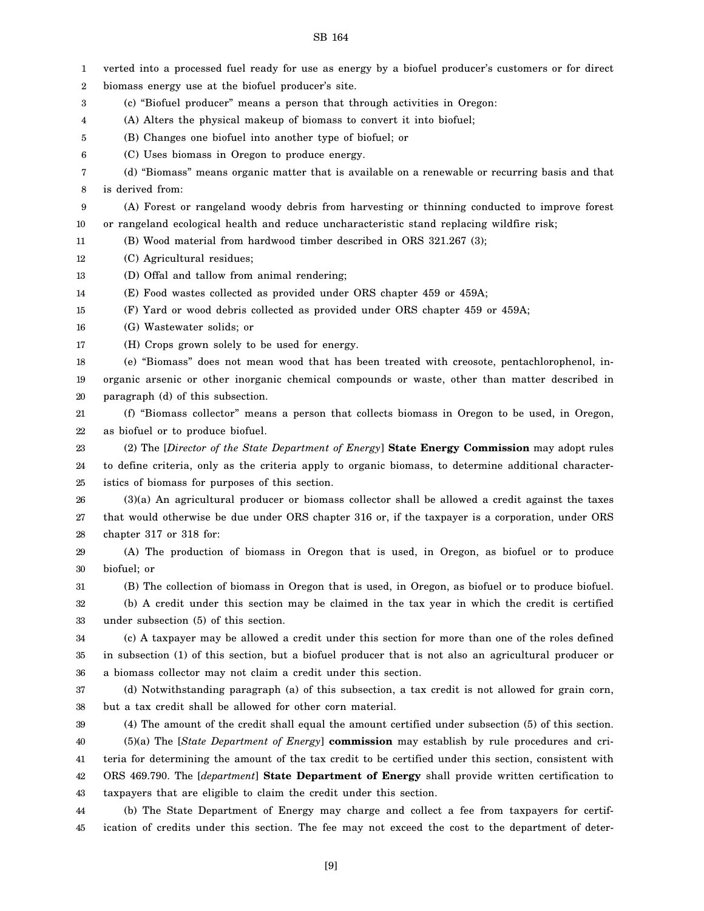| 1                | verted into a processed fuel ready for use as energy by a biofuel producer's customers or for direct    |
|------------------|---------------------------------------------------------------------------------------------------------|
| $\boldsymbol{2}$ | biomass energy use at the biofuel producer's site.                                                      |
| 3                | (c) "Biofuel producer" means a person that through activities in Oregon:                                |
| 4                | (A) Alters the physical makeup of biomass to convert it into biofuel;                                   |
| 5                | (B) Changes one biofuel into another type of biofuel; or                                                |
| 6                | (C) Uses biomass in Oregon to produce energy.                                                           |
| 7                | (d) "Biomass" means organic matter that is available on a renewable or recurring basis and that         |
| 8                | is derived from:                                                                                        |
| 9                | (A) Forest or rangeland woody debris from harvesting or thinning conducted to improve forest            |
| 10               | or rangeland ecological health and reduce uncharacteristic stand replacing wildfire risk;               |
| 11               | (B) Wood material from hardwood timber described in ORS 321.267 (3);                                    |
| 12               | (C) Agricultural residues;                                                                              |
| 13               | (D) Offal and tallow from animal rendering;                                                             |
| 14               | (E) Food wastes collected as provided under ORS chapter 459 or 459A;                                    |
| 15               | (F) Yard or wood debris collected as provided under ORS chapter 459 or 459A;                            |
| 16               | (G) Wastewater solids; or                                                                               |
| 17               | (H) Crops grown solely to be used for energy.                                                           |
| 18               | (e) "Biomass" does not mean wood that has been treated with creosote, pentachlorophenol, in-            |
| 19               | organic arsenic or other inorganic chemical compounds or waste, other than matter described in          |
| 20               | paragraph (d) of this subsection.                                                                       |
| 21               | (f) "Biomass collector" means a person that collects biomass in Oregon to be used, in Oregon,           |
| $22\,$           | as biofuel or to produce biofuel.                                                                       |
| 23               | (2) The [Director of the State Department of Energy] State Energy Commission may adopt rules            |
| 24               | to define criteria, only as the criteria apply to organic biomass, to determine additional character-   |
| 25               | istics of biomass for purposes of this section.                                                         |
| 26               | $(3)(a)$ An agricultural producer or biomass collector shall be allowed a credit against the taxes      |
| 27               | that would otherwise be due under ORS chapter 316 or, if the taxpayer is a corporation, under ORS       |
| 28               | chapter 317 or 318 for:                                                                                 |
| 29               | (A) The production of biomass in Oregon that is used, in Oregon, as biofuel or to produce               |
| 30               | biofuel; or                                                                                             |
| 31               | (B) The collection of biomass in Oregon that is used, in Oregon, as biofuel or to produce biofuel.      |
| 32               | (b) A credit under this section may be claimed in the tax year in which the credit is certified         |
| 33               | under subsection (5) of this section.                                                                   |
| 34               | (c) A taxpayer may be allowed a credit under this section for more than one of the roles defined        |
| 35               | in subsection (1) of this section, but a biofuel producer that is not also an agricultural producer or  |
| 36               | a biomass collector may not claim a credit under this section.                                          |
| 37               | (d) Notwithstanding paragraph (a) of this subsection, a tax credit is not allowed for grain corn,       |
| 38               | but a tax credit shall be allowed for other corn material.                                              |
| 39               | (4) The amount of the credit shall equal the amount certified under subsection (5) of this section.     |
| 40               | $(5)(a)$ The [ <i>State Department of Energy</i> ] commission may establish by rule procedures and cri- |
| 41               | teria for determining the amount of the tax credit to be certified under this section, consistent with  |
| 42               | ORS 469.790. The [department] State Department of Energy shall provide written certification to         |
| 43               | taxpayers that are eligible to claim the credit under this section.                                     |
| 44               | (b) The State Department of Energy may charge and collect a fee from taxpayers for certif-              |
| 45               | ication of credits under this section. The fee may not exceed the cost to the department of deter-      |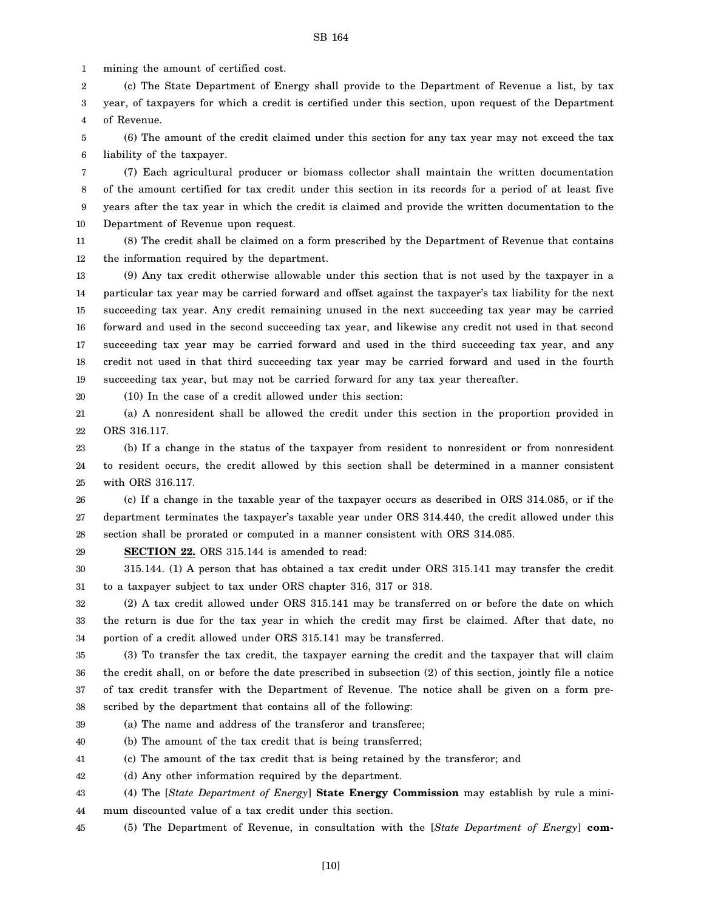1 mining the amount of certified cost.

2 3 4 (c) The State Department of Energy shall provide to the Department of Revenue a list, by tax year, of taxpayers for which a credit is certified under this section, upon request of the Department of Revenue.

5 6 (6) The amount of the credit claimed under this section for any tax year may not exceed the tax liability of the taxpayer.

7 8 9 10 (7) Each agricultural producer or biomass collector shall maintain the written documentation of the amount certified for tax credit under this section in its records for a period of at least five years after the tax year in which the credit is claimed and provide the written documentation to the Department of Revenue upon request.

11 12 (8) The credit shall be claimed on a form prescribed by the Department of Revenue that contains the information required by the department.

13 14 15 16 17 18 19 (9) Any tax credit otherwise allowable under this section that is not used by the taxpayer in a particular tax year may be carried forward and offset against the taxpayer's tax liability for the next succeeding tax year. Any credit remaining unused in the next succeeding tax year may be carried forward and used in the second succeeding tax year, and likewise any credit not used in that second succeeding tax year may be carried forward and used in the third succeeding tax year, and any credit not used in that third succeeding tax year may be carried forward and used in the fourth succeeding tax year, but may not be carried forward for any tax year thereafter.

20

(10) In the case of a credit allowed under this section:

21 22 (a) A nonresident shall be allowed the credit under this section in the proportion provided in ORS 316.117.

23 24 25 (b) If a change in the status of the taxpayer from resident to nonresident or from nonresident to resident occurs, the credit allowed by this section shall be determined in a manner consistent with ORS 316.117.

26 27 28 (c) If a change in the taxable year of the taxpayer occurs as described in ORS 314.085, or if the department terminates the taxpayer's taxable year under ORS 314.440, the credit allowed under this section shall be prorated or computed in a manner consistent with ORS 314.085.

29

**SECTION 22.** ORS 315.144 is amended to read:

30 31 315.144. (1) A person that has obtained a tax credit under ORS 315.141 may transfer the credit to a taxpayer subject to tax under ORS chapter 316, 317 or 318.

32 33 34 (2) A tax credit allowed under ORS 315.141 may be transferred on or before the date on which the return is due for the tax year in which the credit may first be claimed. After that date, no portion of a credit allowed under ORS 315.141 may be transferred.

35 36 37 38 (3) To transfer the tax credit, the taxpayer earning the credit and the taxpayer that will claim the credit shall, on or before the date prescribed in subsection (2) of this section, jointly file a notice of tax credit transfer with the Department of Revenue. The notice shall be given on a form prescribed by the department that contains all of the following:

39 (a) The name and address of the transferor and transferee;

40 (b) The amount of the tax credit that is being transferred;

41 (c) The amount of the tax credit that is being retained by the transferor; and

42 (d) Any other information required by the department.

43 44 (4) The [*State Department of Energy*] **State Energy Commission** may establish by rule a minimum discounted value of a tax credit under this section.

45 (5) The Department of Revenue, in consultation with the [*State Department of Energy*] **com-**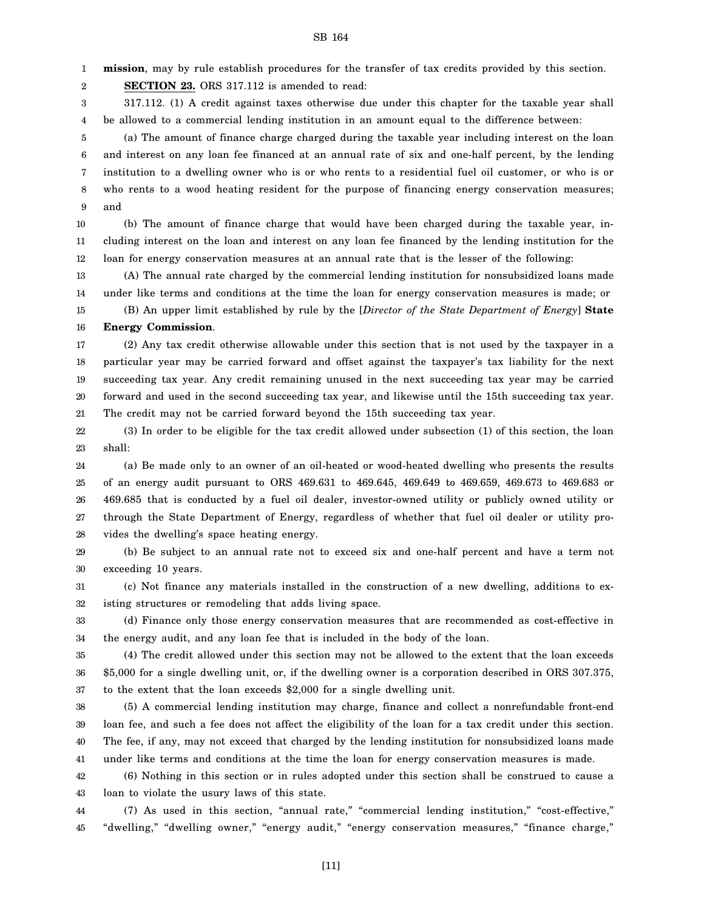1 **mission**, may by rule establish procedures for the transfer of tax credits provided by this section.

2 **SECTION 23.** ORS 317.112 is amended to read:

3 4 317.112. (1) A credit against taxes otherwise due under this chapter for the taxable year shall be allowed to a commercial lending institution in an amount equal to the difference between:

5 6 7 8 9 (a) The amount of finance charge charged during the taxable year including interest on the loan and interest on any loan fee financed at an annual rate of six and one-half percent, by the lending institution to a dwelling owner who is or who rents to a residential fuel oil customer, or who is or who rents to a wood heating resident for the purpose of financing energy conservation measures; and

10 11 12 (b) The amount of finance charge that would have been charged during the taxable year, including interest on the loan and interest on any loan fee financed by the lending institution for the loan for energy conservation measures at an annual rate that is the lesser of the following:

13 14 (A) The annual rate charged by the commercial lending institution for nonsubsidized loans made under like terms and conditions at the time the loan for energy conservation measures is made; or

15 16 (B) An upper limit established by rule by the [*Director of the State Department of Energy*] **State Energy Commission**.

17 18 19 20 21 (2) Any tax credit otherwise allowable under this section that is not used by the taxpayer in a particular year may be carried forward and offset against the taxpayer's tax liability for the next succeeding tax year. Any credit remaining unused in the next succeeding tax year may be carried forward and used in the second succeeding tax year, and likewise until the 15th succeeding tax year. The credit may not be carried forward beyond the 15th succeeding tax year.

22 23 (3) In order to be eligible for the tax credit allowed under subsection (1) of this section, the loan shall:

24 25 26 27 28 (a) Be made only to an owner of an oil-heated or wood-heated dwelling who presents the results of an energy audit pursuant to ORS 469.631 to 469.645, 469.649 to 469.659, 469.673 to 469.683 or 469.685 that is conducted by a fuel oil dealer, investor-owned utility or publicly owned utility or through the State Department of Energy, regardless of whether that fuel oil dealer or utility provides the dwelling's space heating energy.

29 30 (b) Be subject to an annual rate not to exceed six and one-half percent and have a term not exceeding 10 years.

31 32 (c) Not finance any materials installed in the construction of a new dwelling, additions to existing structures or remodeling that adds living space.

33 34 (d) Finance only those energy conservation measures that are recommended as cost-effective in the energy audit, and any loan fee that is included in the body of the loan.

35 36 37 (4) The credit allowed under this section may not be allowed to the extent that the loan exceeds \$5,000 for a single dwelling unit, or, if the dwelling owner is a corporation described in ORS 307.375, to the extent that the loan exceeds \$2,000 for a single dwelling unit.

38 39 40 41 (5) A commercial lending institution may charge, finance and collect a nonrefundable front-end loan fee, and such a fee does not affect the eligibility of the loan for a tax credit under this section. The fee, if any, may not exceed that charged by the lending institution for nonsubsidized loans made under like terms and conditions at the time the loan for energy conservation measures is made.

42 43 (6) Nothing in this section or in rules adopted under this section shall be construed to cause a loan to violate the usury laws of this state.

44 45 (7) As used in this section, "annual rate," "commercial lending institution," "cost-effective," "dwelling," "dwelling owner," "energy audit," "energy conservation measures," "finance charge,"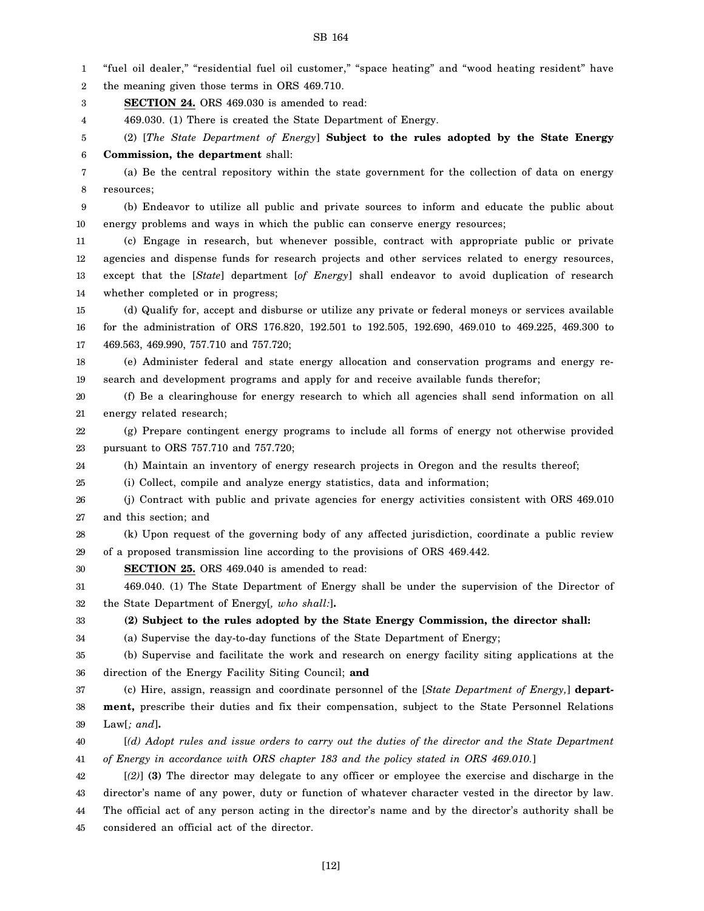1 2 3 4 5 6 7 8 9 10 11 12 13 14 15 16 17 18 19 20 21 22 23 24 25 26 27 28 29 30 31 32 33 34 35 36 37 38 39 40 41 42 43 44 "fuel oil dealer," "residential fuel oil customer," "space heating" and "wood heating resident" have the meaning given those terms in ORS 469.710. **SECTION 24.** ORS 469.030 is amended to read: 469.030. (1) There is created the State Department of Energy. (2) [*The State Department of Energy*] **Subject to the rules adopted by the State Energy Commission, the department** shall: (a) Be the central repository within the state government for the collection of data on energy resources; (b) Endeavor to utilize all public and private sources to inform and educate the public about energy problems and ways in which the public can conserve energy resources; (c) Engage in research, but whenever possible, contract with appropriate public or private agencies and dispense funds for research projects and other services related to energy resources, except that the [*State*] department [*of Energy*] shall endeavor to avoid duplication of research whether completed or in progress; (d) Qualify for, accept and disburse or utilize any private or federal moneys or services available for the administration of ORS 176.820, 192.501 to 192.505, 192.690, 469.010 to 469.225, 469.300 to 469.563, 469.990, 757.710 and 757.720; (e) Administer federal and state energy allocation and conservation programs and energy research and development programs and apply for and receive available funds therefor; (f) Be a clearinghouse for energy research to which all agencies shall send information on all energy related research; (g) Prepare contingent energy programs to include all forms of energy not otherwise provided pursuant to ORS 757.710 and 757.720; (h) Maintain an inventory of energy research projects in Oregon and the results thereof; (i) Collect, compile and analyze energy statistics, data and information; (j) Contract with public and private agencies for energy activities consistent with ORS 469.010 and this section; and (k) Upon request of the governing body of any affected jurisdiction, coordinate a public review of a proposed transmission line according to the provisions of ORS 469.442. **SECTION 25.** ORS 469.040 is amended to read: 469.040. (1) The State Department of Energy shall be under the supervision of the Director of the State Department of Energy[*, who shall:*]**. (2) Subject to the rules adopted by the State Energy Commission, the director shall:** (a) Supervise the day-to-day functions of the State Department of Energy; (b) Supervise and facilitate the work and research on energy facility siting applications at the direction of the Energy Facility Siting Council; **and** (c) Hire, assign, reassign and coordinate personnel of the [*State Department of Energy,*] **department,** prescribe their duties and fix their compensation, subject to the State Personnel Relations Law[*; and*]**.** [*(d) Adopt rules and issue orders to carry out the duties of the director and the State Department of Energy in accordance with ORS chapter 183 and the policy stated in ORS 469.010.*] [*(2)*] **(3)** The director may delegate to any officer or employee the exercise and discharge in the director's name of any power, duty or function of whatever character vested in the director by law. The official act of any person acting in the director's name and by the director's authority shall be

45 considered an official act of the director.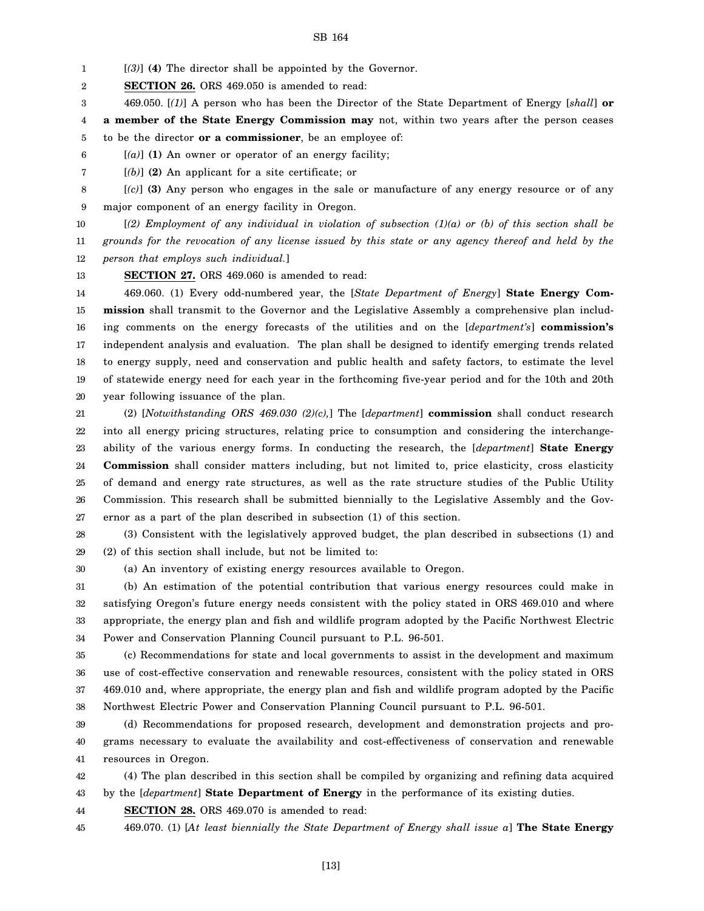1 [*(3)*] **(4)** The director shall be appointed by the Governor.

2 **SECTION 26.** ORS 469.050 is amended to read:

3 469.050. [*(1)*] A person who has been the Director of the State Department of Energy [*shall*] **or**

4 5 **a member of the State Energy Commission may** not, within two years after the person ceases to be the director **or a commissioner**, be an employee of:

6 [*(a)*] **(1)** An owner or operator of an energy facility;

7 [*(b)*] **(2)** An applicant for a site certificate; or

8 9 [*(c)*] **(3)** Any person who engages in the sale or manufacture of any energy resource or of any major component of an energy facility in Oregon.

10 11 12 [*(2) Employment of any individual in violation of subsection (1)(a) or (b) of this section shall be grounds for the revocation of any license issued by this state or any agency thereof and held by the person that employs such individual.*]

13 **SECTION 27.** ORS 469.060 is amended to read:

14 15 16 17 18 19 20 469.060. (1) Every odd-numbered year, the [*State Department of Energy*] **State Energy Commission** shall transmit to the Governor and the Legislative Assembly a comprehensive plan including comments on the energy forecasts of the utilities and on the [*department's*] **commission's** independent analysis and evaluation. The plan shall be designed to identify emerging trends related to energy supply, need and conservation and public health and safety factors, to estimate the level of statewide energy need for each year in the forthcoming five-year period and for the 10th and 20th year following issuance of the plan.

21 22 23 24 25 26 27 (2) [*Notwithstanding ORS 469.030 (2)(c),*] The [*department*] **commission** shall conduct research into all energy pricing structures, relating price to consumption and considering the interchangeability of the various energy forms. In conducting the research, the [*department*] **State Energy Commission** shall consider matters including, but not limited to, price elasticity, cross elasticity of demand and energy rate structures, as well as the rate structure studies of the Public Utility Commission. This research shall be submitted biennially to the Legislative Assembly and the Governor as a part of the plan described in subsection (1) of this section.

28 29 (3) Consistent with the legislatively approved budget, the plan described in subsections (1) and (2) of this section shall include, but not be limited to:

30

(a) An inventory of existing energy resources available to Oregon.

31 32 33 34 (b) An estimation of the potential contribution that various energy resources could make in satisfying Oregon's future energy needs consistent with the policy stated in ORS 469.010 and where appropriate, the energy plan and fish and wildlife program adopted by the Pacific Northwest Electric Power and Conservation Planning Council pursuant to P.L. 96-501.

35 36 37 38 (c) Recommendations for state and local governments to assist in the development and maximum use of cost-effective conservation and renewable resources, consistent with the policy stated in ORS 469.010 and, where appropriate, the energy plan and fish and wildlife program adopted by the Pacific Northwest Electric Power and Conservation Planning Council pursuant to P.L. 96-501.

39 40 41 (d) Recommendations for proposed research, development and demonstration projects and programs necessary to evaluate the availability and cost-effectiveness of conservation and renewable resources in Oregon.

42 (4) The plan described in this section shall be compiled by organizing and refining data acquired

43 by the [*department*] **State Department of Energy** in the performance of its existing duties.

44 **SECTION 28.** ORS 469.070 is amended to read:

45 469.070. (1) [*At least biennially the State Department of Energy shall issue a*] **The State Energy**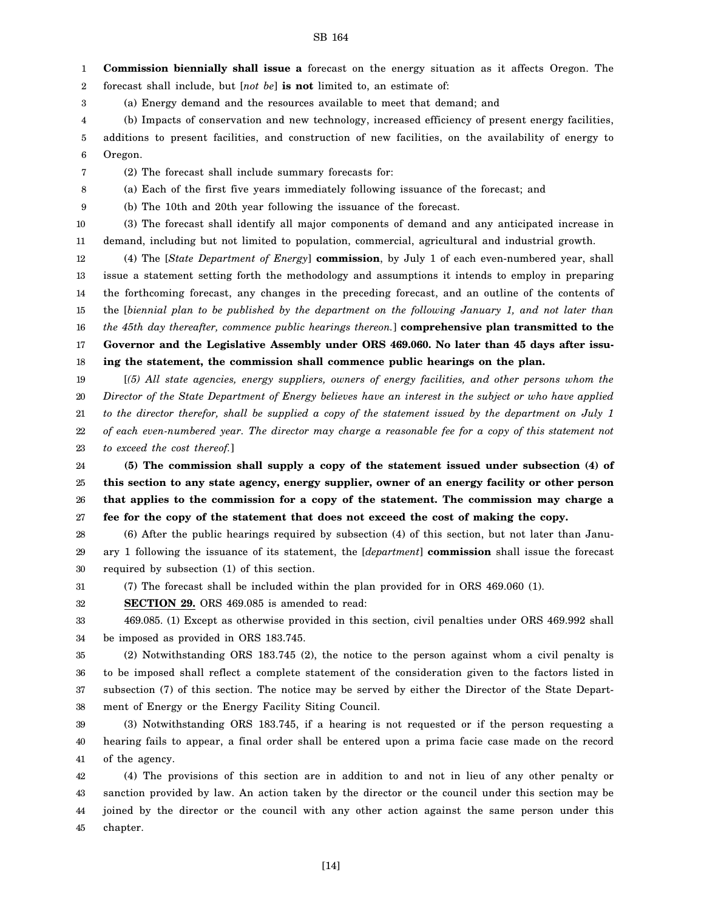1 2 **Commission biennially shall issue a** forecast on the energy situation as it affects Oregon. The forecast shall include, but [*not be*] **is not** limited to, an estimate of:

3 (a) Energy demand and the resources available to meet that demand; and

4 (b) Impacts of conservation and new technology, increased efficiency of present energy facilities,

5 6 additions to present facilities, and construction of new facilities, on the availability of energy to Oregon.

7 (2) The forecast shall include summary forecasts for:

8 (a) Each of the first five years immediately following issuance of the forecast; and

9 (b) The 10th and 20th year following the issuance of the forecast.

10 11 (3) The forecast shall identify all major components of demand and any anticipated increase in demand, including but not limited to population, commercial, agricultural and industrial growth.

12 13 14 15 16 17 18 (4) The [*State Department of Energy*] **commission**, by July 1 of each even-numbered year, shall issue a statement setting forth the methodology and assumptions it intends to employ in preparing the forthcoming forecast, any changes in the preceding forecast, and an outline of the contents of the [*biennial plan to be published by the department on the following January 1, and not later than the 45th day thereafter, commence public hearings thereon.*] **comprehensive plan transmitted to the Governor and the Legislative Assembly under ORS 469.060. No later than 45 days after issuing the statement, the commission shall commence public hearings on the plan.**

19 20 21 22 23 [*(5) All state agencies, energy suppliers, owners of energy facilities, and other persons whom the Director of the State Department of Energy believes have an interest in the subject or who have applied to the director therefor, shall be supplied a copy of the statement issued by the department on July 1 of each even-numbered year. The director may charge a reasonable fee for a copy of this statement not to exceed the cost thereof.*]

24 25 26 27 **(5) The commission shall supply a copy of the statement issued under subsection (4) of this section to any state agency, energy supplier, owner of an energy facility or other person that applies to the commission for a copy of the statement. The commission may charge a fee for the copy of the statement that does not exceed the cost of making the copy.**

28 29 30 (6) After the public hearings required by subsection (4) of this section, but not later than January 1 following the issuance of its statement, the [*department*] **commission** shall issue the forecast required by subsection (1) of this section.

31 (7) The forecast shall be included within the plan provided for in ORS 469.060 (1).

32 **SECTION 29.** ORS 469.085 is amended to read:

33 34 469.085. (1) Except as otherwise provided in this section, civil penalties under ORS 469.992 shall be imposed as provided in ORS 183.745.

35 36 37 38 (2) Notwithstanding ORS 183.745 (2), the notice to the person against whom a civil penalty is to be imposed shall reflect a complete statement of the consideration given to the factors listed in subsection (7) of this section. The notice may be served by either the Director of the State Department of Energy or the Energy Facility Siting Council.

39 40 41 (3) Notwithstanding ORS 183.745, if a hearing is not requested or if the person requesting a hearing fails to appear, a final order shall be entered upon a prima facie case made on the record of the agency.

42 43 44 45 (4) The provisions of this section are in addition to and not in lieu of any other penalty or sanction provided by law. An action taken by the director or the council under this section may be joined by the director or the council with any other action against the same person under this chapter.

[14]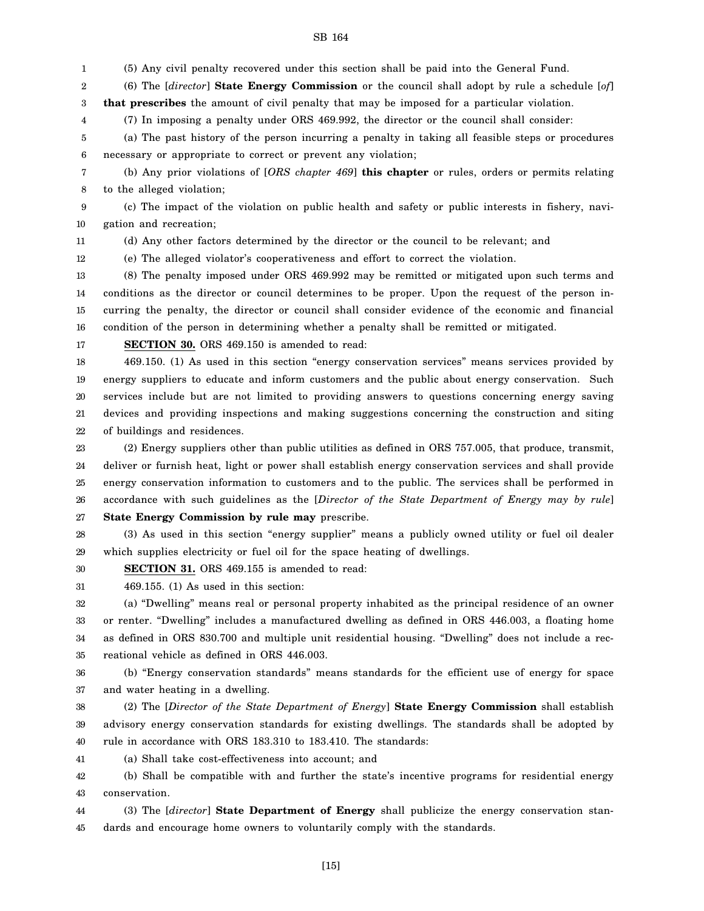1 (5) Any civil penalty recovered under this section shall be paid into the General Fund.

2 3 (6) The [*director*] **State Energy Commission** or the council shall adopt by rule a schedule [*of*] **that prescribes** the amount of civil penalty that may be imposed for a particular violation.

4 (7) In imposing a penalty under ORS 469.992, the director or the council shall consider:

5 6 (a) The past history of the person incurring a penalty in taking all feasible steps or procedures necessary or appropriate to correct or prevent any violation;

7 8 (b) Any prior violations of [*ORS chapter 469*] **this chapter** or rules, orders or permits relating to the alleged violation;

9 10 (c) The impact of the violation on public health and safety or public interests in fishery, navigation and recreation;

11

(d) Any other factors determined by the director or the council to be relevant; and

12 (e) The alleged violator's cooperativeness and effort to correct the violation.

13 14 15 16 (8) The penalty imposed under ORS 469.992 may be remitted or mitigated upon such terms and conditions as the director or council determines to be proper. Upon the request of the person incurring the penalty, the director or council shall consider evidence of the economic and financial condition of the person in determining whether a penalty shall be remitted or mitigated.

17

**SECTION 30.** ORS 469.150 is amended to read:

18 19 20 21 22 469.150. (1) As used in this section "energy conservation services" means services provided by energy suppliers to educate and inform customers and the public about energy conservation. Such services include but are not limited to providing answers to questions concerning energy saving devices and providing inspections and making suggestions concerning the construction and siting of buildings and residences.

23 24 25 26 27 (2) Energy suppliers other than public utilities as defined in ORS 757.005, that produce, transmit, deliver or furnish heat, light or power shall establish energy conservation services and shall provide energy conservation information to customers and to the public. The services shall be performed in accordance with such guidelines as the [*Director of the State Department of Energy may by rule*] **State Energy Commission by rule may** prescribe.

28 29 (3) As used in this section "energy supplier" means a publicly owned utility or fuel oil dealer which supplies electricity or fuel oil for the space heating of dwellings.

30 **SECTION 31.** ORS 469.155 is amended to read:

31 469.155. (1) As used in this section:

32 33 34 35 (a) "Dwelling" means real or personal property inhabited as the principal residence of an owner or renter. "Dwelling" includes a manufactured dwelling as defined in ORS 446.003, a floating home as defined in ORS 830.700 and multiple unit residential housing. "Dwelling" does not include a recreational vehicle as defined in ORS 446.003.

36 37 (b) "Energy conservation standards" means standards for the efficient use of energy for space and water heating in a dwelling.

38 39 40 (2) The [*Director of the State Department of Energy*] **State Energy Commission** shall establish advisory energy conservation standards for existing dwellings. The standards shall be adopted by rule in accordance with ORS 183.310 to 183.410. The standards:

41 (a) Shall take cost-effectiveness into account; and

42 43 (b) Shall be compatible with and further the state's incentive programs for residential energy conservation.

44 45 (3) The [*director*] **State Department of Energy** shall publicize the energy conservation standards and encourage home owners to voluntarily comply with the standards.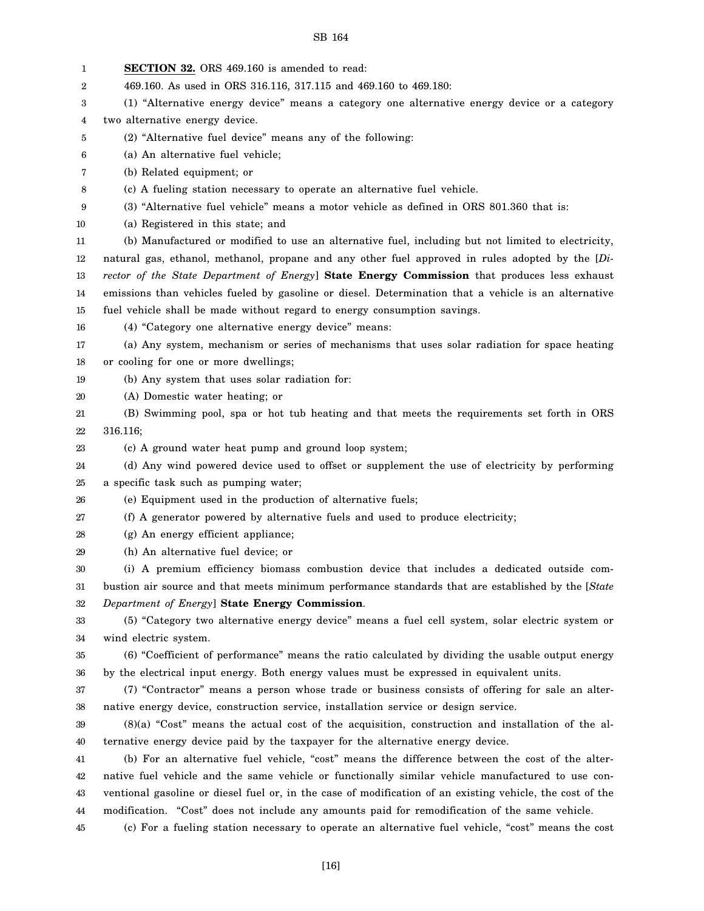1 2 3 4 5 6 7 8 9 10 11 12 13 14 15 16 17 18 19 20 21 22 23 24 25 26 27 28 29 30 31 32 33 34 35 36 37 38 39 40 41 42 43 44 45 **SECTION 32.** ORS 469.160 is amended to read: 469.160. As used in ORS 316.116, 317.115 and 469.160 to 469.180: (1) "Alternative energy device" means a category one alternative energy device or a category two alternative energy device. (2) "Alternative fuel device" means any of the following: (a) An alternative fuel vehicle; (b) Related equipment; or (c) A fueling station necessary to operate an alternative fuel vehicle. (3) "Alternative fuel vehicle" means a motor vehicle as defined in ORS 801.360 that is: (a) Registered in this state; and (b) Manufactured or modified to use an alternative fuel, including but not limited to electricity, natural gas, ethanol, methanol, propane and any other fuel approved in rules adopted by the [*Director of the State Department of Energy*] **State Energy Commission** that produces less exhaust emissions than vehicles fueled by gasoline or diesel. Determination that a vehicle is an alternative fuel vehicle shall be made without regard to energy consumption savings. (4) "Category one alternative energy device" means: (a) Any system, mechanism or series of mechanisms that uses solar radiation for space heating or cooling for one or more dwellings; (b) Any system that uses solar radiation for: (A) Domestic water heating; or (B) Swimming pool, spa or hot tub heating and that meets the requirements set forth in ORS 316.116; (c) A ground water heat pump and ground loop system; (d) Any wind powered device used to offset or supplement the use of electricity by performing a specific task such as pumping water; (e) Equipment used in the production of alternative fuels; (f) A generator powered by alternative fuels and used to produce electricity; (g) An energy efficient appliance; (h) An alternative fuel device; or (i) A premium efficiency biomass combustion device that includes a dedicated outside combustion air source and that meets minimum performance standards that are established by the [*State Department of Energy*] **State Energy Commission**. (5) "Category two alternative energy device" means a fuel cell system, solar electric system or wind electric system. (6) "Coefficient of performance" means the ratio calculated by dividing the usable output energy by the electrical input energy. Both energy values must be expressed in equivalent units. (7) "Contractor" means a person whose trade or business consists of offering for sale an alternative energy device, construction service, installation service or design service. (8)(a) "Cost" means the actual cost of the acquisition, construction and installation of the alternative energy device paid by the taxpayer for the alternative energy device. (b) For an alternative fuel vehicle, "cost" means the difference between the cost of the alternative fuel vehicle and the same vehicle or functionally similar vehicle manufactured to use conventional gasoline or diesel fuel or, in the case of modification of an existing vehicle, the cost of the modification. "Cost" does not include any amounts paid for remodification of the same vehicle. (c) For a fueling station necessary to operate an alternative fuel vehicle, "cost" means the cost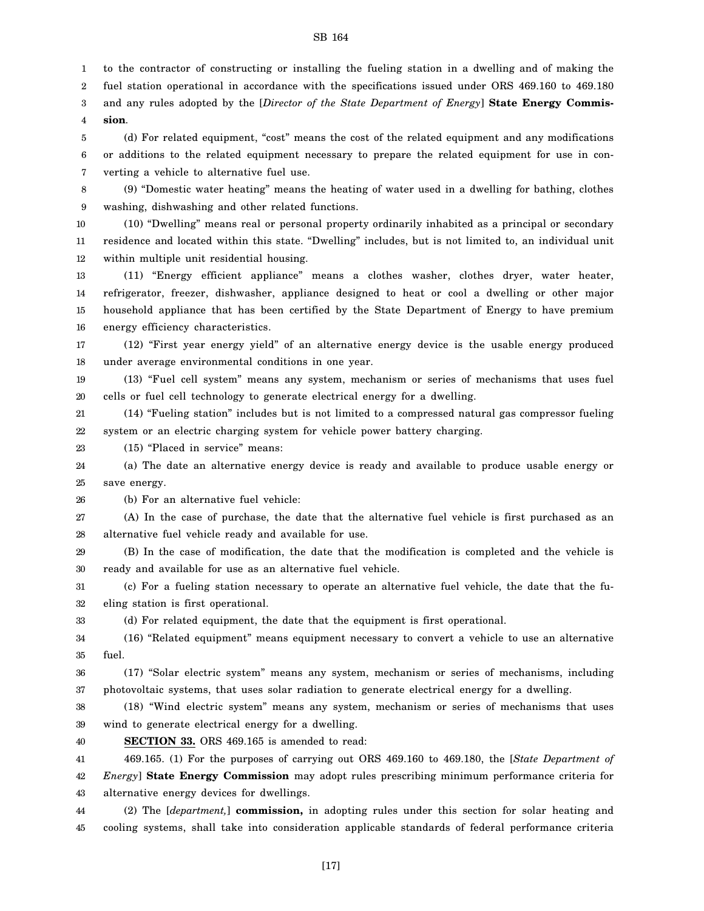1 to the contractor of constructing or installing the fueling station in a dwelling and of making the

2 fuel station operational in accordance with the specifications issued under ORS 469.160 to 469.180

3 4 and any rules adopted by the [*Director of the State Department of Energy*] **State Energy Commission**.

5 6 7 (d) For related equipment, "cost" means the cost of the related equipment and any modifications or additions to the related equipment necessary to prepare the related equipment for use in converting a vehicle to alternative fuel use.

8 9 (9) "Domestic water heating" means the heating of water used in a dwelling for bathing, clothes washing, dishwashing and other related functions.

10 11 12 (10) "Dwelling" means real or personal property ordinarily inhabited as a principal or secondary residence and located within this state. "Dwelling" includes, but is not limited to, an individual unit within multiple unit residential housing.

13 14 15 16 (11) "Energy efficient appliance" means a clothes washer, clothes dryer, water heater, refrigerator, freezer, dishwasher, appliance designed to heat or cool a dwelling or other major household appliance that has been certified by the State Department of Energy to have premium energy efficiency characteristics.

17 18 (12) "First year energy yield" of an alternative energy device is the usable energy produced under average environmental conditions in one year.

19 20 (13) "Fuel cell system" means any system, mechanism or series of mechanisms that uses fuel cells or fuel cell technology to generate electrical energy for a dwelling.

21 22 (14) "Fueling station" includes but is not limited to a compressed natural gas compressor fueling system or an electric charging system for vehicle power battery charging.

23 (15) "Placed in service" means:

24 25 (a) The date an alternative energy device is ready and available to produce usable energy or save energy.

26 (b) For an alternative fuel vehicle:

27 28 (A) In the case of purchase, the date that the alternative fuel vehicle is first purchased as an alternative fuel vehicle ready and available for use.

29 30 (B) In the case of modification, the date that the modification is completed and the vehicle is ready and available for use as an alternative fuel vehicle.

31 32 (c) For a fueling station necessary to operate an alternative fuel vehicle, the date that the fueling station is first operational.

33 (d) For related equipment, the date that the equipment is first operational.

34 35 (16) "Related equipment" means equipment necessary to convert a vehicle to use an alternative fuel.

36 37 (17) "Solar electric system" means any system, mechanism or series of mechanisms, including photovoltaic systems, that uses solar radiation to generate electrical energy for a dwelling.

38 39 (18) "Wind electric system" means any system, mechanism or series of mechanisms that uses wind to generate electrical energy for a dwelling.

40 **SECTION 33.** ORS 469.165 is amended to read:

41 42 43 469.165. (1) For the purposes of carrying out ORS 469.160 to 469.180, the [*State Department of Energy*] **State Energy Commission** may adopt rules prescribing minimum performance criteria for alternative energy devices for dwellings.

44 45 (2) The [*department,*] **commission,** in adopting rules under this section for solar heating and cooling systems, shall take into consideration applicable standards of federal performance criteria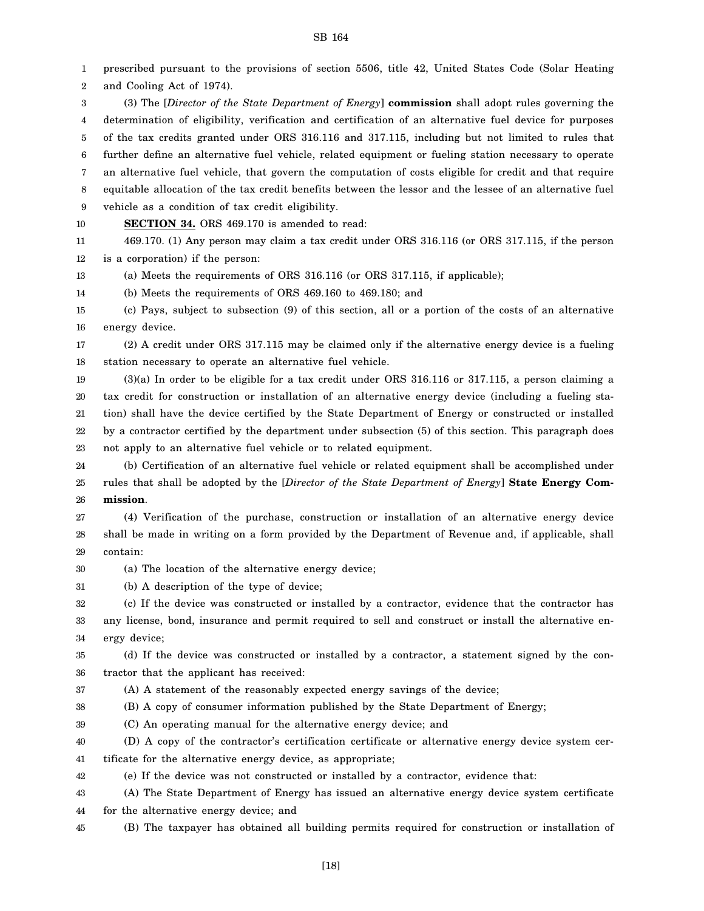1 2 prescribed pursuant to the provisions of section 5506, title 42, United States Code (Solar Heating and Cooling Act of 1974).

3 4 5 6 7 8 9 (3) The [*Director of the State Department of Energy*] **commission** shall adopt rules governing the determination of eligibility, verification and certification of an alternative fuel device for purposes of the tax credits granted under ORS 316.116 and 317.115, including but not limited to rules that further define an alternative fuel vehicle, related equipment or fueling station necessary to operate an alternative fuel vehicle, that govern the computation of costs eligible for credit and that require equitable allocation of the tax credit benefits between the lessor and the lessee of an alternative fuel vehicle as a condition of tax credit eligibility.

10 **SECTION 34.** ORS 469.170 is amended to read:

11 12 469.170. (1) Any person may claim a tax credit under ORS 316.116 (or ORS 317.115, if the person is a corporation) if the person:

13 (a) Meets the requirements of ORS 316.116 (or ORS 317.115, if applicable);

14 (b) Meets the requirements of ORS 469.160 to 469.180; and

15 16 (c) Pays, subject to subsection (9) of this section, all or a portion of the costs of an alternative energy device.

17 18 (2) A credit under ORS 317.115 may be claimed only if the alternative energy device is a fueling station necessary to operate an alternative fuel vehicle.

19 20 21 22 23 (3)(a) In order to be eligible for a tax credit under ORS 316.116 or 317.115, a person claiming a tax credit for construction or installation of an alternative energy device (including a fueling station) shall have the device certified by the State Department of Energy or constructed or installed by a contractor certified by the department under subsection (5) of this section. This paragraph does not apply to an alternative fuel vehicle or to related equipment.

24 25 26 (b) Certification of an alternative fuel vehicle or related equipment shall be accomplished under rules that shall be adopted by the [*Director of the State Department of Energy*] **State Energy Commission**.

27 28 29 (4) Verification of the purchase, construction or installation of an alternative energy device shall be made in writing on a form provided by the Department of Revenue and, if applicable, shall contain:

30 (a) The location of the alternative energy device;

31 (b) A description of the type of device;

32 33 34 (c) If the device was constructed or installed by a contractor, evidence that the contractor has any license, bond, insurance and permit required to sell and construct or install the alternative energy device;

35 36 (d) If the device was constructed or installed by a contractor, a statement signed by the contractor that the applicant has received:

37 (A) A statement of the reasonably expected energy savings of the device;

38 (B) A copy of consumer information published by the State Department of Energy;

39 (C) An operating manual for the alternative energy device; and

40 41 (D) A copy of the contractor's certification certificate or alternative energy device system certificate for the alternative energy device, as appropriate;

42 (e) If the device was not constructed or installed by a contractor, evidence that:

43 44 (A) The State Department of Energy has issued an alternative energy device system certificate for the alternative energy device; and

45 (B) The taxpayer has obtained all building permits required for construction or installation of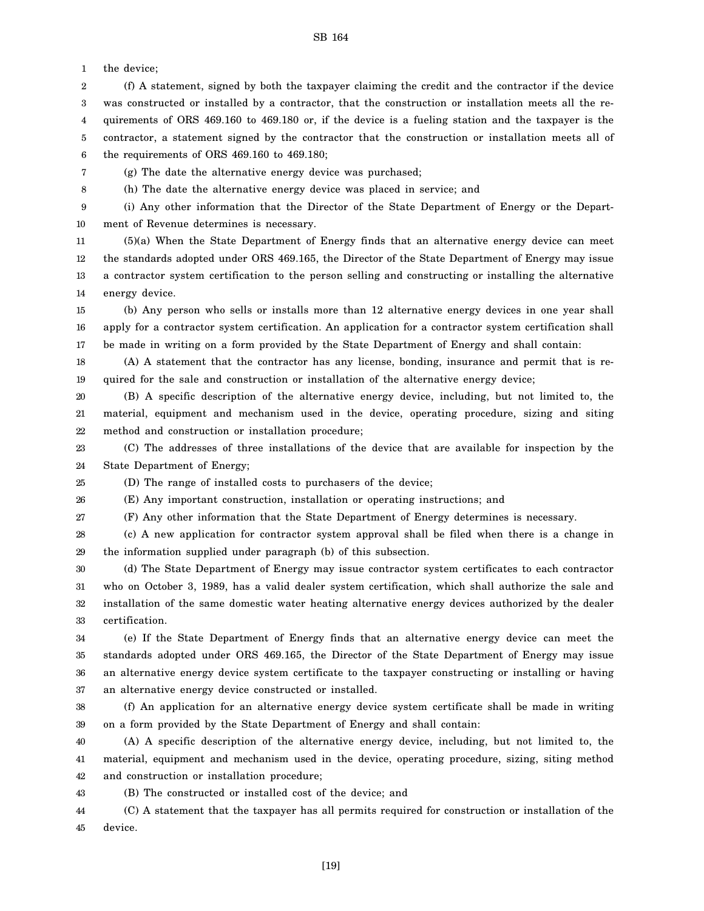1 the device;

2 3 4 5 6 (f) A statement, signed by both the taxpayer claiming the credit and the contractor if the device was constructed or installed by a contractor, that the construction or installation meets all the requirements of ORS 469.160 to 469.180 or, if the device is a fueling station and the taxpayer is the contractor, a statement signed by the contractor that the construction or installation meets all of the requirements of ORS 469.160 to 469.180;

7 (g) The date the alternative energy device was purchased;

8

(h) The date the alternative energy device was placed in service; and

9 10 (i) Any other information that the Director of the State Department of Energy or the Department of Revenue determines is necessary.

11 12 13 14 (5)(a) When the State Department of Energy finds that an alternative energy device can meet the standards adopted under ORS 469.165, the Director of the State Department of Energy may issue a contractor system certification to the person selling and constructing or installing the alternative energy device.

15 16 17 (b) Any person who sells or installs more than 12 alternative energy devices in one year shall apply for a contractor system certification. An application for a contractor system certification shall be made in writing on a form provided by the State Department of Energy and shall contain:

18 19 (A) A statement that the contractor has any license, bonding, insurance and permit that is required for the sale and construction or installation of the alternative energy device;

20 21 22 (B) A specific description of the alternative energy device, including, but not limited to, the material, equipment and mechanism used in the device, operating procedure, sizing and siting method and construction or installation procedure;

23 24 (C) The addresses of three installations of the device that are available for inspection by the State Department of Energy;

25 (D) The range of installed costs to purchasers of the device;

26 (E) Any important construction, installation or operating instructions; and

27 (F) Any other information that the State Department of Energy determines is necessary.

28 29 (c) A new application for contractor system approval shall be filed when there is a change in the information supplied under paragraph (b) of this subsection.

30 31 32 33 (d) The State Department of Energy may issue contractor system certificates to each contractor who on October 3, 1989, has a valid dealer system certification, which shall authorize the sale and installation of the same domestic water heating alternative energy devices authorized by the dealer certification.

34 35 36 37 (e) If the State Department of Energy finds that an alternative energy device can meet the standards adopted under ORS 469.165, the Director of the State Department of Energy may issue an alternative energy device system certificate to the taxpayer constructing or installing or having an alternative energy device constructed or installed.

38 39 (f) An application for an alternative energy device system certificate shall be made in writing on a form provided by the State Department of Energy and shall contain:

40 41 42 (A) A specific description of the alternative energy device, including, but not limited to, the material, equipment and mechanism used in the device, operating procedure, sizing, siting method and construction or installation procedure;

43 (B) The constructed or installed cost of the device; and

44 45 (C) A statement that the taxpayer has all permits required for construction or installation of the device.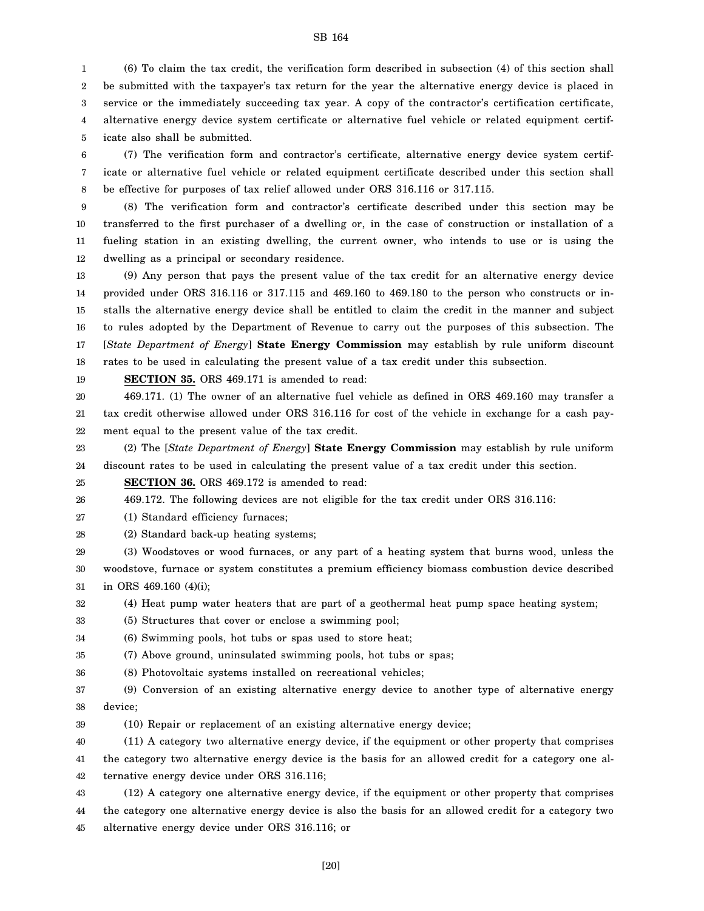1 2 3 4 5 (6) To claim the tax credit, the verification form described in subsection (4) of this section shall be submitted with the taxpayer's tax return for the year the alternative energy device is placed in service or the immediately succeeding tax year. A copy of the contractor's certification certificate, alternative energy device system certificate or alternative fuel vehicle or related equipment certificate also shall be submitted.

6 7 8 (7) The verification form and contractor's certificate, alternative energy device system certificate or alternative fuel vehicle or related equipment certificate described under this section shall be effective for purposes of tax relief allowed under ORS 316.116 or 317.115.

9 10 11 12 (8) The verification form and contractor's certificate described under this section may be transferred to the first purchaser of a dwelling or, in the case of construction or installation of a fueling station in an existing dwelling, the current owner, who intends to use or is using the dwelling as a principal or secondary residence.

13 14 15 16 17 18 (9) Any person that pays the present value of the tax credit for an alternative energy device provided under ORS 316.116 or 317.115 and 469.160 to 469.180 to the person who constructs or installs the alternative energy device shall be entitled to claim the credit in the manner and subject to rules adopted by the Department of Revenue to carry out the purposes of this subsection. The [*State Department of Energy*] **State Energy Commission** may establish by rule uniform discount rates to be used in calculating the present value of a tax credit under this subsection.

19 **SECTION 35.** ORS 469.171 is amended to read:

20 21 22 469.171. (1) The owner of an alternative fuel vehicle as defined in ORS 469.160 may transfer a tax credit otherwise allowed under ORS 316.116 for cost of the vehicle in exchange for a cash payment equal to the present value of the tax credit.

23 24 (2) The [*State Department of Energy*] **State Energy Commission** may establish by rule uniform discount rates to be used in calculating the present value of a tax credit under this section.

25 **SECTION 36.** ORS 469.172 is amended to read:

26 469.172. The following devices are not eligible for the tax credit under ORS 316.116:

27 (1) Standard efficiency furnaces;

28 (2) Standard back-up heating systems;

29 30 31 (3) Woodstoves or wood furnaces, or any part of a heating system that burns wood, unless the woodstove, furnace or system constitutes a premium efficiency biomass combustion device described in ORS 469.160 (4)(i);

32 (4) Heat pump water heaters that are part of a geothermal heat pump space heating system;

33 (5) Structures that cover or enclose a swimming pool;

34 (6) Swimming pools, hot tubs or spas used to store heat;

35 (7) Above ground, uninsulated swimming pools, hot tubs or spas;

36 (8) Photovoltaic systems installed on recreational vehicles;

37 38 (9) Conversion of an existing alternative energy device to another type of alternative energy device;

39 (10) Repair or replacement of an existing alternative energy device;

40 41 42 (11) A category two alternative energy device, if the equipment or other property that comprises the category two alternative energy device is the basis for an allowed credit for a category one alternative energy device under ORS 316.116;

43 44 45 (12) A category one alternative energy device, if the equipment or other property that comprises the category one alternative energy device is also the basis for an allowed credit for a category two alternative energy device under ORS 316.116; or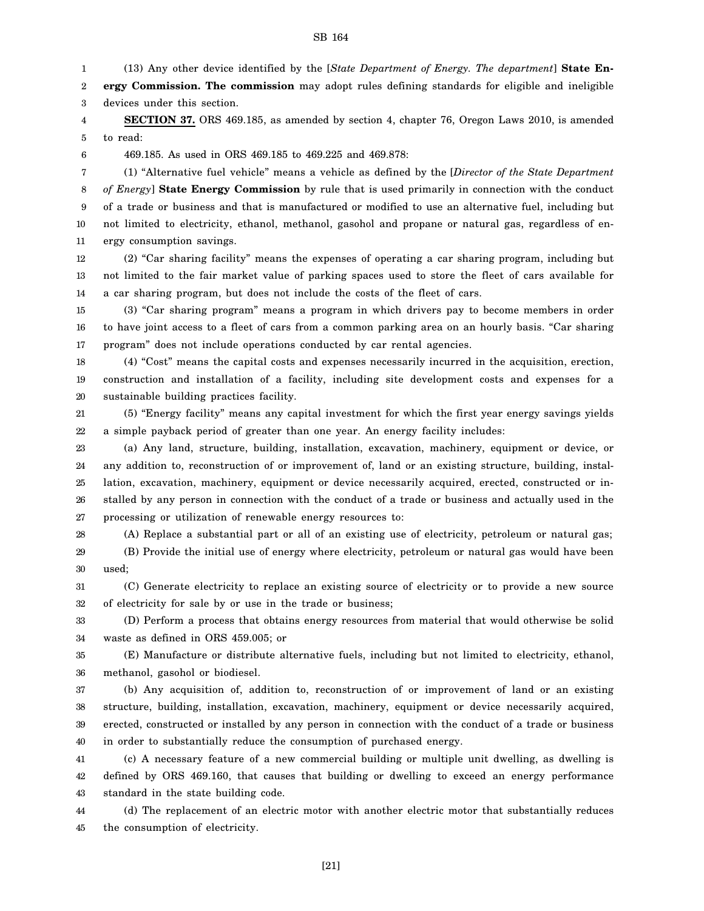1 2 3 4 5 6 7 8 9 10 11 12 13 14 15 16 17 18 19 20 21 22 23 24 25 26 27 28 29 30 31 32 33 34 35 36 37 38 39 (13) Any other device identified by the [*State Department of Energy. The department*] **State Energy Commission. The commission** may adopt rules defining standards for eligible and ineligible devices under this section. **SECTION 37.** ORS 469.185, as amended by section 4, chapter 76, Oregon Laws 2010, is amended to read: 469.185. As used in ORS 469.185 to 469.225 and 469.878: (1) "Alternative fuel vehicle" means a vehicle as defined by the [*Director of the State Department of Energy*] **State Energy Commission** by rule that is used primarily in connection with the conduct of a trade or business and that is manufactured or modified to use an alternative fuel, including but not limited to electricity, ethanol, methanol, gasohol and propane or natural gas, regardless of energy consumption savings. (2) "Car sharing facility" means the expenses of operating a car sharing program, including but not limited to the fair market value of parking spaces used to store the fleet of cars available for a car sharing program, but does not include the costs of the fleet of cars. (3) "Car sharing program" means a program in which drivers pay to become members in order to have joint access to a fleet of cars from a common parking area on an hourly basis. "Car sharing program" does not include operations conducted by car rental agencies. (4) "Cost" means the capital costs and expenses necessarily incurred in the acquisition, erection, construction and installation of a facility, including site development costs and expenses for a sustainable building practices facility. (5) "Energy facility" means any capital investment for which the first year energy savings yields a simple payback period of greater than one year. An energy facility includes: (a) Any land, structure, building, installation, excavation, machinery, equipment or device, or any addition to, reconstruction of or improvement of, land or an existing structure, building, installation, excavation, machinery, equipment or device necessarily acquired, erected, constructed or installed by any person in connection with the conduct of a trade or business and actually used in the processing or utilization of renewable energy resources to: (A) Replace a substantial part or all of an existing use of electricity, petroleum or natural gas; (B) Provide the initial use of energy where electricity, petroleum or natural gas would have been used; (C) Generate electricity to replace an existing source of electricity or to provide a new source of electricity for sale by or use in the trade or business; (D) Perform a process that obtains energy resources from material that would otherwise be solid waste as defined in ORS 459.005; or (E) Manufacture or distribute alternative fuels, including but not limited to electricity, ethanol, methanol, gasohol or biodiesel. (b) Any acquisition of, addition to, reconstruction of or improvement of land or an existing structure, building, installation, excavation, machinery, equipment or device necessarily acquired, erected, constructed or installed by any person in connection with the conduct of a trade or business

SB 164

40 in order to substantially reduce the consumption of purchased energy.

41 42 43 (c) A necessary feature of a new commercial building or multiple unit dwelling, as dwelling is defined by ORS 469.160, that causes that building or dwelling to exceed an energy performance standard in the state building code.

44 45 (d) The replacement of an electric motor with another electric motor that substantially reduces the consumption of electricity.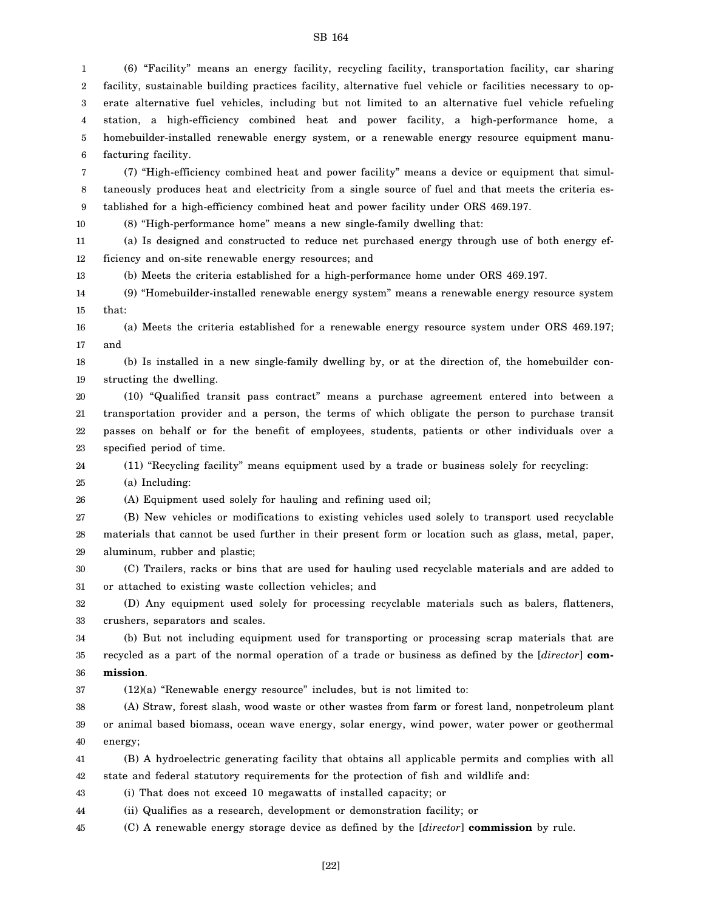1 2 3 4 5 6 (6) "Facility" means an energy facility, recycling facility, transportation facility, car sharing facility, sustainable building practices facility, alternative fuel vehicle or facilities necessary to operate alternative fuel vehicles, including but not limited to an alternative fuel vehicle refueling station, a high-efficiency combined heat and power facility, a high-performance home, a homebuilder-installed renewable energy system, or a renewable energy resource equipment manufacturing facility.

7 8 9 (7) "High-efficiency combined heat and power facility" means a device or equipment that simultaneously produces heat and electricity from a single source of fuel and that meets the criteria established for a high-efficiency combined heat and power facility under ORS 469.197.

10 (8) "High-performance home" means a new single-family dwelling that:

11 12 (a) Is designed and constructed to reduce net purchased energy through use of both energy efficiency and on-site renewable energy resources; and

13 (b) Meets the criteria established for a high-performance home under ORS 469.197.

14 15 (9) "Homebuilder-installed renewable energy system" means a renewable energy resource system that:

16 17 (a) Meets the criteria established for a renewable energy resource system under ORS 469.197; and

18 19 (b) Is installed in a new single-family dwelling by, or at the direction of, the homebuilder constructing the dwelling.

20 21 22 23 (10) "Qualified transit pass contract" means a purchase agreement entered into between a transportation provider and a person, the terms of which obligate the person to purchase transit passes on behalf or for the benefit of employees, students, patients or other individuals over a specified period of time.

24 (11) "Recycling facility" means equipment used by a trade or business solely for recycling:

25 (a) Including:

26 (A) Equipment used solely for hauling and refining used oil;

27 28 29 (B) New vehicles or modifications to existing vehicles used solely to transport used recyclable materials that cannot be used further in their present form or location such as glass, metal, paper, aluminum, rubber and plastic;

30 31 (C) Trailers, racks or bins that are used for hauling used recyclable materials and are added to or attached to existing waste collection vehicles; and

32 33 (D) Any equipment used solely for processing recyclable materials such as balers, flatteners, crushers, separators and scales.

34 35 36 (b) But not including equipment used for transporting or processing scrap materials that are recycled as a part of the normal operation of a trade or business as defined by the [*director*] **commission**.

37 (12)(a) "Renewable energy resource" includes, but is not limited to:

38 39 40 (A) Straw, forest slash, wood waste or other wastes from farm or forest land, nonpetroleum plant or animal based biomass, ocean wave energy, solar energy, wind power, water power or geothermal energy;

41 42 (B) A hydroelectric generating facility that obtains all applicable permits and complies with all state and federal statutory requirements for the protection of fish and wildlife and:

43 (i) That does not exceed 10 megawatts of installed capacity; or

44 (ii) Qualifies as a research, development or demonstration facility; or

45 (C) A renewable energy storage device as defined by the [*director*] **commission** by rule.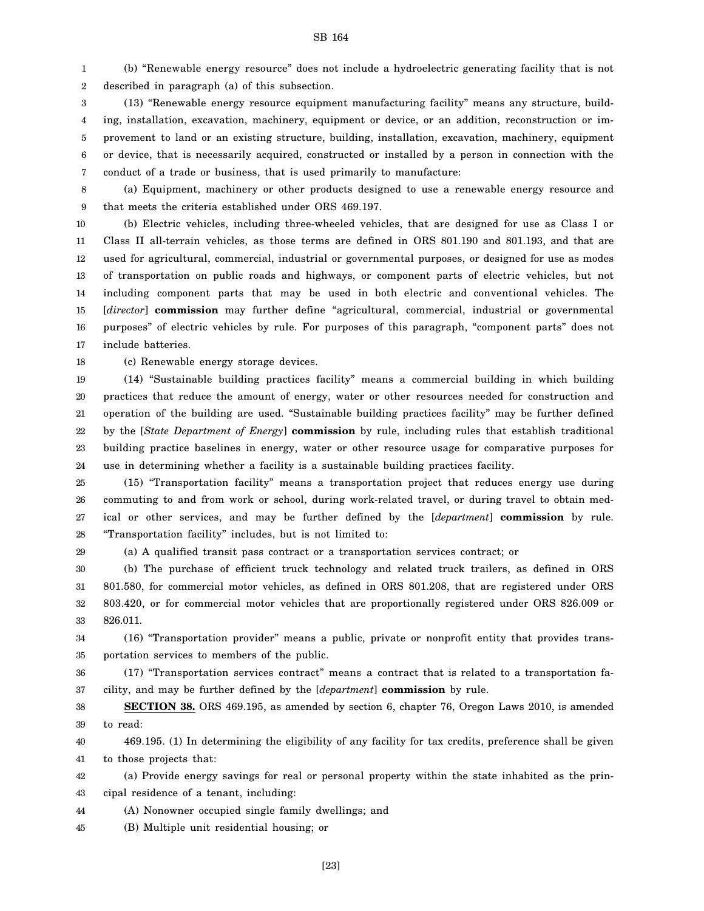1 2 (b) "Renewable energy resource" does not include a hydroelectric generating facility that is not described in paragraph (a) of this subsection.

3 4 5 6 7 (13) "Renewable energy resource equipment manufacturing facility" means any structure, building, installation, excavation, machinery, equipment or device, or an addition, reconstruction or improvement to land or an existing structure, building, installation, excavation, machinery, equipment or device, that is necessarily acquired, constructed or installed by a person in connection with the conduct of a trade or business, that is used primarily to manufacture:

8 9 (a) Equipment, machinery or other products designed to use a renewable energy resource and that meets the criteria established under ORS 469.197.

10 11 12 13 14 15 16 17 (b) Electric vehicles, including three-wheeled vehicles, that are designed for use as Class I or Class II all-terrain vehicles, as those terms are defined in ORS 801.190 and 801.193, and that are used for agricultural, commercial, industrial or governmental purposes, or designed for use as modes of transportation on public roads and highways, or component parts of electric vehicles, but not including component parts that may be used in both electric and conventional vehicles. The [*director*] **commission** may further define "agricultural, commercial, industrial or governmental purposes" of electric vehicles by rule. For purposes of this paragraph, "component parts" does not include batteries.

18 (c) Renewable energy storage devices.

19 20 21 22 23 24 (14) "Sustainable building practices facility" means a commercial building in which building practices that reduce the amount of energy, water or other resources needed for construction and operation of the building are used. "Sustainable building practices facility" may be further defined by the [*State Department of Energy*] **commission** by rule, including rules that establish traditional building practice baselines in energy, water or other resource usage for comparative purposes for use in determining whether a facility is a sustainable building practices facility.

25 26 27 28 (15) "Transportation facility" means a transportation project that reduces energy use during commuting to and from work or school, during work-related travel, or during travel to obtain medical or other services, and may be further defined by the [*department*] **commission** by rule. "Transportation facility" includes, but is not limited to:

29

(a) A qualified transit pass contract or a transportation services contract; or

30 31 32 33 (b) The purchase of efficient truck technology and related truck trailers, as defined in ORS 801.580, for commercial motor vehicles, as defined in ORS 801.208, that are registered under ORS 803.420, or for commercial motor vehicles that are proportionally registered under ORS 826.009 or 826.011.

34 35 (16) "Transportation provider" means a public, private or nonprofit entity that provides transportation services to members of the public.

36 37 (17) "Transportation services contract" means a contract that is related to a transportation facility, and may be further defined by the [*department*] **commission** by rule.

38 39 **SECTION 38.** ORS 469.195, as amended by section 6, chapter 76, Oregon Laws 2010, is amended to read:

40 41 469.195. (1) In determining the eligibility of any facility for tax credits, preference shall be given to those projects that:

42 43 (a) Provide energy savings for real or personal property within the state inhabited as the principal residence of a tenant, including:

44 (A) Nonowner occupied single family dwellings; and

45 (B) Multiple unit residential housing; or

SB 164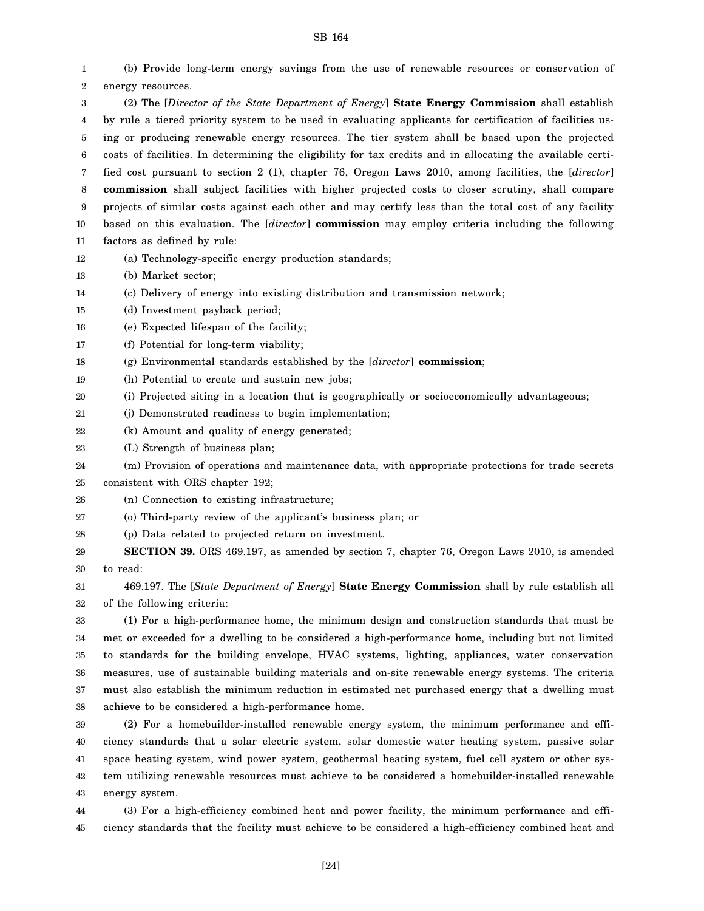1 2 3 4 5 6 7 8 9 10 11 12 13 14 15 16 17 18 19 20 21 22 23 24 25 26 27 28 29 30 31 32 33 34 35 36 37 38 39 40 41 42 43 (b) Provide long-term energy savings from the use of renewable resources or conservation of energy resources. (2) The [*Director of the State Department of Energy*] **State Energy Commission** shall establish by rule a tiered priority system to be used in evaluating applicants for certification of facilities using or producing renewable energy resources. The tier system shall be based upon the projected costs of facilities. In determining the eligibility for tax credits and in allocating the available certified cost pursuant to section 2 (1), chapter 76, Oregon Laws 2010, among facilities, the [*director*] **commission** shall subject facilities with higher projected costs to closer scrutiny, shall compare projects of similar costs against each other and may certify less than the total cost of any facility based on this evaluation. The [*director*] **commission** may employ criteria including the following factors as defined by rule: (a) Technology-specific energy production standards; (b) Market sector; (c) Delivery of energy into existing distribution and transmission network; (d) Investment payback period; (e) Expected lifespan of the facility; (f) Potential for long-term viability; (g) Environmental standards established by the [*director*] **commission**; (h) Potential to create and sustain new jobs; (i) Projected siting in a location that is geographically or socioeconomically advantageous; (j) Demonstrated readiness to begin implementation; (k) Amount and quality of energy generated; (L) Strength of business plan; (m) Provision of operations and maintenance data, with appropriate protections for trade secrets consistent with ORS chapter 192; (n) Connection to existing infrastructure; (o) Third-party review of the applicant's business plan; or (p) Data related to projected return on investment. **SECTION 39.** ORS 469.197, as amended by section 7, chapter 76, Oregon Laws 2010, is amended to read: 469.197. The [*State Department of Energy*] **State Energy Commission** shall by rule establish all of the following criteria: (1) For a high-performance home, the minimum design and construction standards that must be met or exceeded for a dwelling to be considered a high-performance home, including but not limited to standards for the building envelope, HVAC systems, lighting, appliances, water conservation measures, use of sustainable building materials and on-site renewable energy systems. The criteria must also establish the minimum reduction in estimated net purchased energy that a dwelling must achieve to be considered a high-performance home. (2) For a homebuilder-installed renewable energy system, the minimum performance and efficiency standards that a solar electric system, solar domestic water heating system, passive solar space heating system, wind power system, geothermal heating system, fuel cell system or other system utilizing renewable resources must achieve to be considered a homebuilder-installed renewable energy system.

44 45 (3) For a high-efficiency combined heat and power facility, the minimum performance and efficiency standards that the facility must achieve to be considered a high-efficiency combined heat and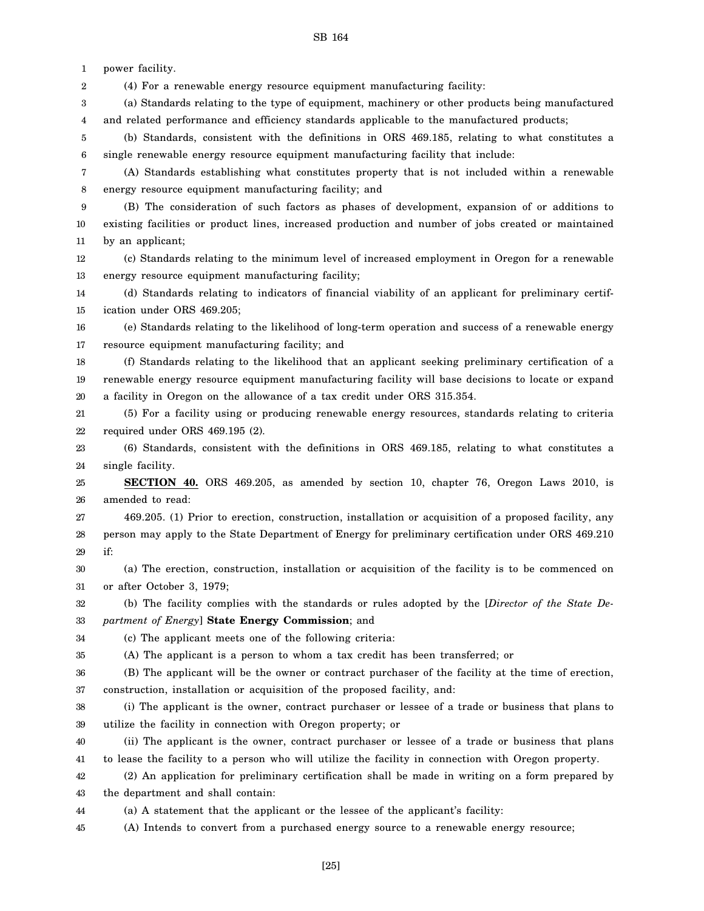SB 164 power facility. (4) For a renewable energy resource equipment manufacturing facility: (a) Standards relating to the type of equipment, machinery or other products being manufactured and related performance and efficiency standards applicable to the manufactured products; (b) Standards, consistent with the definitions in ORS 469.185, relating to what constitutes a single renewable energy resource equipment manufacturing facility that include: (A) Standards establishing what constitutes property that is not included within a renewable energy resource equipment manufacturing facility; and (B) The consideration of such factors as phases of development, expansion of or additions to existing facilities or product lines, increased production and number of jobs created or maintained by an applicant; (c) Standards relating to the minimum level of increased employment in Oregon for a renewable energy resource equipment manufacturing facility; (d) Standards relating to indicators of financial viability of an applicant for preliminary certification under ORS 469.205; (e) Standards relating to the likelihood of long-term operation and success of a renewable energy resource equipment manufacturing facility; and (f) Standards relating to the likelihood that an applicant seeking preliminary certification of a renewable energy resource equipment manufacturing facility will base decisions to locate or expand a facility in Oregon on the allowance of a tax credit under ORS 315.354. (5) For a facility using or producing renewable energy resources, standards relating to criteria required under ORS 469.195 (2). (6) Standards, consistent with the definitions in ORS 469.185, relating to what constitutes a single facility. **SECTION 40.** ORS 469.205, as amended by section 10, chapter 76, Oregon Laws 2010, is amended to read: 469.205. (1) Prior to erection, construction, installation or acquisition of a proposed facility, any person may apply to the State Department of Energy for preliminary certification under ORS 469.210 if: (a) The erection, construction, installation or acquisition of the facility is to be commenced on or after October 3, 1979; (b) The facility complies with the standards or rules adopted by the [*Director of the State Department of Energy*] **State Energy Commission**; and (c) The applicant meets one of the following criteria: (A) The applicant is a person to whom a tax credit has been transferred; or (B) The applicant will be the owner or contract purchaser of the facility at the time of erection, construction, installation or acquisition of the proposed facility, and: (i) The applicant is the owner, contract purchaser or lessee of a trade or business that plans to utilize the facility in connection with Oregon property; or (ii) The applicant is the owner, contract purchaser or lessee of a trade or business that plans to lease the facility to a person who will utilize the facility in connection with Oregon property.

42 43 (2) An application for preliminary certification shall be made in writing on a form prepared by the department and shall contain:

44 (a) A statement that the applicant or the lessee of the applicant's facility:

45 (A) Intends to convert from a purchased energy source to a renewable energy resource;

[25]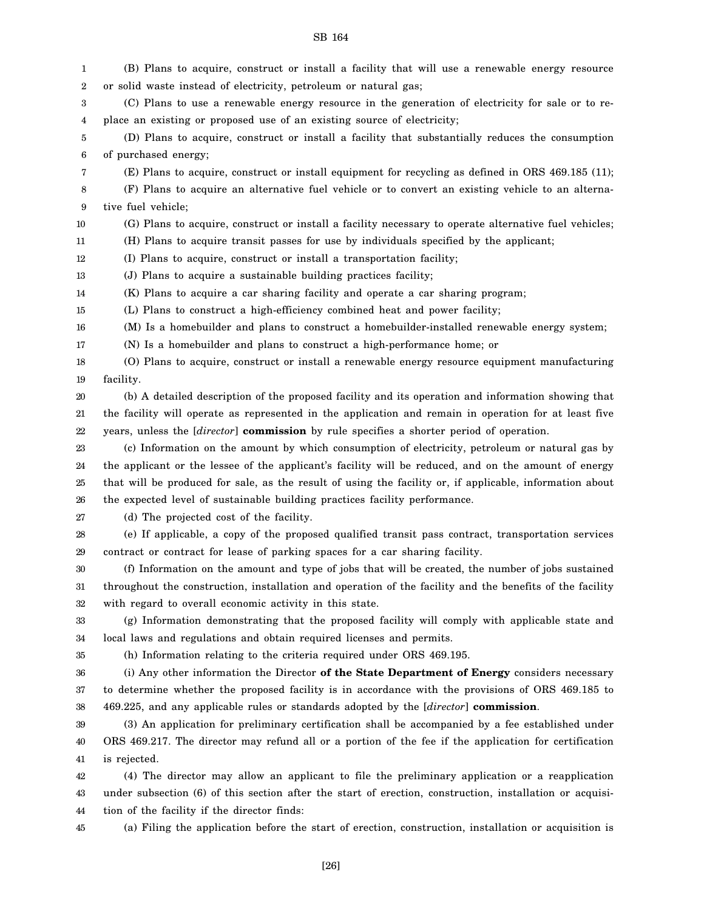1 2 3 4 5 6 7 8 9 10 11 12 13 14 15 16 17 18 19 20 21 22 23 24 25 26 27 28 29 30 31 32 33 34 35 36 37 38 39 40 (B) Plans to acquire, construct or install a facility that will use a renewable energy resource or solid waste instead of electricity, petroleum or natural gas; (C) Plans to use a renewable energy resource in the generation of electricity for sale or to replace an existing or proposed use of an existing source of electricity; (D) Plans to acquire, construct or install a facility that substantially reduces the consumption of purchased energy; (E) Plans to acquire, construct or install equipment for recycling as defined in ORS 469.185 (11); (F) Plans to acquire an alternative fuel vehicle or to convert an existing vehicle to an alternative fuel vehicle; (G) Plans to acquire, construct or install a facility necessary to operate alternative fuel vehicles; (H) Plans to acquire transit passes for use by individuals specified by the applicant; (I) Plans to acquire, construct or install a transportation facility; (J) Plans to acquire a sustainable building practices facility; (K) Plans to acquire a car sharing facility and operate a car sharing program; (L) Plans to construct a high-efficiency combined heat and power facility; (M) Is a homebuilder and plans to construct a homebuilder-installed renewable energy system; (N) Is a homebuilder and plans to construct a high-performance home; or (O) Plans to acquire, construct or install a renewable energy resource equipment manufacturing facility. (b) A detailed description of the proposed facility and its operation and information showing that the facility will operate as represented in the application and remain in operation for at least five years, unless the [*director*] **commission** by rule specifies a shorter period of operation. (c) Information on the amount by which consumption of electricity, petroleum or natural gas by the applicant or the lessee of the applicant's facility will be reduced, and on the amount of energy that will be produced for sale, as the result of using the facility or, if applicable, information about the expected level of sustainable building practices facility performance. (d) The projected cost of the facility. (e) If applicable, a copy of the proposed qualified transit pass contract, transportation services contract or contract for lease of parking spaces for a car sharing facility. (f) Information on the amount and type of jobs that will be created, the number of jobs sustained throughout the construction, installation and operation of the facility and the benefits of the facility with regard to overall economic activity in this state. (g) Information demonstrating that the proposed facility will comply with applicable state and local laws and regulations and obtain required licenses and permits. (h) Information relating to the criteria required under ORS 469.195. (i) Any other information the Director **of the State Department of Energy** considers necessary to determine whether the proposed facility is in accordance with the provisions of ORS 469.185 to 469.225, and any applicable rules or standards adopted by the [*director*] **commission**. (3) An application for preliminary certification shall be accompanied by a fee established under ORS 469.217. The director may refund all or a portion of the fee if the application for certification

SB 164

42 43 44 (4) The director may allow an applicant to file the preliminary application or a reapplication under subsection (6) of this section after the start of erection, construction, installation or acquisition of the facility if the director finds:

(a) Filing the application before the start of erection, construction, installation or acquisition is

45

is rejected.

41

[26]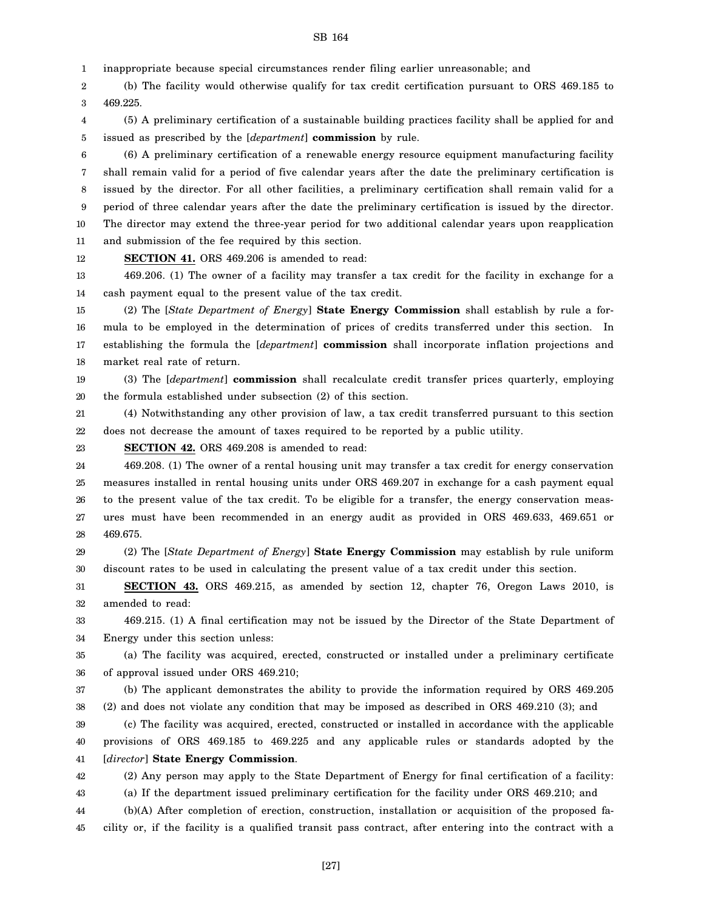1 inappropriate because special circumstances render filing earlier unreasonable; and

2 3 (b) The facility would otherwise qualify for tax credit certification pursuant to ORS 469.185 to 469.225.

4 5 (5) A preliminary certification of a sustainable building practices facility shall be applied for and issued as prescribed by the [*department*] **commission** by rule.

6 7 8 9 10 11 (6) A preliminary certification of a renewable energy resource equipment manufacturing facility shall remain valid for a period of five calendar years after the date the preliminary certification is issued by the director. For all other facilities, a preliminary certification shall remain valid for a period of three calendar years after the date the preliminary certification is issued by the director. The director may extend the three-year period for two additional calendar years upon reapplication and submission of the fee required by this section.

12 **SECTION 41.** ORS 469.206 is amended to read:

13 14 469.206. (1) The owner of a facility may transfer a tax credit for the facility in exchange for a cash payment equal to the present value of the tax credit.

15 16 17 18 (2) The [*State Department of Energy*] **State Energy Commission** shall establish by rule a formula to be employed in the determination of prices of credits transferred under this section. In establishing the formula the [*department*] **commission** shall incorporate inflation projections and market real rate of return.

19 20 (3) The [*department*] **commission** shall recalculate credit transfer prices quarterly, employing the formula established under subsection (2) of this section.

21 22 (4) Notwithstanding any other provision of law, a tax credit transferred pursuant to this section does not decrease the amount of taxes required to be reported by a public utility.

23 **SECTION 42.** ORS 469.208 is amended to read:

24 25 26 27 28 469.208. (1) The owner of a rental housing unit may transfer a tax credit for energy conservation measures installed in rental housing units under ORS 469.207 in exchange for a cash payment equal to the present value of the tax credit. To be eligible for a transfer, the energy conservation measures must have been recommended in an energy audit as provided in ORS 469.633, 469.651 or 469.675.

29 30 (2) The [*State Department of Energy*] **State Energy Commission** may establish by rule uniform discount rates to be used in calculating the present value of a tax credit under this section.

31 32 **SECTION 43.** ORS 469.215, as amended by section 12, chapter 76, Oregon Laws 2010, is amended to read:

33 34 469.215. (1) A final certification may not be issued by the Director of the State Department of Energy under this section unless:

35 36 (a) The facility was acquired, erected, constructed or installed under a preliminary certificate of approval issued under ORS 469.210;

37 38 (b) The applicant demonstrates the ability to provide the information required by ORS 469.205 (2) and does not violate any condition that may be imposed as described in ORS 469.210 (3); and

39 40 41 (c) The facility was acquired, erected, constructed or installed in accordance with the applicable provisions of ORS 469.185 to 469.225 and any applicable rules or standards adopted by the [*director*] **State Energy Commission**.

42 (2) Any person may apply to the State Department of Energy for final certification of a facility:

43 (a) If the department issued preliminary certification for the facility under ORS 469.210; and

44 45 (b)(A) After completion of erection, construction, installation or acquisition of the proposed facility or, if the facility is a qualified transit pass contract, after entering into the contract with a

SB 164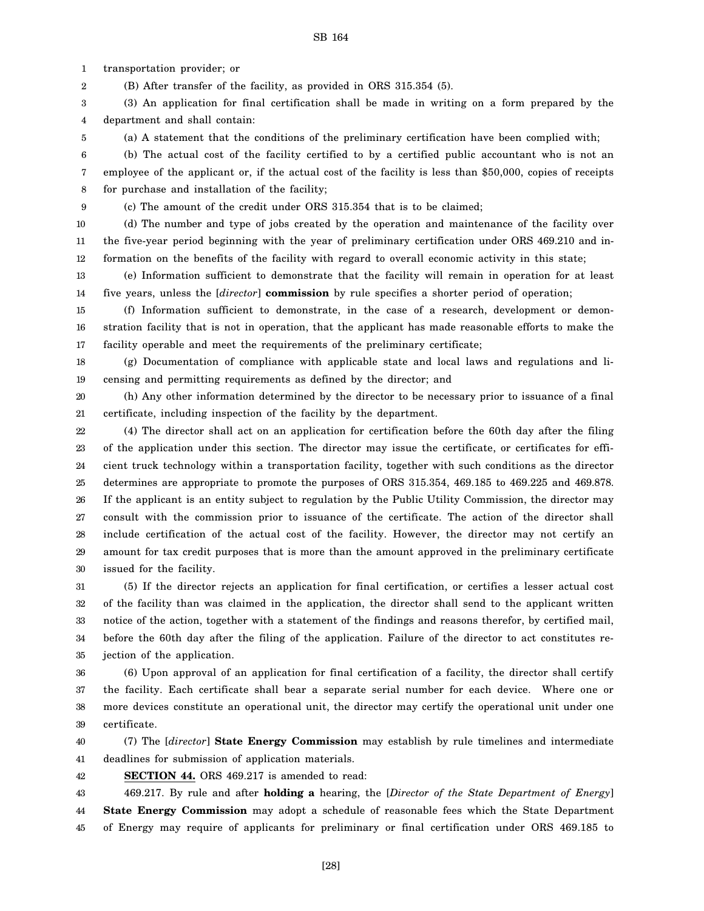1 transportation provider; or

2 (B) After transfer of the facility, as provided in ORS 315.354 (5).

3 4 (3) An application for final certification shall be made in writing on a form prepared by the department and shall contain:

5 (a) A statement that the conditions of the preliminary certification have been complied with;

6 7 8 (b) The actual cost of the facility certified to by a certified public accountant who is not an employee of the applicant or, if the actual cost of the facility is less than \$50,000, copies of receipts for purchase and installation of the facility;

9 (c) The amount of the credit under ORS 315.354 that is to be claimed;

10 11 12 (d) The number and type of jobs created by the operation and maintenance of the facility over the five-year period beginning with the year of preliminary certification under ORS 469.210 and information on the benefits of the facility with regard to overall economic activity in this state;

13 14 (e) Information sufficient to demonstrate that the facility will remain in operation for at least five years, unless the [*director*] **commission** by rule specifies a shorter period of operation;

15 16 17 (f) Information sufficient to demonstrate, in the case of a research, development or demonstration facility that is not in operation, that the applicant has made reasonable efforts to make the facility operable and meet the requirements of the preliminary certificate;

18 19 (g) Documentation of compliance with applicable state and local laws and regulations and licensing and permitting requirements as defined by the director; and

20 21 (h) Any other information determined by the director to be necessary prior to issuance of a final certificate, including inspection of the facility by the department.

22 23 24 25 26 27 28 29 30 (4) The director shall act on an application for certification before the 60th day after the filing of the application under this section. The director may issue the certificate, or certificates for efficient truck technology within a transportation facility, together with such conditions as the director determines are appropriate to promote the purposes of ORS 315.354, 469.185 to 469.225 and 469.878. If the applicant is an entity subject to regulation by the Public Utility Commission, the director may consult with the commission prior to issuance of the certificate. The action of the director shall include certification of the actual cost of the facility. However, the director may not certify an amount for tax credit purposes that is more than the amount approved in the preliminary certificate issued for the facility.

31 32 33 34 35 (5) If the director rejects an application for final certification, or certifies a lesser actual cost of the facility than was claimed in the application, the director shall send to the applicant written notice of the action, together with a statement of the findings and reasons therefor, by certified mail, before the 60th day after the filing of the application. Failure of the director to act constitutes rejection of the application.

36 37 38 39 (6) Upon approval of an application for final certification of a facility, the director shall certify the facility. Each certificate shall bear a separate serial number for each device. Where one or more devices constitute an operational unit, the director may certify the operational unit under one certificate.

40 41 (7) The [*director*] **State Energy Commission** may establish by rule timelines and intermediate deadlines for submission of application materials.

**SECTION 44.** ORS 469.217 is amended to read:

42

43 44 45 469.217. By rule and after **holding a** hearing, the [*Director of the State Department of Energy*] **State Energy Commission** may adopt a schedule of reasonable fees which the State Department of Energy may require of applicants for preliminary or final certification under ORS 469.185 to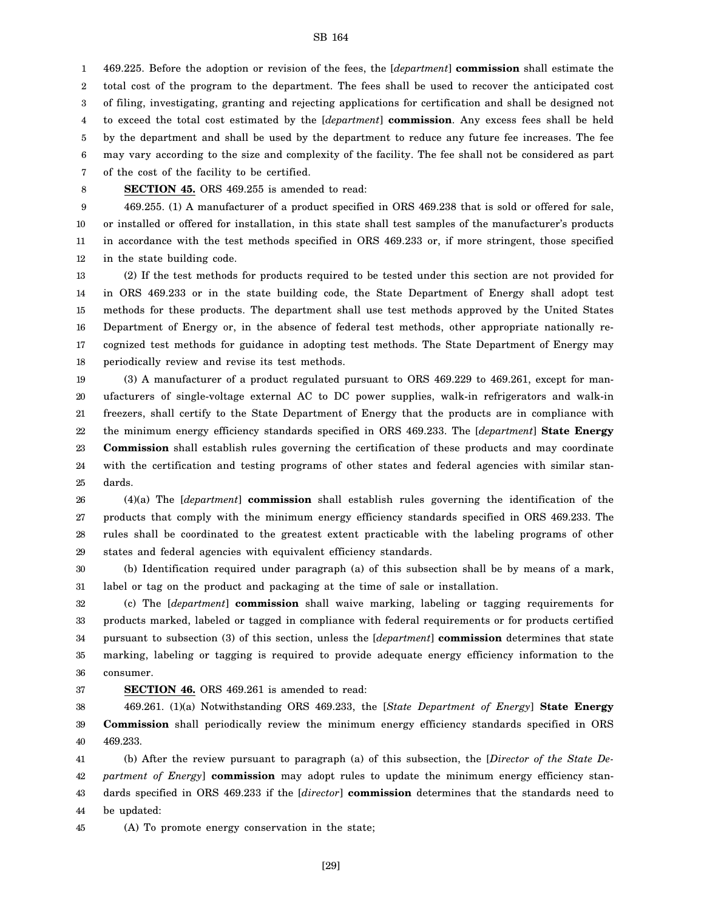1 2 3 4 5 6 7 469.225. Before the adoption or revision of the fees, the [*department*] **commission** shall estimate the total cost of the program to the department. The fees shall be used to recover the anticipated cost of filing, investigating, granting and rejecting applications for certification and shall be designed not to exceed the total cost estimated by the [*department*] **commission**. Any excess fees shall be held by the department and shall be used by the department to reduce any future fee increases. The fee may vary according to the size and complexity of the facility. The fee shall not be considered as part of the cost of the facility to be certified.

8

**SECTION 45.** ORS 469.255 is amended to read:

9 10 11 12 469.255. (1) A manufacturer of a product specified in ORS 469.238 that is sold or offered for sale, or installed or offered for installation, in this state shall test samples of the manufacturer's products in accordance with the test methods specified in ORS 469.233 or, if more stringent, those specified in the state building code.

13 14 15 16 17 18 (2) If the test methods for products required to be tested under this section are not provided for in ORS 469.233 or in the state building code, the State Department of Energy shall adopt test methods for these products. The department shall use test methods approved by the United States Department of Energy or, in the absence of federal test methods, other appropriate nationally recognized test methods for guidance in adopting test methods. The State Department of Energy may periodically review and revise its test methods.

19 20 21 22 23 24 25 (3) A manufacturer of a product regulated pursuant to ORS 469.229 to 469.261, except for manufacturers of single-voltage external AC to DC power supplies, walk-in refrigerators and walk-in freezers, shall certify to the State Department of Energy that the products are in compliance with the minimum energy efficiency standards specified in ORS 469.233. The [*department*] **State Energy Commission** shall establish rules governing the certification of these products and may coordinate with the certification and testing programs of other states and federal agencies with similar standards.

26 27 28 29 (4)(a) The [*department*] **commission** shall establish rules governing the identification of the products that comply with the minimum energy efficiency standards specified in ORS 469.233. The rules shall be coordinated to the greatest extent practicable with the labeling programs of other states and federal agencies with equivalent efficiency standards.

30 31 (b) Identification required under paragraph (a) of this subsection shall be by means of a mark, label or tag on the product and packaging at the time of sale or installation.

32 33 34 35 36 (c) The [*department*] **commission** shall waive marking, labeling or tagging requirements for products marked, labeled or tagged in compliance with federal requirements or for products certified pursuant to subsection (3) of this section, unless the [*department*] **commission** determines that state marking, labeling or tagging is required to provide adequate energy efficiency information to the consumer.

#### 37

**SECTION 46.** ORS 469.261 is amended to read:

38 39 40 469.261. (1)(a) Notwithstanding ORS 469.233, the [*State Department of Energy*] **State Energy Commission** shall periodically review the minimum energy efficiency standards specified in ORS 469.233.

41 42 43 44 (b) After the review pursuant to paragraph (a) of this subsection, the [*Director of the State Department of Energy*] **commission** may adopt rules to update the minimum energy efficiency standards specified in ORS 469.233 if the [*director*] **commission** determines that the standards need to be updated:

45 (A) To promote energy conservation in the state;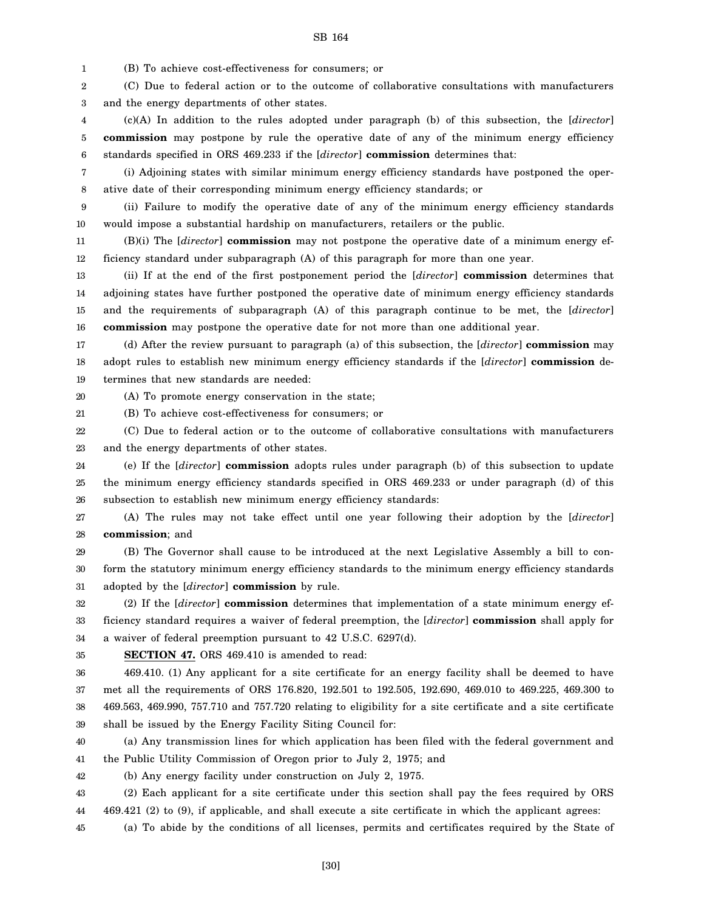1 (B) To achieve cost-effectiveness for consumers; or

2 3 (C) Due to federal action or to the outcome of collaborative consultations with manufacturers and the energy departments of other states.

4 5 6 (c)(A) In addition to the rules adopted under paragraph (b) of this subsection, the [*director*] **commission** may postpone by rule the operative date of any of the minimum energy efficiency standards specified in ORS 469.233 if the [*director*] **commission** determines that:

7 8 (i) Adjoining states with similar minimum energy efficiency standards have postponed the operative date of their corresponding minimum energy efficiency standards; or

9 10 (ii) Failure to modify the operative date of any of the minimum energy efficiency standards would impose a substantial hardship on manufacturers, retailers or the public.

11 12 (B)(i) The [*director*] **commission** may not postpone the operative date of a minimum energy efficiency standard under subparagraph (A) of this paragraph for more than one year.

13 14 15 16 (ii) If at the end of the first postponement period the [*director*] **commission** determines that adjoining states have further postponed the operative date of minimum energy efficiency standards and the requirements of subparagraph (A) of this paragraph continue to be met, the [*director*] **commission** may postpone the operative date for not more than one additional year.

17 18 19 (d) After the review pursuant to paragraph (a) of this subsection, the [*director*] **commission** may adopt rules to establish new minimum energy efficiency standards if the [*director*] **commission** determines that new standards are needed:

20 (A) To promote energy conservation in the state;

21 (B) To achieve cost-effectiveness for consumers; or

22 23 (C) Due to federal action or to the outcome of collaborative consultations with manufacturers and the energy departments of other states.

24 25 26 (e) If the [*director*] **commission** adopts rules under paragraph (b) of this subsection to update the minimum energy efficiency standards specified in ORS 469.233 or under paragraph (d) of this subsection to establish new minimum energy efficiency standards:

27 28 (A) The rules may not take effect until one year following their adoption by the [*director*] **commission**; and

29 30 31 (B) The Governor shall cause to be introduced at the next Legislative Assembly a bill to conform the statutory minimum energy efficiency standards to the minimum energy efficiency standards adopted by the [*director*] **commission** by rule.

32 33 34 (2) If the [*director*] **commission** determines that implementation of a state minimum energy efficiency standard requires a waiver of federal preemption, the [*director*] **commission** shall apply for a waiver of federal preemption pursuant to 42 U.S.C. 6297(d).

35 **SECTION 47.** ORS 469.410 is amended to read:

36 37 38 39 469.410. (1) Any applicant for a site certificate for an energy facility shall be deemed to have met all the requirements of ORS 176.820, 192.501 to 192.505, 192.690, 469.010 to 469.225, 469.300 to 469.563, 469.990, 757.710 and 757.720 relating to eligibility for a site certificate and a site certificate shall be issued by the Energy Facility Siting Council for:

40 41 (a) Any transmission lines for which application has been filed with the federal government and the Public Utility Commission of Oregon prior to July 2, 1975; and

42 (b) Any energy facility under construction on July 2, 1975.

43 44 (2) Each applicant for a site certificate under this section shall pay the fees required by ORS 469.421 (2) to (9), if applicable, and shall execute a site certificate in which the applicant agrees:

45 (a) To abide by the conditions of all licenses, permits and certificates required by the State of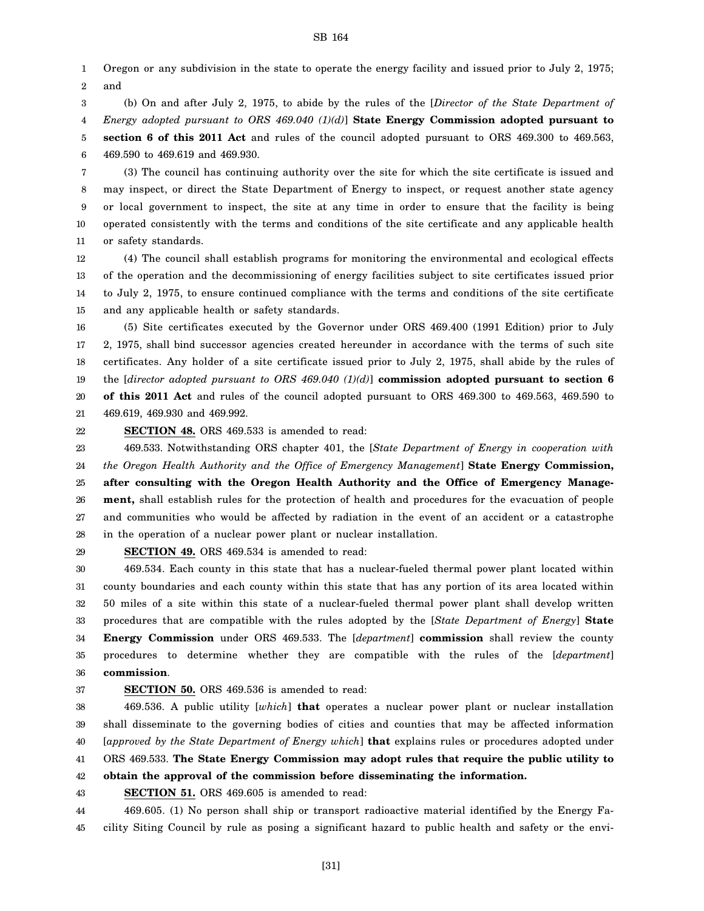1 2 Oregon or any subdivision in the state to operate the energy facility and issued prior to July 2, 1975; and

3 4 5 (b) On and after July 2, 1975, to abide by the rules of the [*Director of the State Department of Energy adopted pursuant to ORS 469.040 (1)(d)*] **State Energy Commission adopted pursuant to section 6 of this 2011 Act** and rules of the council adopted pursuant to ORS 469.300 to 469.563,

6 469.590 to 469.619 and 469.930.

7 8 9 10 11 (3) The council has continuing authority over the site for which the site certificate is issued and may inspect, or direct the State Department of Energy to inspect, or request another state agency or local government to inspect, the site at any time in order to ensure that the facility is being operated consistently with the terms and conditions of the site certificate and any applicable health or safety standards.

12 13 14 15 (4) The council shall establish programs for monitoring the environmental and ecological effects of the operation and the decommissioning of energy facilities subject to site certificates issued prior to July 2, 1975, to ensure continued compliance with the terms and conditions of the site certificate and any applicable health or safety standards.

16 17 18 19 20 21 (5) Site certificates executed by the Governor under ORS 469.400 (1991 Edition) prior to July 2, 1975, shall bind successor agencies created hereunder in accordance with the terms of such site certificates. Any holder of a site certificate issued prior to July 2, 1975, shall abide by the rules of the [*director adopted pursuant to ORS 469.040 (1)(d)*] **commission adopted pursuant to section 6 of this 2011 Act** and rules of the council adopted pursuant to ORS 469.300 to 469.563, 469.590 to 469.619, 469.930 and 469.992.

22 **SECTION 48.** ORS 469.533 is amended to read:

23 24 25 26 27 28 469.533. Notwithstanding ORS chapter 401, the [*State Department of Energy in cooperation with the Oregon Health Authority and the Office of Emergency Management*] **State Energy Commission, after consulting with the Oregon Health Authority and the Office of Emergency Management,** shall establish rules for the protection of health and procedures for the evacuation of people and communities who would be affected by radiation in the event of an accident or a catastrophe in the operation of a nuclear power plant or nuclear installation.

29

**SECTION 49.** ORS 469.534 is amended to read:

30 31 32 33 34 35 36 469.534. Each county in this state that has a nuclear-fueled thermal power plant located within county boundaries and each county within this state that has any portion of its area located within 50 miles of a site within this state of a nuclear-fueled thermal power plant shall develop written procedures that are compatible with the rules adopted by the [*State Department of Energy*] **State Energy Commission** under ORS 469.533. The [*department*] **commission** shall review the county procedures to determine whether they are compatible with the rules of the [*department*] **commission**.

# 37

## **SECTION 50.** ORS 469.536 is amended to read:

38 39 40 41 42 469.536. A public utility [*which*] **that** operates a nuclear power plant or nuclear installation shall disseminate to the governing bodies of cities and counties that may be affected information [*approved by the State Department of Energy which*] **that** explains rules or procedures adopted under ORS 469.533. **The State Energy Commission may adopt rules that require the public utility to obtain the approval of the commission before disseminating the information.**

43 **SECTION 51.** ORS 469.605 is amended to read:

44 45 469.605. (1) No person shall ship or transport radioactive material identified by the Energy Facility Siting Council by rule as posing a significant hazard to public health and safety or the envi-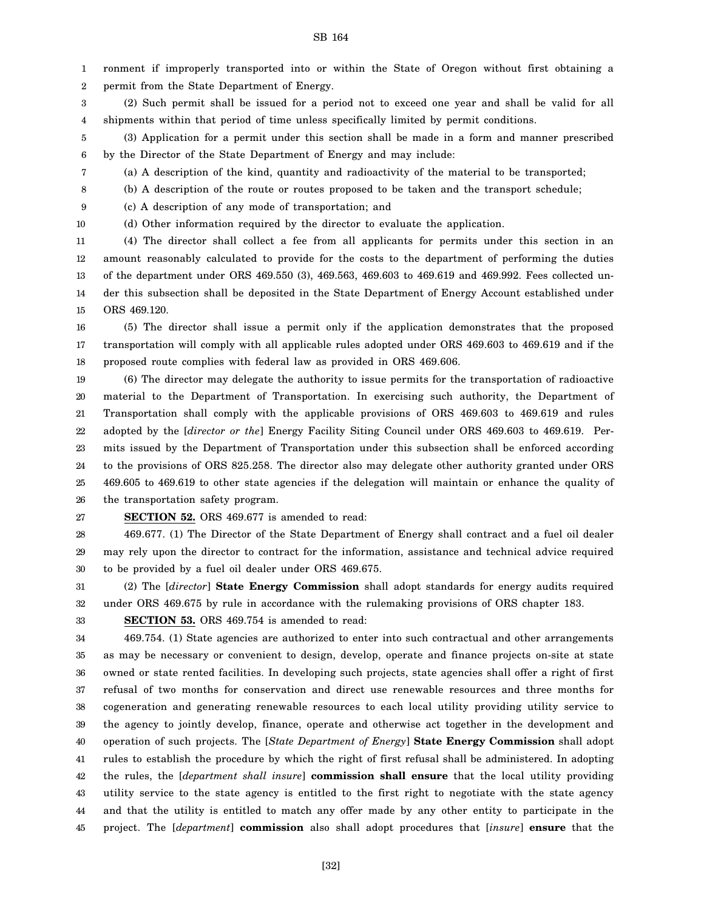1 ronment if improperly transported into or within the State of Oregon without first obtaining a

2 permit from the State Department of Energy.

3 4 (2) Such permit shall be issued for a period not to exceed one year and shall be valid for all shipments within that period of time unless specifically limited by permit conditions.

5 6 (3) Application for a permit under this section shall be made in a form and manner prescribed by the Director of the State Department of Energy and may include:

(a) A description of the kind, quantity and radioactivity of the material to be transported;

(b) A description of the route or routes proposed to be taken and the transport schedule;

9 (c) A description of any mode of transportation; and

10

7 8

(d) Other information required by the director to evaluate the application.

11 12 13 14 15 (4) The director shall collect a fee from all applicants for permits under this section in an amount reasonably calculated to provide for the costs to the department of performing the duties of the department under ORS 469.550 (3), 469.563, 469.603 to 469.619 and 469.992. Fees collected under this subsection shall be deposited in the State Department of Energy Account established under ORS 469.120.

16 17 18 (5) The director shall issue a permit only if the application demonstrates that the proposed transportation will comply with all applicable rules adopted under ORS 469.603 to 469.619 and if the proposed route complies with federal law as provided in ORS 469.606.

19 20 21 22 23 24 25 26 (6) The director may delegate the authority to issue permits for the transportation of radioactive material to the Department of Transportation. In exercising such authority, the Department of Transportation shall comply with the applicable provisions of ORS 469.603 to 469.619 and rules adopted by the [*director or the*] Energy Facility Siting Council under ORS 469.603 to 469.619. Permits issued by the Department of Transportation under this subsection shall be enforced according to the provisions of ORS 825.258. The director also may delegate other authority granted under ORS 469.605 to 469.619 to other state agencies if the delegation will maintain or enhance the quality of the transportation safety program.

27 **SECTION 52.** ORS 469.677 is amended to read:

28 29 30 469.677. (1) The Director of the State Department of Energy shall contract and a fuel oil dealer may rely upon the director to contract for the information, assistance and technical advice required to be provided by a fuel oil dealer under ORS 469.675.

31 32 (2) The [*director*] **State Energy Commission** shall adopt standards for energy audits required under ORS 469.675 by rule in accordance with the rulemaking provisions of ORS chapter 183.

33 **SECTION 53.** ORS 469.754 is amended to read:

34 35 36 37 38 39 40 41 42 43 44 45 469.754. (1) State agencies are authorized to enter into such contractual and other arrangements as may be necessary or convenient to design, develop, operate and finance projects on-site at state owned or state rented facilities. In developing such projects, state agencies shall offer a right of first refusal of two months for conservation and direct use renewable resources and three months for cogeneration and generating renewable resources to each local utility providing utility service to the agency to jointly develop, finance, operate and otherwise act together in the development and operation of such projects. The [*State Department of Energy*] **State Energy Commission** shall adopt rules to establish the procedure by which the right of first refusal shall be administered. In adopting the rules, the [*department shall insure*] **commission shall ensure** that the local utility providing utility service to the state agency is entitled to the first right to negotiate with the state agency and that the utility is entitled to match any offer made by any other entity to participate in the project. The [*department*] **commission** also shall adopt procedures that [*insure*] **ensure** that the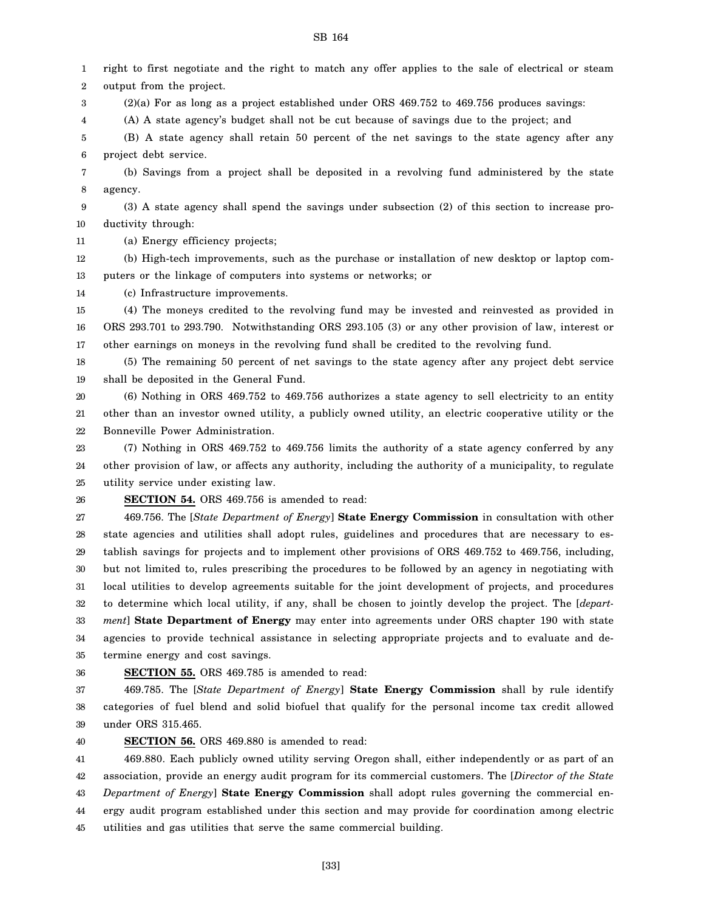1 2 right to first negotiate and the right to match any offer applies to the sale of electrical or steam output from the project.

3  $(2)(a)$  For as long as a project established under ORS 469.752 to 469.756 produces savings:

4 (A) A state agency's budget shall not be cut because of savings due to the project; and

5 6 (B) A state agency shall retain 50 percent of the net savings to the state agency after any project debt service.

7 8 (b) Savings from a project shall be deposited in a revolving fund administered by the state agency.

9 10 (3) A state agency shall spend the savings under subsection (2) of this section to increase productivity through:

11 (a) Energy efficiency projects;

12 13 (b) High-tech improvements, such as the purchase or installation of new desktop or laptop computers or the linkage of computers into systems or networks; or

14 (c) Infrastructure improvements.

15 16 17 (4) The moneys credited to the revolving fund may be invested and reinvested as provided in ORS 293.701 to 293.790. Notwithstanding ORS 293.105 (3) or any other provision of law, interest or other earnings on moneys in the revolving fund shall be credited to the revolving fund.

18 19 (5) The remaining 50 percent of net savings to the state agency after any project debt service shall be deposited in the General Fund.

20 21 22 (6) Nothing in ORS 469.752 to 469.756 authorizes a state agency to sell electricity to an entity other than an investor owned utility, a publicly owned utility, an electric cooperative utility or the Bonneville Power Administration.

23 24 25 (7) Nothing in ORS 469.752 to 469.756 limits the authority of a state agency conferred by any other provision of law, or affects any authority, including the authority of a municipality, to regulate utility service under existing law.

26

#### **SECTION 54.** ORS 469.756 is amended to read:

27 28 29 30 31 32 33 34 35 469.756. The [*State Department of Energy*] **State Energy Commission** in consultation with other state agencies and utilities shall adopt rules, guidelines and procedures that are necessary to establish savings for projects and to implement other provisions of ORS 469.752 to 469.756, including, but not limited to, rules prescribing the procedures to be followed by an agency in negotiating with local utilities to develop agreements suitable for the joint development of projects, and procedures to determine which local utility, if any, shall be chosen to jointly develop the project. The [*department*] **State Department of Energy** may enter into agreements under ORS chapter 190 with state agencies to provide technical assistance in selecting appropriate projects and to evaluate and determine energy and cost savings.

#### 36 **SECTION 55.** ORS 469.785 is amended to read:

37 38 39 469.785. The [*State Department of Energy*] **State Energy Commission** shall by rule identify categories of fuel blend and solid biofuel that qualify for the personal income tax credit allowed under ORS 315.465.

40 **SECTION 56.** ORS 469.880 is amended to read:

41 42 43 44 45 469.880. Each publicly owned utility serving Oregon shall, either independently or as part of an association, provide an energy audit program for its commercial customers. The [*Director of the State Department of Energy*] **State Energy Commission** shall adopt rules governing the commercial energy audit program established under this section and may provide for coordination among electric utilities and gas utilities that serve the same commercial building.

SB 164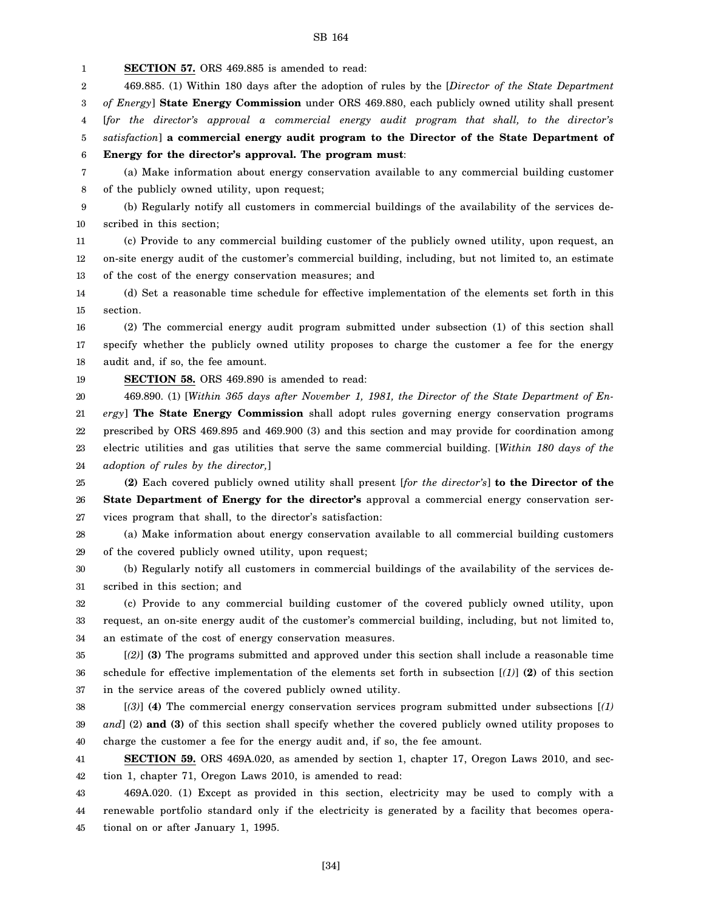1 **SECTION 57.** ORS 469.885 is amended to read:

2 469.885. (1) Within 180 days after the adoption of rules by the [*Director of the State Department*

3 4 *of Energy*] **State Energy Commission** under ORS 469.880, each publicly owned utility shall present [*for the director's approval a commercial energy audit program that shall, to the director's*

5 *satisfaction*] **a commercial energy audit program to the Director of the State Department of**

6 **Energy for the director's approval. The program must**:

7 8 (a) Make information about energy conservation available to any commercial building customer of the publicly owned utility, upon request;

9 10 (b) Regularly notify all customers in commercial buildings of the availability of the services described in this section;

11 12 13 (c) Provide to any commercial building customer of the publicly owned utility, upon request, an on-site energy audit of the customer's commercial building, including, but not limited to, an estimate of the cost of the energy conservation measures; and

14 15 (d) Set a reasonable time schedule for effective implementation of the elements set forth in this section.

16 17 18 (2) The commercial energy audit program submitted under subsection (1) of this section shall specify whether the publicly owned utility proposes to charge the customer a fee for the energy audit and, if so, the fee amount.

19 **SECTION 58.** ORS 469.890 is amended to read:

20 21 22 23 24 469.890. (1) [*Within 365 days after November 1, 1981, the Director of the State Department of Energy*] **The State Energy Commission** shall adopt rules governing energy conservation programs prescribed by ORS 469.895 and 469.900 (3) and this section and may provide for coordination among electric utilities and gas utilities that serve the same commercial building. [*Within 180 days of the adoption of rules by the director,*]

25 26 27 **(2)** Each covered publicly owned utility shall present [*for the director's*] **to the Director of the State Department of Energy for the director's** approval a commercial energy conservation services program that shall, to the director's satisfaction:

28 29 (a) Make information about energy conservation available to all commercial building customers of the covered publicly owned utility, upon request;

30 31 (b) Regularly notify all customers in commercial buildings of the availability of the services described in this section; and

32 33 34 (c) Provide to any commercial building customer of the covered publicly owned utility, upon request, an on-site energy audit of the customer's commercial building, including, but not limited to, an estimate of the cost of energy conservation measures.

35 36 37 [*(2)*] **(3)** The programs submitted and approved under this section shall include a reasonable time schedule for effective implementation of the elements set forth in subsection [*(1)*] **(2)** of this section in the service areas of the covered publicly owned utility.

38 39 40 [*(3)*] **(4)** The commercial energy conservation services program submitted under subsections [*(1) and*] (2) **and (3)** of this section shall specify whether the covered publicly owned utility proposes to charge the customer a fee for the energy audit and, if so, the fee amount.

41 42 **SECTION 59.** ORS 469A.020, as amended by section 1, chapter 17, Oregon Laws 2010, and section 1, chapter 71, Oregon Laws 2010, is amended to read:

43 44 45 469A.020. (1) Except as provided in this section, electricity may be used to comply with a renewable portfolio standard only if the electricity is generated by a facility that becomes operational on or after January 1, 1995.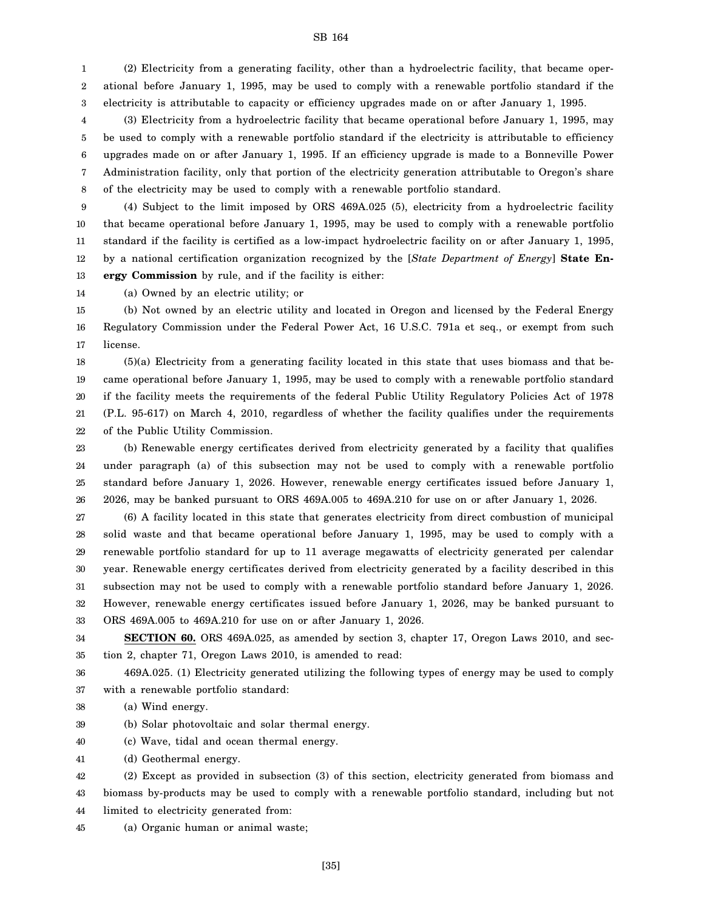1 2 3 (2) Electricity from a generating facility, other than a hydroelectric facility, that became operational before January 1, 1995, may be used to comply with a renewable portfolio standard if the electricity is attributable to capacity or efficiency upgrades made on or after January 1, 1995.

4 5 6 7 8 (3) Electricity from a hydroelectric facility that became operational before January 1, 1995, may be used to comply with a renewable portfolio standard if the electricity is attributable to efficiency upgrades made on or after January 1, 1995. If an efficiency upgrade is made to a Bonneville Power Administration facility, only that portion of the electricity generation attributable to Oregon's share of the electricity may be used to comply with a renewable portfolio standard.

9 10 11 12 13 (4) Subject to the limit imposed by ORS 469A.025 (5), electricity from a hydroelectric facility that became operational before January 1, 1995, may be used to comply with a renewable portfolio standard if the facility is certified as a low-impact hydroelectric facility on or after January 1, 1995, by a national certification organization recognized by the [*State Department of Energy*] **State Energy Commission** by rule, and if the facility is either:

14 (a) Owned by an electric utility; or

15 16 17 (b) Not owned by an electric utility and located in Oregon and licensed by the Federal Energy Regulatory Commission under the Federal Power Act, 16 U.S.C. 791a et seq., or exempt from such license.

18 19 20 21 22 (5)(a) Electricity from a generating facility located in this state that uses biomass and that became operational before January 1, 1995, may be used to comply with a renewable portfolio standard if the facility meets the requirements of the federal Public Utility Regulatory Policies Act of 1978 (P.L. 95-617) on March 4, 2010, regardless of whether the facility qualifies under the requirements of the Public Utility Commission.

23 24 25 26 (b) Renewable energy certificates derived from electricity generated by a facility that qualifies under paragraph (a) of this subsection may not be used to comply with a renewable portfolio standard before January 1, 2026. However, renewable energy certificates issued before January 1, 2026, may be banked pursuant to ORS 469A.005 to 469A.210 for use on or after January 1, 2026.

27 28 29 30 31 32 33 (6) A facility located in this state that generates electricity from direct combustion of municipal solid waste and that became operational before January 1, 1995, may be used to comply with a renewable portfolio standard for up to 11 average megawatts of electricity generated per calendar year. Renewable energy certificates derived from electricity generated by a facility described in this subsection may not be used to comply with a renewable portfolio standard before January 1, 2026. However, renewable energy certificates issued before January 1, 2026, may be banked pursuant to ORS 469A.005 to 469A.210 for use on or after January 1, 2026.

34 35 **SECTION 60.** ORS 469A.025, as amended by section 3, chapter 17, Oregon Laws 2010, and section 2, chapter 71, Oregon Laws 2010, is amended to read:

36 37 469A.025. (1) Electricity generated utilizing the following types of energy may be used to comply with a renewable portfolio standard:

38 (a) Wind energy.

- 39 (b) Solar photovoltaic and solar thermal energy.
- 40 (c) Wave, tidal and ocean thermal energy.
- 41 (d) Geothermal energy.

42 43 44 (2) Except as provided in subsection (3) of this section, electricity generated from biomass and biomass by-products may be used to comply with a renewable portfolio standard, including but not limited to electricity generated from:

45 (a) Organic human or animal waste;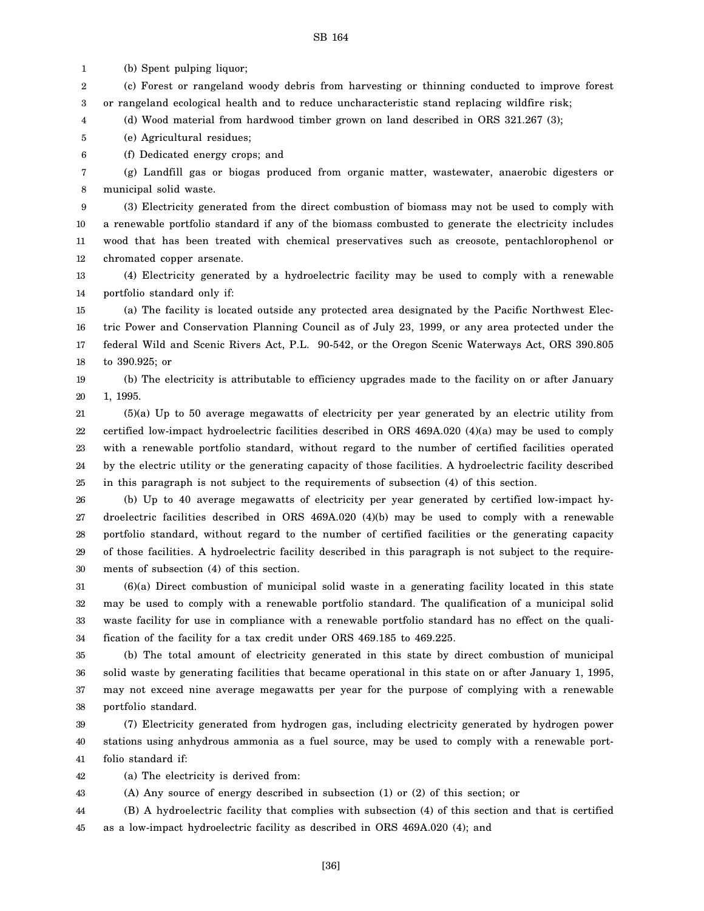1 (b) Spent pulping liquor;

2 3 (c) Forest or rangeland woody debris from harvesting or thinning conducted to improve forest or rangeland ecological health and to reduce uncharacteristic stand replacing wildfire risk;

4 (d) Wood material from hardwood timber grown on land described in ORS 321.267 (3);

5 (e) Agricultural residues;

6 (f) Dedicated energy crops; and

7 8 (g) Landfill gas or biogas produced from organic matter, wastewater, anaerobic digesters or municipal solid waste.

9 10 11 12 (3) Electricity generated from the direct combustion of biomass may not be used to comply with a renewable portfolio standard if any of the biomass combusted to generate the electricity includes wood that has been treated with chemical preservatives such as creosote, pentachlorophenol or chromated copper arsenate.

13 14 (4) Electricity generated by a hydroelectric facility may be used to comply with a renewable portfolio standard only if:

15 16 17 18 (a) The facility is located outside any protected area designated by the Pacific Northwest Electric Power and Conservation Planning Council as of July 23, 1999, or any area protected under the federal Wild and Scenic Rivers Act, P.L. 90-542, or the Oregon Scenic Waterways Act, ORS 390.805 to 390.925; or

19 20 (b) The electricity is attributable to efficiency upgrades made to the facility on or after January 1, 1995.

21 22 23 24 25 (5)(a) Up to 50 average megawatts of electricity per year generated by an electric utility from certified low-impact hydroelectric facilities described in ORS 469A.020 (4)(a) may be used to comply with a renewable portfolio standard, without regard to the number of certified facilities operated by the electric utility or the generating capacity of those facilities. A hydroelectric facility described in this paragraph is not subject to the requirements of subsection (4) of this section.

26 27 28 29 30 (b) Up to 40 average megawatts of electricity per year generated by certified low-impact hydroelectric facilities described in ORS 469A.020 (4)(b) may be used to comply with a renewable portfolio standard, without regard to the number of certified facilities or the generating capacity of those facilities. A hydroelectric facility described in this paragraph is not subject to the requirements of subsection (4) of this section.

31 32 33 34 (6)(a) Direct combustion of municipal solid waste in a generating facility located in this state may be used to comply with a renewable portfolio standard. The qualification of a municipal solid waste facility for use in compliance with a renewable portfolio standard has no effect on the qualification of the facility for a tax credit under ORS 469.185 to 469.225.

35 36 37 38 (b) The total amount of electricity generated in this state by direct combustion of municipal solid waste by generating facilities that became operational in this state on or after January 1, 1995, may not exceed nine average megawatts per year for the purpose of complying with a renewable portfolio standard.

39 40 41 (7) Electricity generated from hydrogen gas, including electricity generated by hydrogen power stations using anhydrous ammonia as a fuel source, may be used to comply with a renewable portfolio standard if:

42 (a) The electricity is derived from:

43 (A) Any source of energy described in subsection (1) or (2) of this section; or

44 45 (B) A hydroelectric facility that complies with subsection (4) of this section and that is certified as a low-impact hydroelectric facility as described in ORS 469A.020 (4); and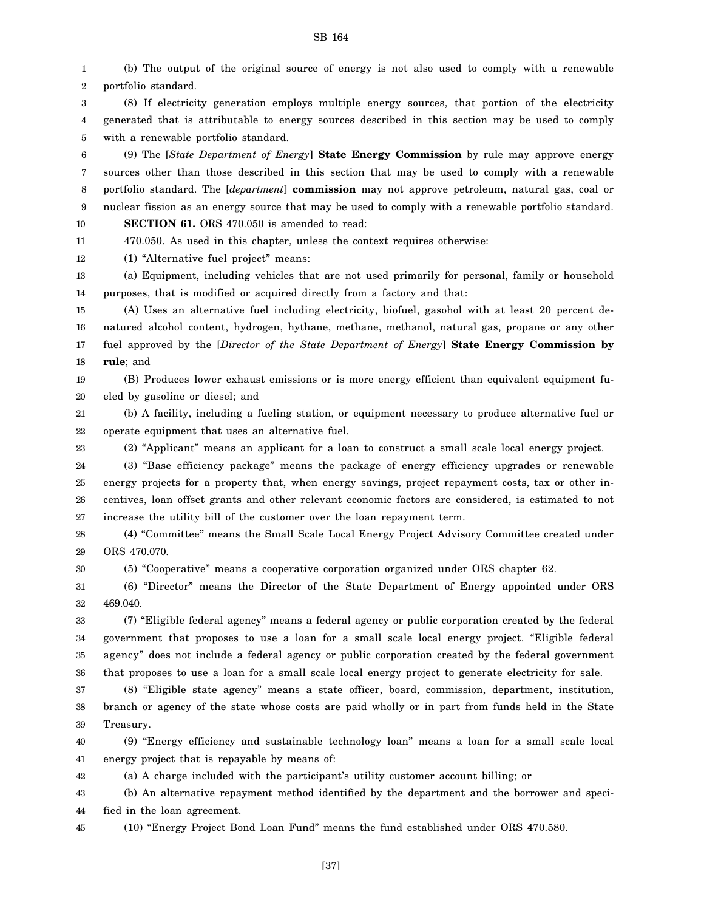1 2 (b) The output of the original source of energy is not also used to comply with a renewable portfolio standard.

3 4 5 (8) If electricity generation employs multiple energy sources, that portion of the electricity generated that is attributable to energy sources described in this section may be used to comply with a renewable portfolio standard.

6 7 8 9 10 (9) The [*State Department of Energy*] **State Energy Commission** by rule may approve energy sources other than those described in this section that may be used to comply with a renewable portfolio standard. The [*department*] **commission** may not approve petroleum, natural gas, coal or nuclear fission as an energy source that may be used to comply with a renewable portfolio standard. **SECTION 61.** ORS 470.050 is amended to read:

11 470.050. As used in this chapter, unless the context requires otherwise:

12 (1) "Alternative fuel project" means:

23

13 14 (a) Equipment, including vehicles that are not used primarily for personal, family or household purposes, that is modified or acquired directly from a factory and that:

15 16 17 18 (A) Uses an alternative fuel including electricity, biofuel, gasohol with at least 20 percent denatured alcohol content, hydrogen, hythane, methane, methanol, natural gas, propane or any other fuel approved by the [*Director of the State Department of Energy*] **State Energy Commission by rule**; and

19 20 (B) Produces lower exhaust emissions or is more energy efficient than equivalent equipment fueled by gasoline or diesel; and

21 22 (b) A facility, including a fueling station, or equipment necessary to produce alternative fuel or operate equipment that uses an alternative fuel.

(2) "Applicant" means an applicant for a loan to construct a small scale local energy project.

24 25 26 27 (3) "Base efficiency package" means the package of energy efficiency upgrades or renewable energy projects for a property that, when energy savings, project repayment costs, tax or other incentives, loan offset grants and other relevant economic factors are considered, is estimated to not increase the utility bill of the customer over the loan repayment term.

28 29 (4) "Committee" means the Small Scale Local Energy Project Advisory Committee created under ORS 470.070.

30 (5) "Cooperative" means a cooperative corporation organized under ORS chapter 62.

31 32 (6) "Director" means the Director of the State Department of Energy appointed under ORS 469.040.

33 34 35 36 (7) "Eligible federal agency" means a federal agency or public corporation created by the federal government that proposes to use a loan for a small scale local energy project. "Eligible federal agency" does not include a federal agency or public corporation created by the federal government that proposes to use a loan for a small scale local energy project to generate electricity for sale.

37 38 39 (8) "Eligible state agency" means a state officer, board, commission, department, institution, branch or agency of the state whose costs are paid wholly or in part from funds held in the State Treasury.

40 41 (9) "Energy efficiency and sustainable technology loan" means a loan for a small scale local energy project that is repayable by means of:

42 (a) A charge included with the participant's utility customer account billing; or

43 44 (b) An alternative repayment method identified by the department and the borrower and specified in the loan agreement.

45 (10) "Energy Project Bond Loan Fund" means the fund established under ORS 470.580.

SB 164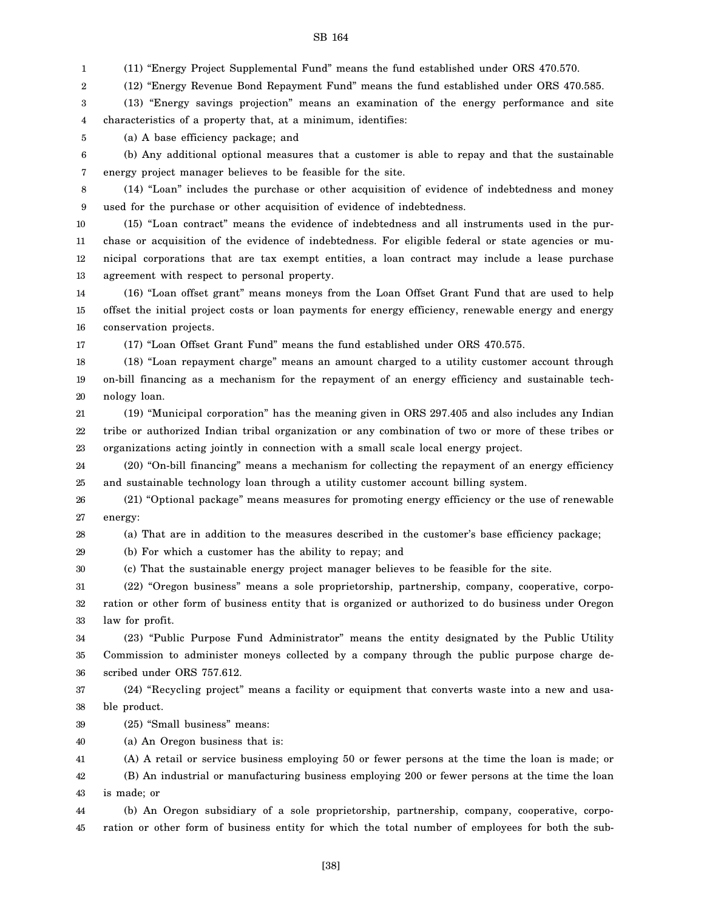1 (11) "Energy Project Supplemental Fund" means the fund established under ORS 470.570.

2 (12) "Energy Revenue Bond Repayment Fund" means the fund established under ORS 470.585.

3 4 (13) "Energy savings projection" means an examination of the energy performance and site characteristics of a property that, at a minimum, identifies:

5 (a) A base efficiency package; and

6 7 (b) Any additional optional measures that a customer is able to repay and that the sustainable energy project manager believes to be feasible for the site.

8 9 (14) "Loan" includes the purchase or other acquisition of evidence of indebtedness and money used for the purchase or other acquisition of evidence of indebtedness.

10 11 12 13 (15) "Loan contract" means the evidence of indebtedness and all instruments used in the purchase or acquisition of the evidence of indebtedness. For eligible federal or state agencies or municipal corporations that are tax exempt entities, a loan contract may include a lease purchase agreement with respect to personal property.

14 15 16 (16) "Loan offset grant" means moneys from the Loan Offset Grant Fund that are used to help offset the initial project costs or loan payments for energy efficiency, renewable energy and energy conservation projects.

17

(17) "Loan Offset Grant Fund" means the fund established under ORS 470.575.

18 19 20 (18) "Loan repayment charge" means an amount charged to a utility customer account through on-bill financing as a mechanism for the repayment of an energy efficiency and sustainable technology loan.

21 22 23 (19) "Municipal corporation" has the meaning given in ORS 297.405 and also includes any Indian tribe or authorized Indian tribal organization or any combination of two or more of these tribes or organizations acting jointly in connection with a small scale local energy project.

24 25 (20) "On-bill financing" means a mechanism for collecting the repayment of an energy efficiency and sustainable technology loan through a utility customer account billing system.

26 27 (21) "Optional package" means measures for promoting energy efficiency or the use of renewable energy:

28

(a) That are in addition to the measures described in the customer's base efficiency package;

29 (b) For which a customer has the ability to repay; and

30 (c) That the sustainable energy project manager believes to be feasible for the site.

31 32 33 (22) "Oregon business" means a sole proprietorship, partnership, company, cooperative, corporation or other form of business entity that is organized or authorized to do business under Oregon law for profit.

34 35 36 (23) "Public Purpose Fund Administrator" means the entity designated by the Public Utility Commission to administer moneys collected by a company through the public purpose charge described under ORS 757.612.

37 38 (24) "Recycling project" means a facility or equipment that converts waste into a new and usable product.

39 (25) "Small business" means:

40 (a) An Oregon business that is:

41 (A) A retail or service business employing 50 or fewer persons at the time the loan is made; or

42 43 (B) An industrial or manufacturing business employing 200 or fewer persons at the time the loan is made; or

44 45 (b) An Oregon subsidiary of a sole proprietorship, partnership, company, cooperative, corporation or other form of business entity for which the total number of employees for both the sub-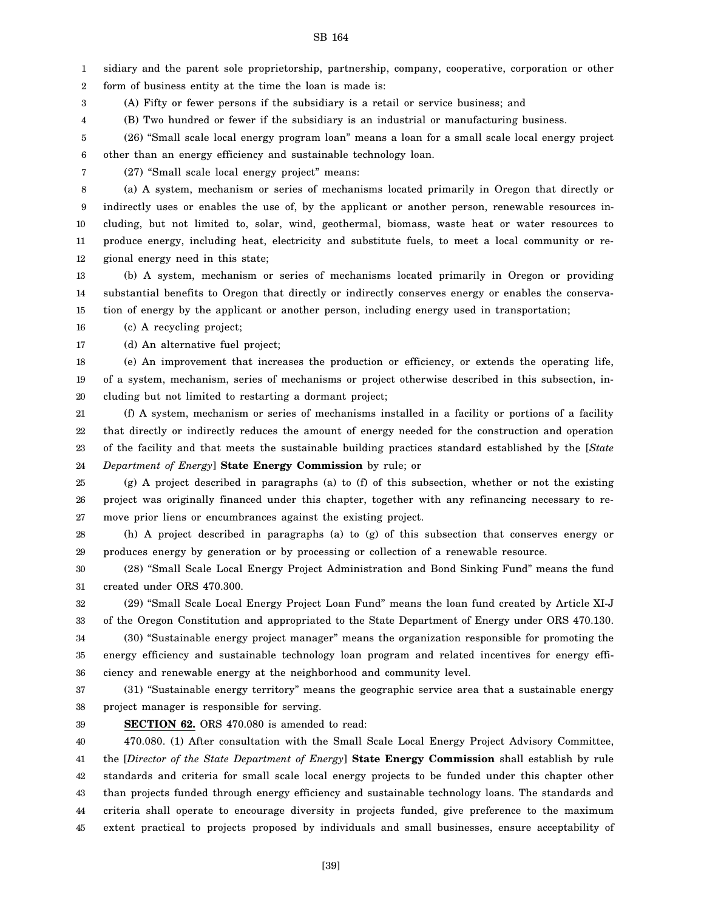1 2 sidiary and the parent sole proprietorship, partnership, company, cooperative, corporation or other form of business entity at the time the loan is made is:

3 (A) Fifty or fewer persons if the subsidiary is a retail or service business; and

4 (B) Two hundred or fewer if the subsidiary is an industrial or manufacturing business.

5 6 (26) "Small scale local energy program loan" means a loan for a small scale local energy project other than an energy efficiency and sustainable technology loan.

7

(27) "Small scale local energy project" means:

8 9 10 11 12 (a) A system, mechanism or series of mechanisms located primarily in Oregon that directly or indirectly uses or enables the use of, by the applicant or another person, renewable resources including, but not limited to, solar, wind, geothermal, biomass, waste heat or water resources to produce energy, including heat, electricity and substitute fuels, to meet a local community or regional energy need in this state;

13 14 15 (b) A system, mechanism or series of mechanisms located primarily in Oregon or providing substantial benefits to Oregon that directly or indirectly conserves energy or enables the conservation of energy by the applicant or another person, including energy used in transportation;

16 (c) A recycling project;

17 (d) An alternative fuel project;

18 19 20 (e) An improvement that increases the production or efficiency, or extends the operating life, of a system, mechanism, series of mechanisms or project otherwise described in this subsection, including but not limited to restarting a dormant project;

21 22 23 24 (f) A system, mechanism or series of mechanisms installed in a facility or portions of a facility that directly or indirectly reduces the amount of energy needed for the construction and operation of the facility and that meets the sustainable building practices standard established by the [*State Department of Energy*] **State Energy Commission** by rule; or

25 26 27 (g) A project described in paragraphs (a) to (f) of this subsection, whether or not the existing project was originally financed under this chapter, together with any refinancing necessary to remove prior liens or encumbrances against the existing project.

28 29 (h) A project described in paragraphs (a) to (g) of this subsection that conserves energy or produces energy by generation or by processing or collection of a renewable resource.

30 31 (28) "Small Scale Local Energy Project Administration and Bond Sinking Fund" means the fund created under ORS 470.300.

32 33 (29) "Small Scale Local Energy Project Loan Fund" means the loan fund created by Article XI-J of the Oregon Constitution and appropriated to the State Department of Energy under ORS 470.130.

34 35 36 (30) "Sustainable energy project manager" means the organization responsible for promoting the energy efficiency and sustainable technology loan program and related incentives for energy efficiency and renewable energy at the neighborhood and community level.

37 38 (31) "Sustainable energy territory" means the geographic service area that a sustainable energy project manager is responsible for serving.

39

**SECTION 62.** ORS 470.080 is amended to read:

40 41 42 43 44 45 470.080. (1) After consultation with the Small Scale Local Energy Project Advisory Committee, the [*Director of the State Department of Energy*] **State Energy Commission** shall establish by rule standards and criteria for small scale local energy projects to be funded under this chapter other than projects funded through energy efficiency and sustainable technology loans. The standards and criteria shall operate to encourage diversity in projects funded, give preference to the maximum extent practical to projects proposed by individuals and small businesses, ensure acceptability of

SB 164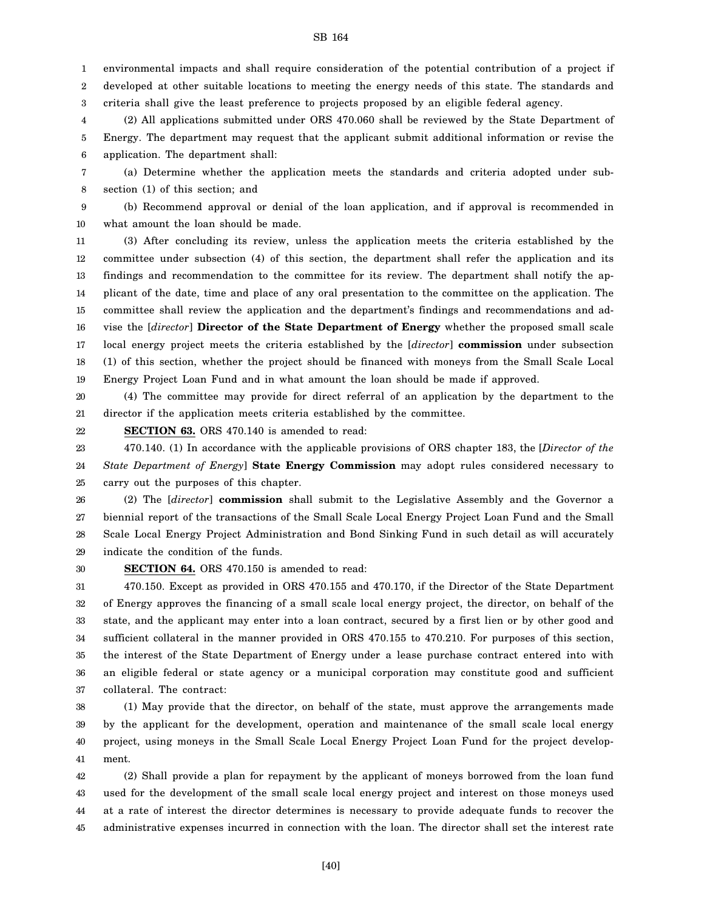1 environmental impacts and shall require consideration of the potential contribution of a project if

2 3 developed at other suitable locations to meeting the energy needs of this state. The standards and criteria shall give the least preference to projects proposed by an eligible federal agency.

4 5 6 (2) All applications submitted under ORS 470.060 shall be reviewed by the State Department of Energy. The department may request that the applicant submit additional information or revise the application. The department shall:

7 8 (a) Determine whether the application meets the standards and criteria adopted under subsection (1) of this section; and

9 10 (b) Recommend approval or denial of the loan application, and if approval is recommended in what amount the loan should be made.

11 12 13 14 15 16 17 18 19 (3) After concluding its review, unless the application meets the criteria established by the committee under subsection (4) of this section, the department shall refer the application and its findings and recommendation to the committee for its review. The department shall notify the applicant of the date, time and place of any oral presentation to the committee on the application. The committee shall review the application and the department's findings and recommendations and advise the [*director*] **Director of the State Department of Energy** whether the proposed small scale local energy project meets the criteria established by the [*director*] **commission** under subsection (1) of this section, whether the project should be financed with moneys from the Small Scale Local Energy Project Loan Fund and in what amount the loan should be made if approved.

20 21 (4) The committee may provide for direct referral of an application by the department to the director if the application meets criteria established by the committee.

22 **SECTION 63.** ORS 470.140 is amended to read:

23 24 25 470.140. (1) In accordance with the applicable provisions of ORS chapter 183, the [*Director of the State Department of Energy*] **State Energy Commission** may adopt rules considered necessary to carry out the purposes of this chapter.

26 27 28 29 (2) The [*director*] **commission** shall submit to the Legislative Assembly and the Governor a biennial report of the transactions of the Small Scale Local Energy Project Loan Fund and the Small Scale Local Energy Project Administration and Bond Sinking Fund in such detail as will accurately indicate the condition of the funds.

30

**SECTION 64.** ORS 470.150 is amended to read:

31 32 33 34 35 36 37 470.150. Except as provided in ORS 470.155 and 470.170, if the Director of the State Department of Energy approves the financing of a small scale local energy project, the director, on behalf of the state, and the applicant may enter into a loan contract, secured by a first lien or by other good and sufficient collateral in the manner provided in ORS 470.155 to 470.210. For purposes of this section, the interest of the State Department of Energy under a lease purchase contract entered into with an eligible federal or state agency or a municipal corporation may constitute good and sufficient collateral. The contract:

38 39 40 41 (1) May provide that the director, on behalf of the state, must approve the arrangements made by the applicant for the development, operation and maintenance of the small scale local energy project, using moneys in the Small Scale Local Energy Project Loan Fund for the project development.

42 43 44 45 (2) Shall provide a plan for repayment by the applicant of moneys borrowed from the loan fund used for the development of the small scale local energy project and interest on those moneys used at a rate of interest the director determines is necessary to provide adequate funds to recover the administrative expenses incurred in connection with the loan. The director shall set the interest rate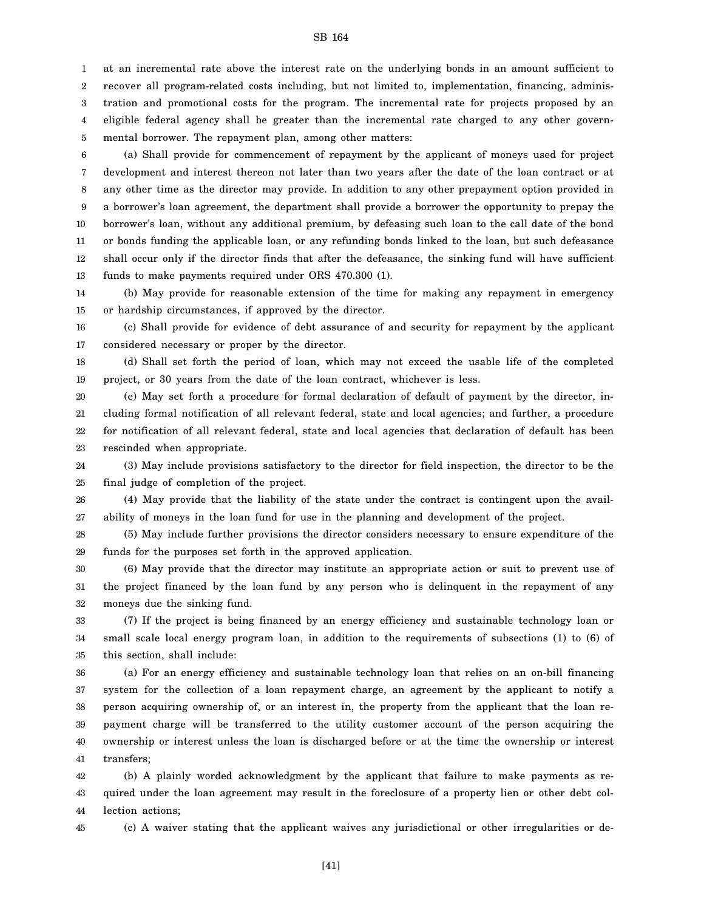1 2 3 4 5 at an incremental rate above the interest rate on the underlying bonds in an amount sufficient to recover all program-related costs including, but not limited to, implementation, financing, administration and promotional costs for the program. The incremental rate for projects proposed by an eligible federal agency shall be greater than the incremental rate charged to any other governmental borrower. The repayment plan, among other matters:

6 7 8 9 10 11 12 13 (a) Shall provide for commencement of repayment by the applicant of moneys used for project development and interest thereon not later than two years after the date of the loan contract or at any other time as the director may provide. In addition to any other prepayment option provided in a borrower's loan agreement, the department shall provide a borrower the opportunity to prepay the borrower's loan, without any additional premium, by defeasing such loan to the call date of the bond or bonds funding the applicable loan, or any refunding bonds linked to the loan, but such defeasance shall occur only if the director finds that after the defeasance, the sinking fund will have sufficient funds to make payments required under ORS 470.300 (1).

14 15 (b) May provide for reasonable extension of the time for making any repayment in emergency or hardship circumstances, if approved by the director.

16 17 (c) Shall provide for evidence of debt assurance of and security for repayment by the applicant considered necessary or proper by the director.

18 19 (d) Shall set forth the period of loan, which may not exceed the usable life of the completed project, or 30 years from the date of the loan contract, whichever is less.

20 21 22 23 (e) May set forth a procedure for formal declaration of default of payment by the director, including formal notification of all relevant federal, state and local agencies; and further, a procedure for notification of all relevant federal, state and local agencies that declaration of default has been rescinded when appropriate.

24 25 (3) May include provisions satisfactory to the director for field inspection, the director to be the final judge of completion of the project.

26 27 (4) May provide that the liability of the state under the contract is contingent upon the availability of moneys in the loan fund for use in the planning and development of the project.

28 29 (5) May include further provisions the director considers necessary to ensure expenditure of the funds for the purposes set forth in the approved application.

30 31 32 (6) May provide that the director may institute an appropriate action or suit to prevent use of the project financed by the loan fund by any person who is delinquent in the repayment of any moneys due the sinking fund.

33 34 35 (7) If the project is being financed by an energy efficiency and sustainable technology loan or small scale local energy program loan, in addition to the requirements of subsections (1) to (6) of this section, shall include:

36 37 38 39 40 41 (a) For an energy efficiency and sustainable technology loan that relies on an on-bill financing system for the collection of a loan repayment charge, an agreement by the applicant to notify a person acquiring ownership of, or an interest in, the property from the applicant that the loan repayment charge will be transferred to the utility customer account of the person acquiring the ownership or interest unless the loan is discharged before or at the time the ownership or interest transfers;

42 43 44 (b) A plainly worded acknowledgment by the applicant that failure to make payments as required under the loan agreement may result in the foreclosure of a property lien or other debt collection actions;

45

(c) A waiver stating that the applicant waives any jurisdictional or other irregularities or de-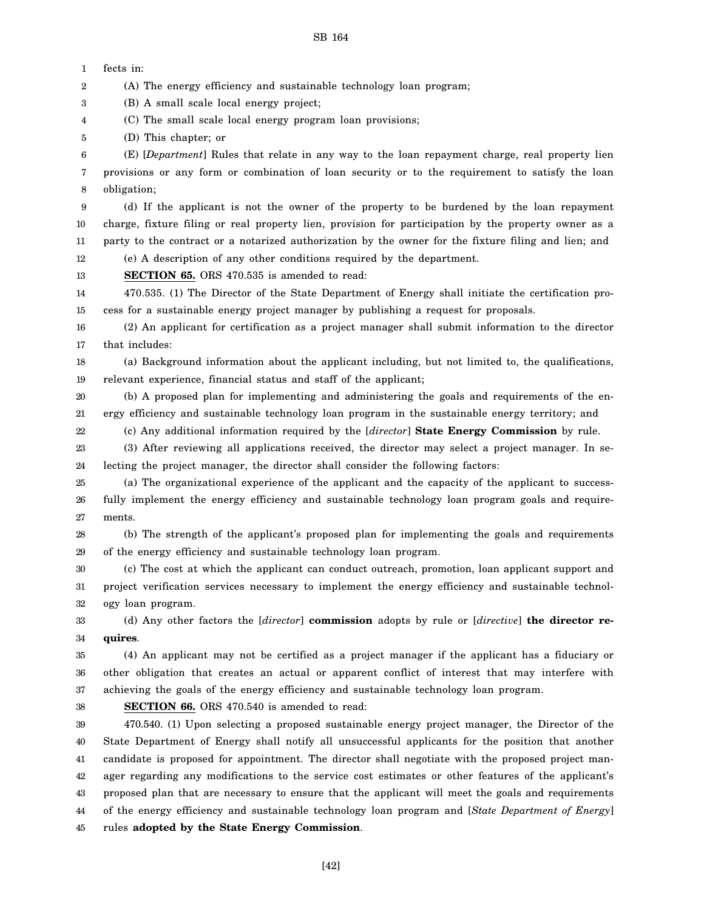(A) The energy efficiency and sustainable technology loan program;

1 2 fects in:

3 4 5 6 7 8 9 10 11 12 13 14 15 16 17 18 19 20 21 22 23 24 25 26 27 28 29 30 31 32 33 34 35 36 37 38 39 40 41 42 43 44 45 (B) A small scale local energy project; (C) The small scale local energy program loan provisions; (D) This chapter; or (E) [*Department*] Rules that relate in any way to the loan repayment charge, real property lien provisions or any form or combination of loan security or to the requirement to satisfy the loan obligation; (d) If the applicant is not the owner of the property to be burdened by the loan repayment charge, fixture filing or real property lien, provision for participation by the property owner as a party to the contract or a notarized authorization by the owner for the fixture filing and lien; and (e) A description of any other conditions required by the department. **SECTION 65.** ORS 470.535 is amended to read: 470.535. (1) The Director of the State Department of Energy shall initiate the certification process for a sustainable energy project manager by publishing a request for proposals. (2) An applicant for certification as a project manager shall submit information to the director that includes: (a) Background information about the applicant including, but not limited to, the qualifications, relevant experience, financial status and staff of the applicant; (b) A proposed plan for implementing and administering the goals and requirements of the energy efficiency and sustainable technology loan program in the sustainable energy territory; and (c) Any additional information required by the [*director*] **State Energy Commission** by rule. (3) After reviewing all applications received, the director may select a project manager. In selecting the project manager, the director shall consider the following factors: (a) The organizational experience of the applicant and the capacity of the applicant to successfully implement the energy efficiency and sustainable technology loan program goals and requirements. (b) The strength of the applicant's proposed plan for implementing the goals and requirements of the energy efficiency and sustainable technology loan program. (c) The cost at which the applicant can conduct outreach, promotion, loan applicant support and project verification services necessary to implement the energy efficiency and sustainable technology loan program. (d) Any other factors the [*director*] **commission** adopts by rule or [*directive*] **the director requires**. (4) An applicant may not be certified as a project manager if the applicant has a fiduciary or other obligation that creates an actual or apparent conflict of interest that may interfere with achieving the goals of the energy efficiency and sustainable technology loan program. **SECTION 66.** ORS 470.540 is amended to read: 470.540. (1) Upon selecting a proposed sustainable energy project manager, the Director of the State Department of Energy shall notify all unsuccessful applicants for the position that another candidate is proposed for appointment. The director shall negotiate with the proposed project manager regarding any modifications to the service cost estimates or other features of the applicant's proposed plan that are necessary to ensure that the applicant will meet the goals and requirements of the energy efficiency and sustainable technology loan program and [*State Department of Energy*] rules **adopted by the State Energy Commission**.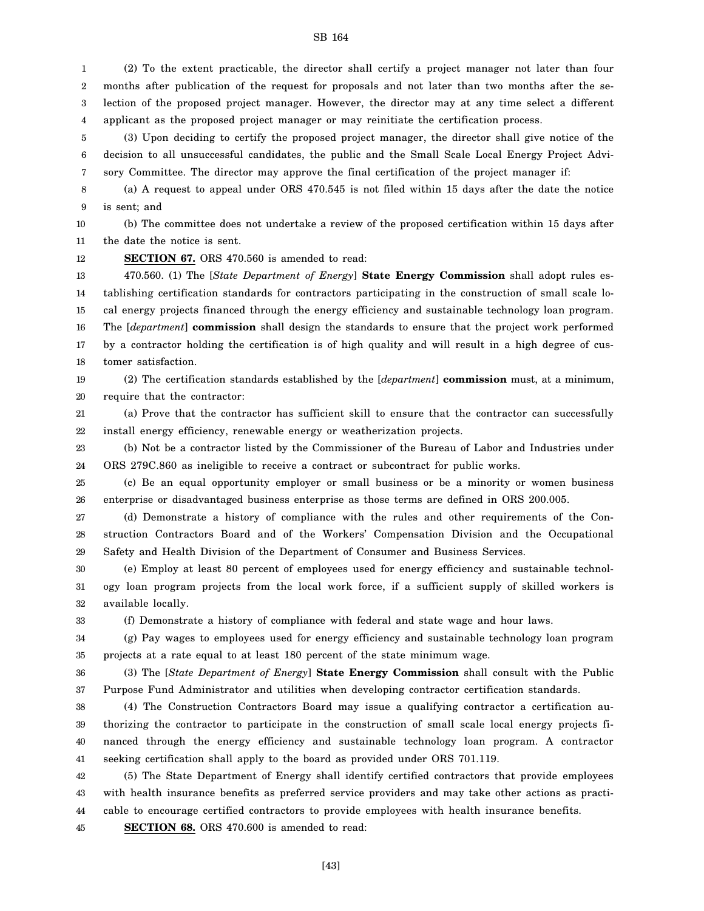1 2 3 4 (2) To the extent practicable, the director shall certify a project manager not later than four months after publication of the request for proposals and not later than two months after the selection of the proposed project manager. However, the director may at any time select a different applicant as the proposed project manager or may reinitiate the certification process.

5 6 7 (3) Upon deciding to certify the proposed project manager, the director shall give notice of the decision to all unsuccessful candidates, the public and the Small Scale Local Energy Project Advisory Committee. The director may approve the final certification of the project manager if:

8 9 (a) A request to appeal under ORS 470.545 is not filed within 15 days after the date the notice is sent; and

10 11 (b) The committee does not undertake a review of the proposed certification within 15 days after the date the notice is sent.

**SECTION 67.** ORS 470.560 is amended to read:

12

33

13 14 15 16 17 18 470.560. (1) The [*State Department of Energy*] **State Energy Commission** shall adopt rules establishing certification standards for contractors participating in the construction of small scale local energy projects financed through the energy efficiency and sustainable technology loan program. The [*department*] **commission** shall design the standards to ensure that the project work performed by a contractor holding the certification is of high quality and will result in a high degree of customer satisfaction.

19 20 (2) The certification standards established by the [*department*] **commission** must, at a minimum, require that the contractor:

21 22 (a) Prove that the contractor has sufficient skill to ensure that the contractor can successfully install energy efficiency, renewable energy or weatherization projects.

23 24 (b) Not be a contractor listed by the Commissioner of the Bureau of Labor and Industries under ORS 279C.860 as ineligible to receive a contract or subcontract for public works.

25 26 (c) Be an equal opportunity employer or small business or be a minority or women business enterprise or disadvantaged business enterprise as those terms are defined in ORS 200.005.

27 28 29 (d) Demonstrate a history of compliance with the rules and other requirements of the Construction Contractors Board and of the Workers' Compensation Division and the Occupational Safety and Health Division of the Department of Consumer and Business Services.

30 31 32 (e) Employ at least 80 percent of employees used for energy efficiency and sustainable technology loan program projects from the local work force, if a sufficient supply of skilled workers is available locally.

(f) Demonstrate a history of compliance with federal and state wage and hour laws.

34 35 (g) Pay wages to employees used for energy efficiency and sustainable technology loan program projects at a rate equal to at least 180 percent of the state minimum wage.

36 37 (3) The [*State Department of Energy*] **State Energy Commission** shall consult with the Public Purpose Fund Administrator and utilities when developing contractor certification standards.

38 39 40 41 (4) The Construction Contractors Board may issue a qualifying contractor a certification authorizing the contractor to participate in the construction of small scale local energy projects financed through the energy efficiency and sustainable technology loan program. A contractor seeking certification shall apply to the board as provided under ORS 701.119.

42 43 44 (5) The State Department of Energy shall identify certified contractors that provide employees with health insurance benefits as preferred service providers and may take other actions as practicable to encourage certified contractors to provide employees with health insurance benefits.

45 **SECTION 68.** ORS 470.600 is amended to read: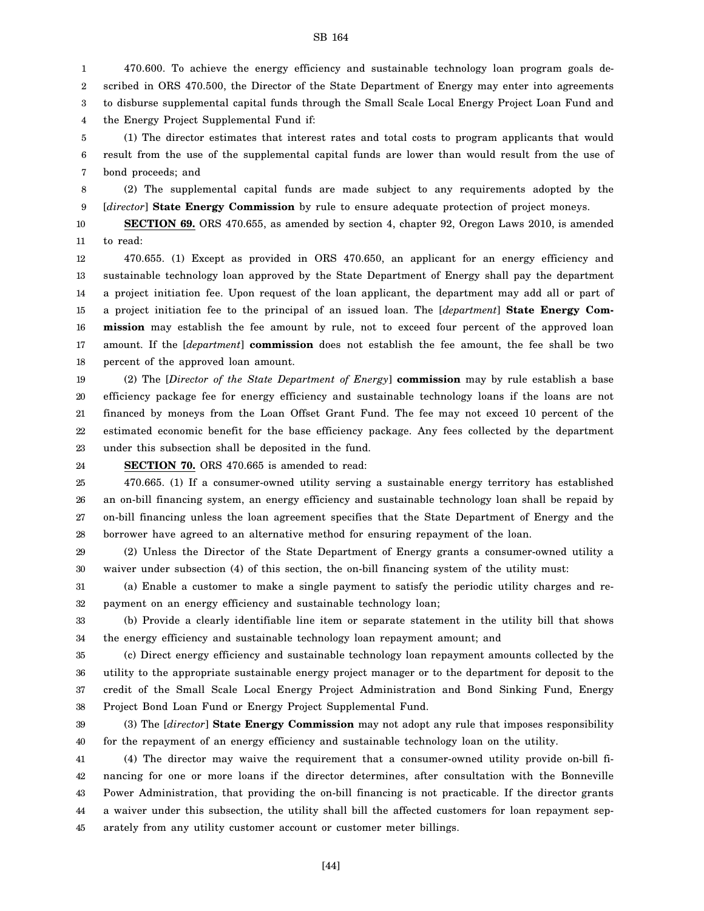1 2 3 4 470.600. To achieve the energy efficiency and sustainable technology loan program goals described in ORS 470.500, the Director of the State Department of Energy may enter into agreements to disburse supplemental capital funds through the Small Scale Local Energy Project Loan Fund and the Energy Project Supplemental Fund if:

5 6 7 (1) The director estimates that interest rates and total costs to program applicants that would result from the use of the supplemental capital funds are lower than would result from the use of bond proceeds; and

8 9 (2) The supplemental capital funds are made subject to any requirements adopted by the [*director*] **State Energy Commission** by rule to ensure adequate protection of project moneys.

10 11 **SECTION 69.** ORS 470.655, as amended by section 4, chapter 92, Oregon Laws 2010, is amended to read:

12 13 14 15 16 17 18 470.655. (1) Except as provided in ORS 470.650, an applicant for an energy efficiency and sustainable technology loan approved by the State Department of Energy shall pay the department a project initiation fee. Upon request of the loan applicant, the department may add all or part of a project initiation fee to the principal of an issued loan. The [*department*] **State Energy Commission** may establish the fee amount by rule, not to exceed four percent of the approved loan amount. If the [*department*] **commission** does not establish the fee amount, the fee shall be two percent of the approved loan amount.

19 20 21 22 23 (2) The [*Director of the State Department of Energy*] **commission** may by rule establish a base efficiency package fee for energy efficiency and sustainable technology loans if the loans are not financed by moneys from the Loan Offset Grant Fund. The fee may not exceed 10 percent of the estimated economic benefit for the base efficiency package. Any fees collected by the department under this subsection shall be deposited in the fund.

24 **SECTION 70.** ORS 470.665 is amended to read:

25 26 27 28 470.665. (1) If a consumer-owned utility serving a sustainable energy territory has established an on-bill financing system, an energy efficiency and sustainable technology loan shall be repaid by on-bill financing unless the loan agreement specifies that the State Department of Energy and the borrower have agreed to an alternative method for ensuring repayment of the loan.

29 30 (2) Unless the Director of the State Department of Energy grants a consumer-owned utility a waiver under subsection (4) of this section, the on-bill financing system of the utility must:

31 32 (a) Enable a customer to make a single payment to satisfy the periodic utility charges and repayment on an energy efficiency and sustainable technology loan;

33 34 (b) Provide a clearly identifiable line item or separate statement in the utility bill that shows the energy efficiency and sustainable technology loan repayment amount; and

35 36 37 38 (c) Direct energy efficiency and sustainable technology loan repayment amounts collected by the utility to the appropriate sustainable energy project manager or to the department for deposit to the credit of the Small Scale Local Energy Project Administration and Bond Sinking Fund, Energy Project Bond Loan Fund or Energy Project Supplemental Fund.

39 40 (3) The [*director*] **State Energy Commission** may not adopt any rule that imposes responsibility for the repayment of an energy efficiency and sustainable technology loan on the utility.

41 42 43 44 45 (4) The director may waive the requirement that a consumer-owned utility provide on-bill financing for one or more loans if the director determines, after consultation with the Bonneville Power Administration, that providing the on-bill financing is not practicable. If the director grants a waiver under this subsection, the utility shall bill the affected customers for loan repayment separately from any utility customer account or customer meter billings.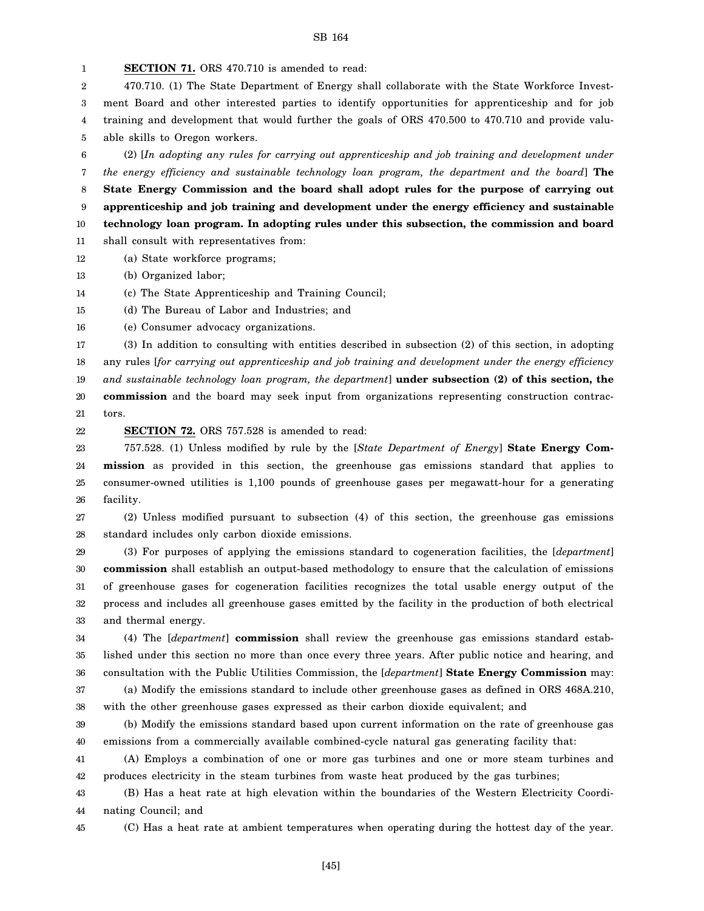1 2 3 4 5 6 7 8 9 10 11 12 13 **SECTION 71.** ORS 470.710 is amended to read: 470.710. (1) The State Department of Energy shall collaborate with the State Workforce Investment Board and other interested parties to identify opportunities for apprenticeship and for job training and development that would further the goals of ORS 470.500 to 470.710 and provide valuable skills to Oregon workers. (2) [*In adopting any rules for carrying out apprenticeship and job training and development under the energy efficiency and sustainable technology loan program, the department and the board*] **The State Energy Commission and the board shall adopt rules for the purpose of carrying out apprenticeship and job training and development under the energy efficiency and sustainable technology loan program. In adopting rules under this subsection, the commission and board** shall consult with representatives from: (a) State workforce programs; (b) Organized labor;

14 (c) The State Apprenticeship and Training Council;

15 (d) The Bureau of Labor and Industries; and

16 (e) Consumer advocacy organizations.

17 18 19 20 (3) In addition to consulting with entities described in subsection (2) of this section, in adopting any rules [*for carrying out apprenticeship and job training and development under the energy efficiency and sustainable technology loan program, the department*] **under subsection (2) of this section, the commission** and the board may seek input from organizations representing construction contrac-

21 tors.

22

**SECTION 72.** ORS 757.528 is amended to read:

23 24 25 26 757.528. (1) Unless modified by rule by the [*State Department of Energy*] **State Energy Commission** as provided in this section, the greenhouse gas emissions standard that applies to consumer-owned utilities is 1,100 pounds of greenhouse gases per megawatt-hour for a generating facility.

27 28 (2) Unless modified pursuant to subsection (4) of this section, the greenhouse gas emissions standard includes only carbon dioxide emissions.

29 30 31 32 33 (3) For purposes of applying the emissions standard to cogeneration facilities, the [*department*] **commission** shall establish an output-based methodology to ensure that the calculation of emissions of greenhouse gases for cogeneration facilities recognizes the total usable energy output of the process and includes all greenhouse gases emitted by the facility in the production of both electrical and thermal energy.

34 35 36 (4) The [*department*] **commission** shall review the greenhouse gas emissions standard established under this section no more than once every three years. After public notice and hearing, and consultation with the Public Utilities Commission, the [*department*] **State Energy Commission** may:

37 38 (a) Modify the emissions standard to include other greenhouse gases as defined in ORS 468A.210, with the other greenhouse gases expressed as their carbon dioxide equivalent; and

39 40 (b) Modify the emissions standard based upon current information on the rate of greenhouse gas emissions from a commercially available combined-cycle natural gas generating facility that:

41 42 (A) Employs a combination of one or more gas turbines and one or more steam turbines and produces electricity in the steam turbines from waste heat produced by the gas turbines;

43 44 (B) Has a heat rate at high elevation within the boundaries of the Western Electricity Coordinating Council; and

45

(C) Has a heat rate at ambient temperatures when operating during the hottest day of the year.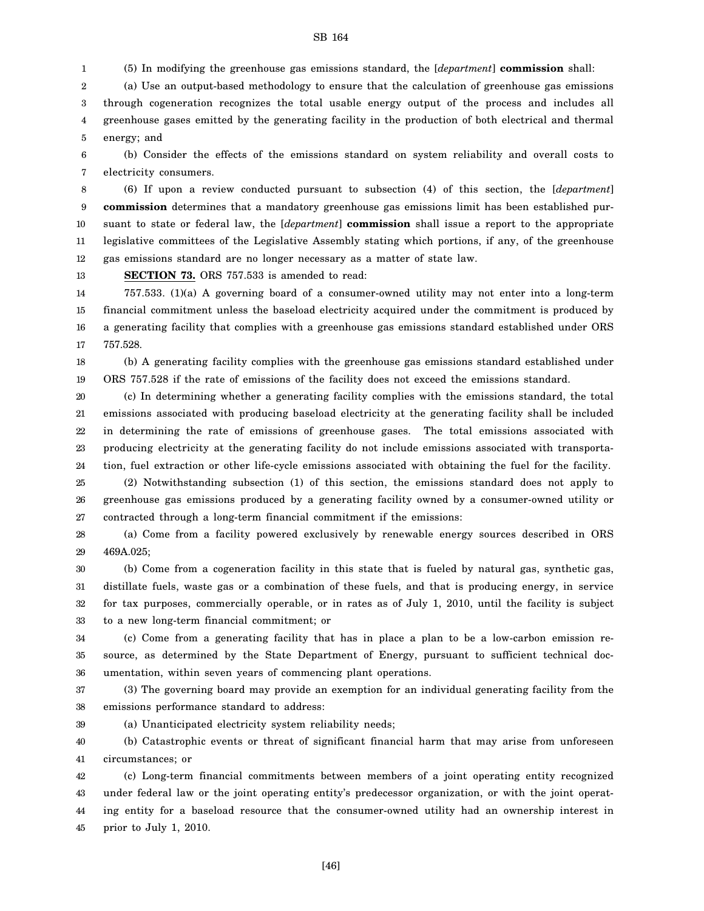(5) In modifying the greenhouse gas emissions standard, the [*department*] **commission** shall:

2 3 4 5 (a) Use an output-based methodology to ensure that the calculation of greenhouse gas emissions through cogeneration recognizes the total usable energy output of the process and includes all greenhouse gases emitted by the generating facility in the production of both electrical and thermal energy; and

6 7 (b) Consider the effects of the emissions standard on system reliability and overall costs to electricity consumers.

8 9 10 11 12 (6) If upon a review conducted pursuant to subsection (4) of this section, the [*department*] **commission** determines that a mandatory greenhouse gas emissions limit has been established pursuant to state or federal law, the [*department*] **commission** shall issue a report to the appropriate legislative committees of the Legislative Assembly stating which portions, if any, of the greenhouse gas emissions standard are no longer necessary as a matter of state law.

13 **SECTION 73.** ORS 757.533 is amended to read:

1

39

14 15 16 17 757.533. (1)(a) A governing board of a consumer-owned utility may not enter into a long-term financial commitment unless the baseload electricity acquired under the commitment is produced by a generating facility that complies with a greenhouse gas emissions standard established under ORS 757.528.

18 19 (b) A generating facility complies with the greenhouse gas emissions standard established under ORS 757.528 if the rate of emissions of the facility does not exceed the emissions standard.

20 21 22 23 24 (c) In determining whether a generating facility complies with the emissions standard, the total emissions associated with producing baseload electricity at the generating facility shall be included in determining the rate of emissions of greenhouse gases. The total emissions associated with producing electricity at the generating facility do not include emissions associated with transportation, fuel extraction or other life-cycle emissions associated with obtaining the fuel for the facility.

25 26 27 (2) Notwithstanding subsection (1) of this section, the emissions standard does not apply to greenhouse gas emissions produced by a generating facility owned by a consumer-owned utility or contracted through a long-term financial commitment if the emissions:

28 29 (a) Come from a facility powered exclusively by renewable energy sources described in ORS 469A.025;

30 31 32 33 (b) Come from a cogeneration facility in this state that is fueled by natural gas, synthetic gas, distillate fuels, waste gas or a combination of these fuels, and that is producing energy, in service for tax purposes, commercially operable, or in rates as of July 1, 2010, until the facility is subject to a new long-term financial commitment; or

34 35 36 (c) Come from a generating facility that has in place a plan to be a low-carbon emission resource, as determined by the State Department of Energy, pursuant to sufficient technical documentation, within seven years of commencing plant operations.

37 38 (3) The governing board may provide an exemption for an individual generating facility from the emissions performance standard to address:

(a) Unanticipated electricity system reliability needs;

40 41 (b) Catastrophic events or threat of significant financial harm that may arise from unforeseen circumstances; or

42 43 44 45 (c) Long-term financial commitments between members of a joint operating entity recognized under federal law or the joint operating entity's predecessor organization, or with the joint operating entity for a baseload resource that the consumer-owned utility had an ownership interest in prior to July 1, 2010.

[46]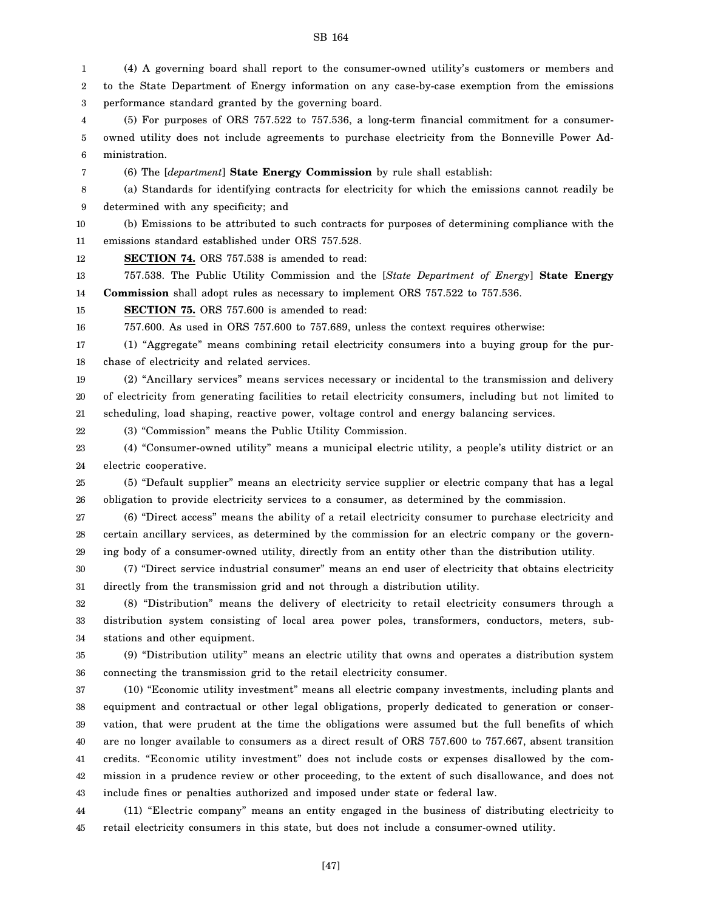1 2 3 4 5 6 7 8 9 10 11 12 13 14 15 16 17 18 19 20 21 22 23 24 25 26 27 28 29 30 31 32 33 34 35 36 37 38 39 40 41 42 43 (4) A governing board shall report to the consumer-owned utility's customers or members and to the State Department of Energy information on any case-by-case exemption from the emissions performance standard granted by the governing board. (5) For purposes of ORS 757.522 to 757.536, a long-term financial commitment for a consumerowned utility does not include agreements to purchase electricity from the Bonneville Power Administration. (6) The [*department*] **State Energy Commission** by rule shall establish: (a) Standards for identifying contracts for electricity for which the emissions cannot readily be determined with any specificity; and (b) Emissions to be attributed to such contracts for purposes of determining compliance with the emissions standard established under ORS 757.528. **SECTION 74.** ORS 757.538 is amended to read: 757.538. The Public Utility Commission and the [*State Department of Energy*] **State Energy Commission** shall adopt rules as necessary to implement ORS 757.522 to 757.536. **SECTION 75.** ORS 757.600 is amended to read: 757.600. As used in ORS 757.600 to 757.689, unless the context requires otherwise: (1) "Aggregate" means combining retail electricity consumers into a buying group for the purchase of electricity and related services. (2) "Ancillary services" means services necessary or incidental to the transmission and delivery of electricity from generating facilities to retail electricity consumers, including but not limited to scheduling, load shaping, reactive power, voltage control and energy balancing services. (3) "Commission" means the Public Utility Commission. (4) "Consumer-owned utility" means a municipal electric utility, a people's utility district or an electric cooperative. (5) "Default supplier" means an electricity service supplier or electric company that has a legal obligation to provide electricity services to a consumer, as determined by the commission. (6) "Direct access" means the ability of a retail electricity consumer to purchase electricity and certain ancillary services, as determined by the commission for an electric company or the governing body of a consumer-owned utility, directly from an entity other than the distribution utility. (7) "Direct service industrial consumer" means an end user of electricity that obtains electricity directly from the transmission grid and not through a distribution utility. (8) "Distribution" means the delivery of electricity to retail electricity consumers through a distribution system consisting of local area power poles, transformers, conductors, meters, substations and other equipment. (9) "Distribution utility" means an electric utility that owns and operates a distribution system connecting the transmission grid to the retail electricity consumer. (10) "Economic utility investment" means all electric company investments, including plants and equipment and contractual or other legal obligations, properly dedicated to generation or conservation, that were prudent at the time the obligations were assumed but the full benefits of which are no longer available to consumers as a direct result of ORS 757.600 to 757.667, absent transition credits. "Economic utility investment" does not include costs or expenses disallowed by the commission in a prudence review or other proceeding, to the extent of such disallowance, and does not include fines or penalties authorized and imposed under state or federal law.

SB 164

44 45 (11) "Electric company" means an entity engaged in the business of distributing electricity to retail electricity consumers in this state, but does not include a consumer-owned utility.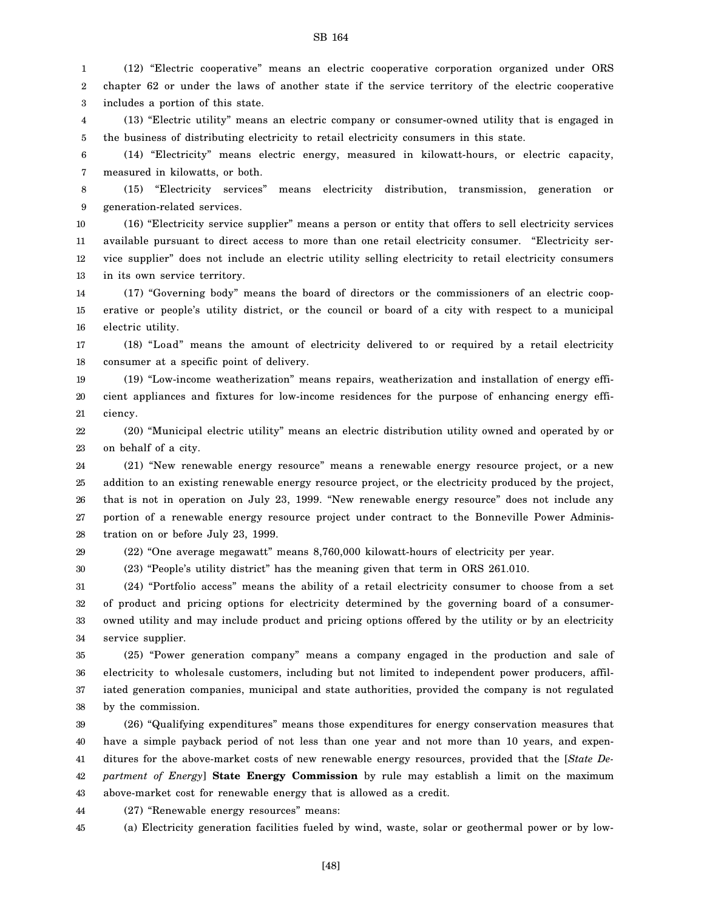1 2 3 (12) "Electric cooperative" means an electric cooperative corporation organized under ORS chapter 62 or under the laws of another state if the service territory of the electric cooperative includes a portion of this state.

4 5 (13) "Electric utility" means an electric company or consumer-owned utility that is engaged in the business of distributing electricity to retail electricity consumers in this state.

6 7 (14) "Electricity" means electric energy, measured in kilowatt-hours, or electric capacity, measured in kilowatts, or both.

8 9 (15) "Electricity services" means electricity distribution, transmission, generation or generation-related services.

10 11 12 13 (16) "Electricity service supplier" means a person or entity that offers to sell electricity services available pursuant to direct access to more than one retail electricity consumer. "Electricity service supplier" does not include an electric utility selling electricity to retail electricity consumers in its own service territory.

14 15 16 (17) "Governing body" means the board of directors or the commissioners of an electric cooperative or people's utility district, or the council or board of a city with respect to a municipal electric utility.

17 18 (18) "Load" means the amount of electricity delivered to or required by a retail electricity consumer at a specific point of delivery.

19 20 21 (19) "Low-income weatherization" means repairs, weatherization and installation of energy efficient appliances and fixtures for low-income residences for the purpose of enhancing energy efficiency.

22 23 (20) "Municipal electric utility" means an electric distribution utility owned and operated by or on behalf of a city.

24 25 26 27 28 (21) "New renewable energy resource" means a renewable energy resource project, or a new addition to an existing renewable energy resource project, or the electricity produced by the project, that is not in operation on July 23, 1999. "New renewable energy resource" does not include any portion of a renewable energy resource project under contract to the Bonneville Power Administration on or before July 23, 1999.

29

30 (22) "One average megawatt" means 8,760,000 kilowatt-hours of electricity per year. (23) "People's utility district" has the meaning given that term in ORS 261.010.

31 32 (24) "Portfolio access" means the ability of a retail electricity consumer to choose from a set of product and pricing options for electricity determined by the governing board of a consumer-

33 34 owned utility and may include product and pricing options offered by the utility or by an electricity service supplier.

35 36 37 38 (25) "Power generation company" means a company engaged in the production and sale of electricity to wholesale customers, including but not limited to independent power producers, affiliated generation companies, municipal and state authorities, provided the company is not regulated by the commission.

39 40 41 42 43 (26) "Qualifying expenditures" means those expenditures for energy conservation measures that have a simple payback period of not less than one year and not more than 10 years, and expenditures for the above-market costs of new renewable energy resources, provided that the [*State Department of Energy*] **State Energy Commission** by rule may establish a limit on the maximum above-market cost for renewable energy that is allowed as a credit.

44 (27) "Renewable energy resources" means:

45 (a) Electricity generation facilities fueled by wind, waste, solar or geothermal power or by low-

SB 164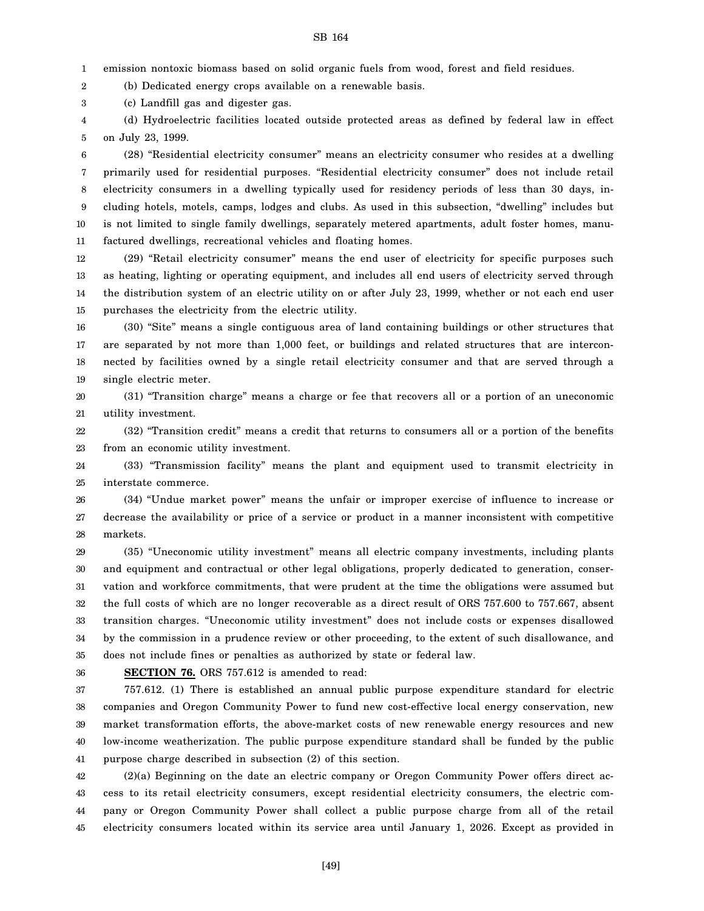1 emission nontoxic biomass based on solid organic fuels from wood, forest and field residues.

2 (b) Dedicated energy crops available on a renewable basis.

3 (c) Landfill gas and digester gas.

4 5 (d) Hydroelectric facilities located outside protected areas as defined by federal law in effect on July 23, 1999.

6 7 8 9 10 11 (28) "Residential electricity consumer" means an electricity consumer who resides at a dwelling primarily used for residential purposes. "Residential electricity consumer" does not include retail electricity consumers in a dwelling typically used for residency periods of less than 30 days, including hotels, motels, camps, lodges and clubs. As used in this subsection, "dwelling" includes but is not limited to single family dwellings, separately metered apartments, adult foster homes, manufactured dwellings, recreational vehicles and floating homes.

12 13 14 15 (29) "Retail electricity consumer" means the end user of electricity for specific purposes such as heating, lighting or operating equipment, and includes all end users of electricity served through the distribution system of an electric utility on or after July 23, 1999, whether or not each end user purchases the electricity from the electric utility.

16 17 18 19 (30) "Site" means a single contiguous area of land containing buildings or other structures that are separated by not more than 1,000 feet, or buildings and related structures that are interconnected by facilities owned by a single retail electricity consumer and that are served through a single electric meter.

20 21 (31) "Transition charge" means a charge or fee that recovers all or a portion of an uneconomic utility investment.

22 23 (32) "Transition credit" means a credit that returns to consumers all or a portion of the benefits from an economic utility investment.

24 25 (33) "Transmission facility" means the plant and equipment used to transmit electricity in interstate commerce.

26 27 28 (34) "Undue market power" means the unfair or improper exercise of influence to increase or decrease the availability or price of a service or product in a manner inconsistent with competitive markets.

29 30 31 32 33 34 35 (35) "Uneconomic utility investment" means all electric company investments, including plants and equipment and contractual or other legal obligations, properly dedicated to generation, conservation and workforce commitments, that were prudent at the time the obligations were assumed but the full costs of which are no longer recoverable as a direct result of ORS 757.600 to 757.667, absent transition charges. "Uneconomic utility investment" does not include costs or expenses disallowed by the commission in a prudence review or other proceeding, to the extent of such disallowance, and does not include fines or penalties as authorized by state or federal law.

36

**SECTION 76.** ORS 757.612 is amended to read:

37 38 39 40 41 757.612. (1) There is established an annual public purpose expenditure standard for electric companies and Oregon Community Power to fund new cost-effective local energy conservation, new market transformation efforts, the above-market costs of new renewable energy resources and new low-income weatherization. The public purpose expenditure standard shall be funded by the public purpose charge described in subsection (2) of this section.

42 43 44 45 (2)(a) Beginning on the date an electric company or Oregon Community Power offers direct access to its retail electricity consumers, except residential electricity consumers, the electric company or Oregon Community Power shall collect a public purpose charge from all of the retail electricity consumers located within its service area until January 1, 2026. Except as provided in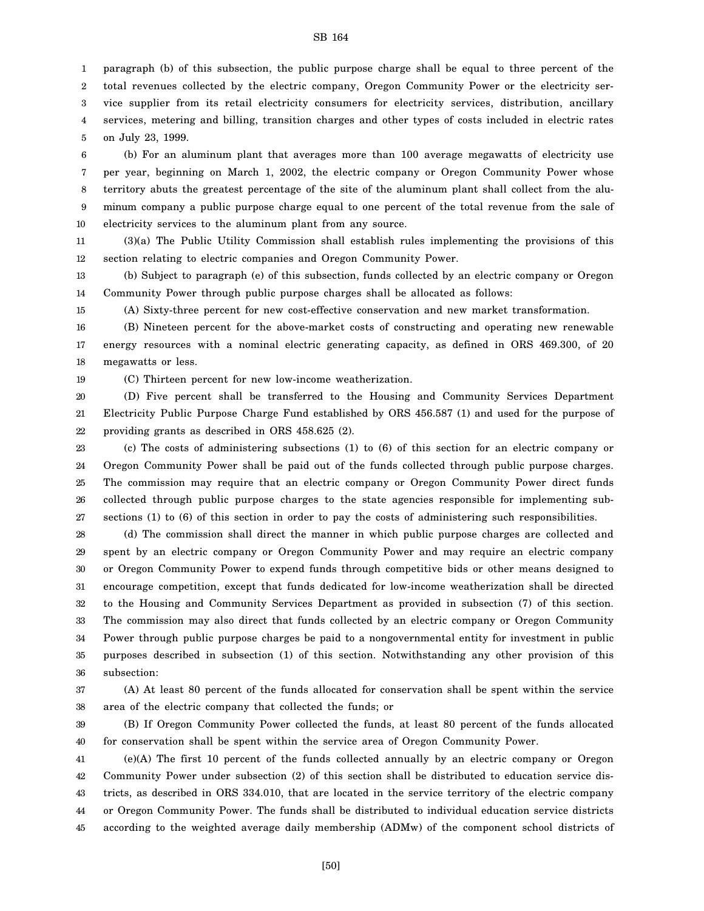1 2 3 4 5 paragraph (b) of this subsection, the public purpose charge shall be equal to three percent of the total revenues collected by the electric company, Oregon Community Power or the electricity service supplier from its retail electricity consumers for electricity services, distribution, ancillary services, metering and billing, transition charges and other types of costs included in electric rates on July 23, 1999.

6 7 8 9 10 (b) For an aluminum plant that averages more than 100 average megawatts of electricity use per year, beginning on March 1, 2002, the electric company or Oregon Community Power whose territory abuts the greatest percentage of the site of the aluminum plant shall collect from the aluminum company a public purpose charge equal to one percent of the total revenue from the sale of electricity services to the aluminum plant from any source.

11 12 (3)(a) The Public Utility Commission shall establish rules implementing the provisions of this section relating to electric companies and Oregon Community Power.

13 14 (b) Subject to paragraph (e) of this subsection, funds collected by an electric company or Oregon Community Power through public purpose charges shall be allocated as follows:

15 (A) Sixty-three percent for new cost-effective conservation and new market transformation.

16 17 18 (B) Nineteen percent for the above-market costs of constructing and operating new renewable energy resources with a nominal electric generating capacity, as defined in ORS 469.300, of 20 megawatts or less.

19 (C) Thirteen percent for new low-income weatherization.

20 21 22 (D) Five percent shall be transferred to the Housing and Community Services Department Electricity Public Purpose Charge Fund established by ORS 456.587 (1) and used for the purpose of providing grants as described in ORS 458.625 (2).

23 24 25 26 27 (c) The costs of administering subsections (1) to (6) of this section for an electric company or Oregon Community Power shall be paid out of the funds collected through public purpose charges. The commission may require that an electric company or Oregon Community Power direct funds collected through public purpose charges to the state agencies responsible for implementing subsections (1) to (6) of this section in order to pay the costs of administering such responsibilities.

28 29 30 31 32 33 34 35 36 (d) The commission shall direct the manner in which public purpose charges are collected and spent by an electric company or Oregon Community Power and may require an electric company or Oregon Community Power to expend funds through competitive bids or other means designed to encourage competition, except that funds dedicated for low-income weatherization shall be directed to the Housing and Community Services Department as provided in subsection (7) of this section. The commission may also direct that funds collected by an electric company or Oregon Community Power through public purpose charges be paid to a nongovernmental entity for investment in public purposes described in subsection (1) of this section. Notwithstanding any other provision of this subsection:

37 38 (A) At least 80 percent of the funds allocated for conservation shall be spent within the service area of the electric company that collected the funds; or

39 40 (B) If Oregon Community Power collected the funds, at least 80 percent of the funds allocated for conservation shall be spent within the service area of Oregon Community Power.

41 42 43 44 45 (e)(A) The first 10 percent of the funds collected annually by an electric company or Oregon Community Power under subsection (2) of this section shall be distributed to education service districts, as described in ORS 334.010, that are located in the service territory of the electric company or Oregon Community Power. The funds shall be distributed to individual education service districts according to the weighted average daily membership (ADMw) of the component school districts of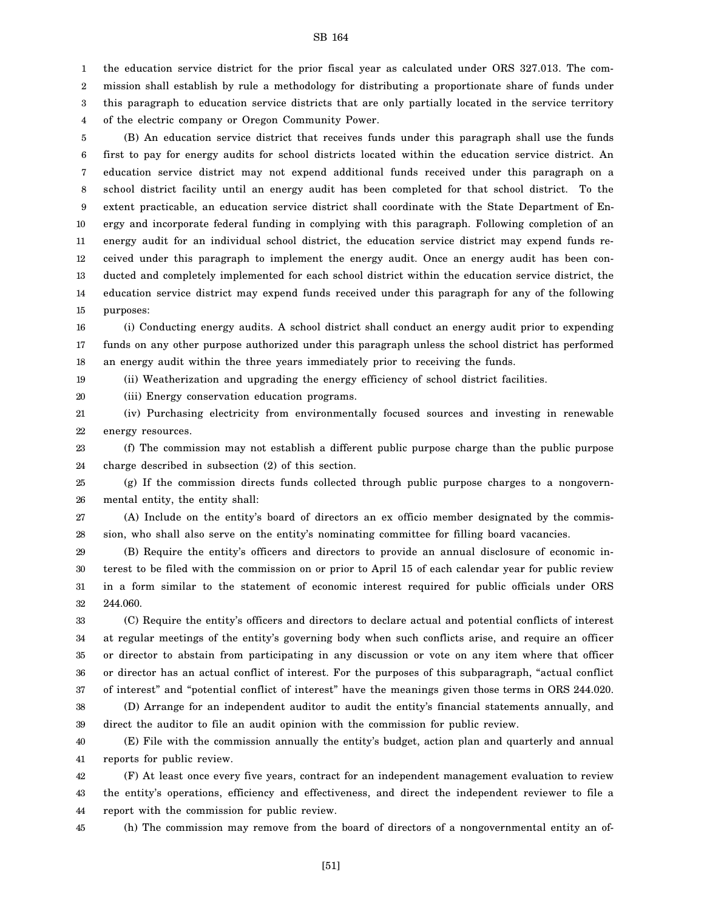1 2 3 4 the education service district for the prior fiscal year as calculated under ORS 327.013. The commission shall establish by rule a methodology for distributing a proportionate share of funds under this paragraph to education service districts that are only partially located in the service territory of the electric company or Oregon Community Power.

5 6 7 8 9 10 11 12 13 14 15 (B) An education service district that receives funds under this paragraph shall use the funds first to pay for energy audits for school districts located within the education service district. An education service district may not expend additional funds received under this paragraph on a school district facility until an energy audit has been completed for that school district. To the extent practicable, an education service district shall coordinate with the State Department of Energy and incorporate federal funding in complying with this paragraph. Following completion of an energy audit for an individual school district, the education service district may expend funds received under this paragraph to implement the energy audit. Once an energy audit has been conducted and completely implemented for each school district within the education service district, the education service district may expend funds received under this paragraph for any of the following purposes:

16 17 18 (i) Conducting energy audits. A school district shall conduct an energy audit prior to expending funds on any other purpose authorized under this paragraph unless the school district has performed an energy audit within the three years immediately prior to receiving the funds.

19 (ii) Weatherization and upgrading the energy efficiency of school district facilities.

20 (iii) Energy conservation education programs.

21 22 (iv) Purchasing electricity from environmentally focused sources and investing in renewable energy resources.

23 24 (f) The commission may not establish a different public purpose charge than the public purpose charge described in subsection (2) of this section.

25 26 (g) If the commission directs funds collected through public purpose charges to a nongovernmental entity, the entity shall:

27 28 (A) Include on the entity's board of directors an ex officio member designated by the commission, who shall also serve on the entity's nominating committee for filling board vacancies.

29 30 31 32 (B) Require the entity's officers and directors to provide an annual disclosure of economic interest to be filed with the commission on or prior to April 15 of each calendar year for public review in a form similar to the statement of economic interest required for public officials under ORS 244.060.

33 34 35 36 37 38 (C) Require the entity's officers and directors to declare actual and potential conflicts of interest at regular meetings of the entity's governing body when such conflicts arise, and require an officer or director to abstain from participating in any discussion or vote on any item where that officer or director has an actual conflict of interest. For the purposes of this subparagraph, "actual conflict of interest" and "potential conflict of interest" have the meanings given those terms in ORS 244.020. (D) Arrange for an independent auditor to audit the entity's financial statements annually, and

39 direct the auditor to file an audit opinion with the commission for public review.

40 41 (E) File with the commission annually the entity's budget, action plan and quarterly and annual reports for public review.

42 43 44 (F) At least once every five years, contract for an independent management evaluation to review the entity's operations, efficiency and effectiveness, and direct the independent reviewer to file a report with the commission for public review.

45

(h) The commission may remove from the board of directors of a nongovernmental entity an of-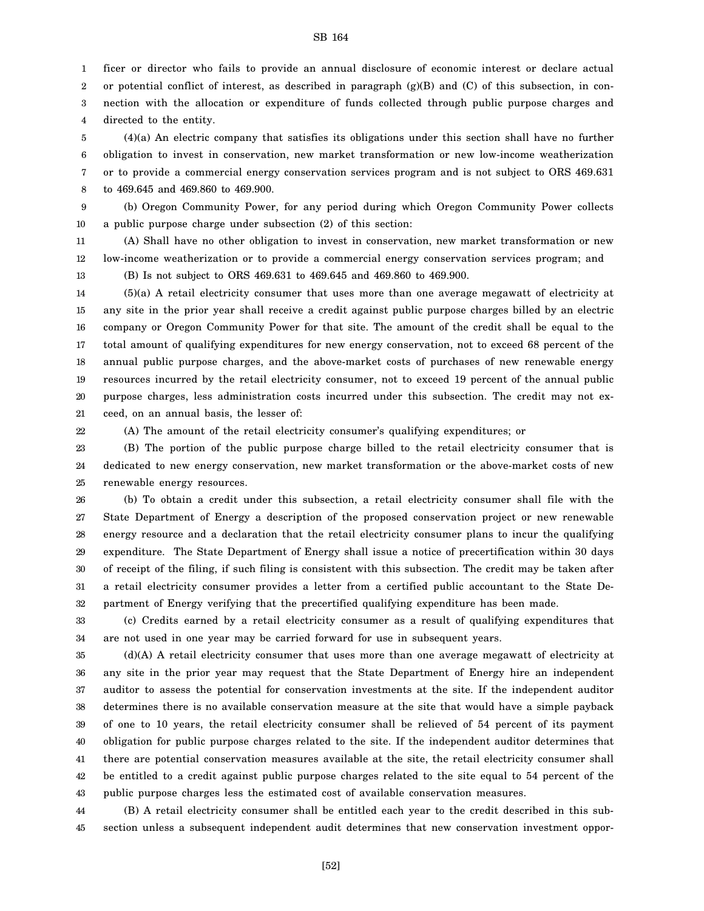1 2 3 4 ficer or director who fails to provide an annual disclosure of economic interest or declare actual or potential conflict of interest, as described in paragraph  $(g)(B)$  and  $(C)$  of this subsection, in connection with the allocation or expenditure of funds collected through public purpose charges and directed to the entity.

5 6 7 8 (4)(a) An electric company that satisfies its obligations under this section shall have no further obligation to invest in conservation, new market transformation or new low-income weatherization or to provide a commercial energy conservation services program and is not subject to ORS 469.631 to 469.645 and 469.860 to 469.900.

9 10 (b) Oregon Community Power, for any period during which Oregon Community Power collects a public purpose charge under subsection (2) of this section:

11 12 (A) Shall have no other obligation to invest in conservation, new market transformation or new low-income weatherization or to provide a commercial energy conservation services program; and

(B) Is not subject to ORS 469.631 to 469.645 and 469.860 to 469.900.

14 15 16 17 18 19 20 21 (5)(a) A retail electricity consumer that uses more than one average megawatt of electricity at any site in the prior year shall receive a credit against public purpose charges billed by an electric company or Oregon Community Power for that site. The amount of the credit shall be equal to the total amount of qualifying expenditures for new energy conservation, not to exceed 68 percent of the annual public purpose charges, and the above-market costs of purchases of new renewable energy resources incurred by the retail electricity consumer, not to exceed 19 percent of the annual public purpose charges, less administration costs incurred under this subsection. The credit may not exceed, on an annual basis, the lesser of:

22

13

(A) The amount of the retail electricity consumer's qualifying expenditures; or

23 24 25 (B) The portion of the public purpose charge billed to the retail electricity consumer that is dedicated to new energy conservation, new market transformation or the above-market costs of new renewable energy resources.

26 27 28 29 30 31 32 (b) To obtain a credit under this subsection, a retail electricity consumer shall file with the State Department of Energy a description of the proposed conservation project or new renewable energy resource and a declaration that the retail electricity consumer plans to incur the qualifying expenditure. The State Department of Energy shall issue a notice of precertification within 30 days of receipt of the filing, if such filing is consistent with this subsection. The credit may be taken after a retail electricity consumer provides a letter from a certified public accountant to the State Department of Energy verifying that the precertified qualifying expenditure has been made.

33 34 (c) Credits earned by a retail electricity consumer as a result of qualifying expenditures that are not used in one year may be carried forward for use in subsequent years.

35 36 37 38 39 40 41 42 43 (d)(A) A retail electricity consumer that uses more than one average megawatt of electricity at any site in the prior year may request that the State Department of Energy hire an independent auditor to assess the potential for conservation investments at the site. If the independent auditor determines there is no available conservation measure at the site that would have a simple payback of one to 10 years, the retail electricity consumer shall be relieved of 54 percent of its payment obligation for public purpose charges related to the site. If the independent auditor determines that there are potential conservation measures available at the site, the retail electricity consumer shall be entitled to a credit against public purpose charges related to the site equal to 54 percent of the public purpose charges less the estimated cost of available conservation measures.

44 45 (B) A retail electricity consumer shall be entitled each year to the credit described in this subsection unless a subsequent independent audit determines that new conservation investment oppor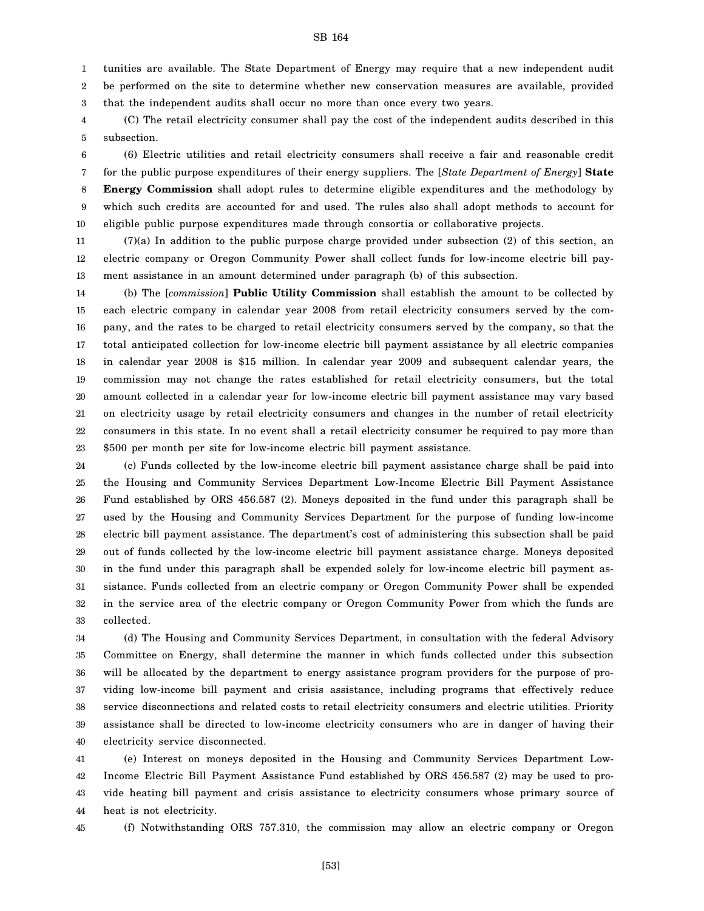tunities are available. The State Department of Energy may require that a new independent audit

2 3 be performed on the site to determine whether new conservation measures are available, provided that the independent audits shall occur no more than once every two years.

4 5 (C) The retail electricity consumer shall pay the cost of the independent audits described in this subsection.

6 7 8 9 10 (6) Electric utilities and retail electricity consumers shall receive a fair and reasonable credit for the public purpose expenditures of their energy suppliers. The [*State Department of Energy*] **State Energy Commission** shall adopt rules to determine eligible expenditures and the methodology by which such credits are accounted for and used. The rules also shall adopt methods to account for eligible public purpose expenditures made through consortia or collaborative projects.

11 12 13 (7)(a) In addition to the public purpose charge provided under subsection (2) of this section, an electric company or Oregon Community Power shall collect funds for low-income electric bill payment assistance in an amount determined under paragraph (b) of this subsection.

14 15 16 17 18 19 20 21 22 23 (b) The [*commission*] **Public Utility Commission** shall establish the amount to be collected by each electric company in calendar year 2008 from retail electricity consumers served by the company, and the rates to be charged to retail electricity consumers served by the company, so that the total anticipated collection for low-income electric bill payment assistance by all electric companies in calendar year 2008 is \$15 million. In calendar year 2009 and subsequent calendar years, the commission may not change the rates established for retail electricity consumers, but the total amount collected in a calendar year for low-income electric bill payment assistance may vary based on electricity usage by retail electricity consumers and changes in the number of retail electricity consumers in this state. In no event shall a retail electricity consumer be required to pay more than \$500 per month per site for low-income electric bill payment assistance.

24 25 26 27 28 29 30 31 32 33 (c) Funds collected by the low-income electric bill payment assistance charge shall be paid into the Housing and Community Services Department Low-Income Electric Bill Payment Assistance Fund established by ORS 456.587 (2). Moneys deposited in the fund under this paragraph shall be used by the Housing and Community Services Department for the purpose of funding low-income electric bill payment assistance. The department's cost of administering this subsection shall be paid out of funds collected by the low-income electric bill payment assistance charge. Moneys deposited in the fund under this paragraph shall be expended solely for low-income electric bill payment assistance. Funds collected from an electric company or Oregon Community Power shall be expended in the service area of the electric company or Oregon Community Power from which the funds are collected.

34 35 36 37 38 39 40 (d) The Housing and Community Services Department, in consultation with the federal Advisory Committee on Energy, shall determine the manner in which funds collected under this subsection will be allocated by the department to energy assistance program providers for the purpose of providing low-income bill payment and crisis assistance, including programs that effectively reduce service disconnections and related costs to retail electricity consumers and electric utilities. Priority assistance shall be directed to low-income electricity consumers who are in danger of having their electricity service disconnected.

41 42 43 44 (e) Interest on moneys deposited in the Housing and Community Services Department Low-Income Electric Bill Payment Assistance Fund established by ORS 456.587 (2) may be used to provide heating bill payment and crisis assistance to electricity consumers whose primary source of heat is not electricity.

45 (f) Notwithstanding ORS 757.310, the commission may allow an electric company or Oregon

1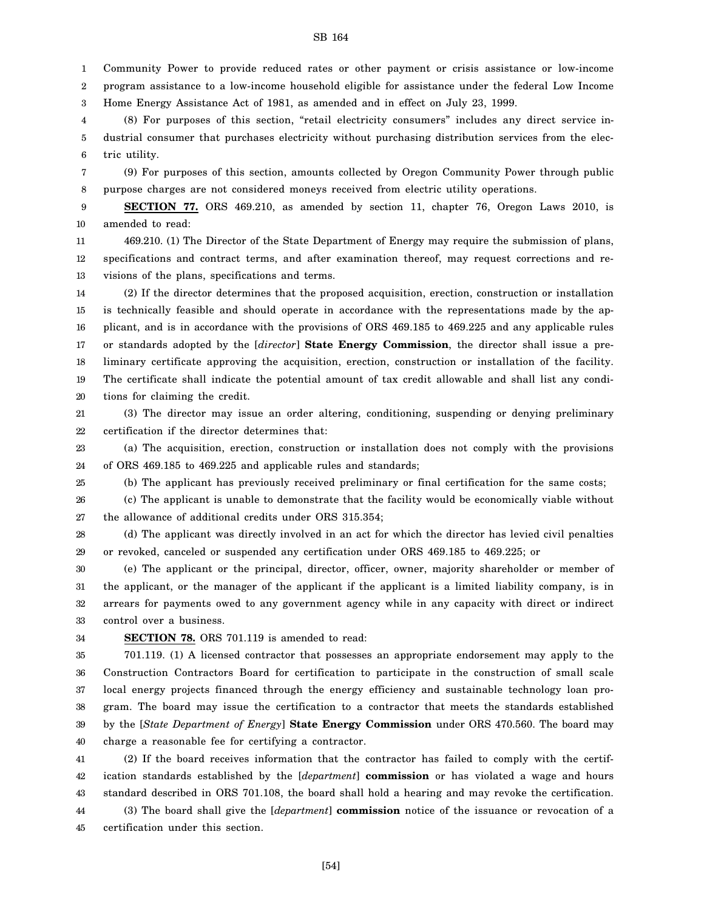1 2 Community Power to provide reduced rates or other payment or crisis assistance or low-income program assistance to a low-income household eligible for assistance under the federal Low Income

3 Home Energy Assistance Act of 1981, as amended and in effect on July 23, 1999.

4 5 6 (8) For purposes of this section, "retail electricity consumers" includes any direct service industrial consumer that purchases electricity without purchasing distribution services from the electric utility.

7 8 (9) For purposes of this section, amounts collected by Oregon Community Power through public purpose charges are not considered moneys received from electric utility operations.

9 10 **SECTION 77.** ORS 469.210, as amended by section 11, chapter 76, Oregon Laws 2010, is amended to read:

11 12 13 469.210. (1) The Director of the State Department of Energy may require the submission of plans, specifications and contract terms, and after examination thereof, may request corrections and revisions of the plans, specifications and terms.

14 15 16 17 18 19 20 (2) If the director determines that the proposed acquisition, erection, construction or installation is technically feasible and should operate in accordance with the representations made by the applicant, and is in accordance with the provisions of ORS 469.185 to 469.225 and any applicable rules or standards adopted by the [*director*] **State Energy Commission**, the director shall issue a preliminary certificate approving the acquisition, erection, construction or installation of the facility. The certificate shall indicate the potential amount of tax credit allowable and shall list any conditions for claiming the credit.

21 22 (3) The director may issue an order altering, conditioning, suspending or denying preliminary certification if the director determines that:

23 24 (a) The acquisition, erection, construction or installation does not comply with the provisions of ORS 469.185 to 469.225 and applicable rules and standards;

25 (b) The applicant has previously received preliminary or final certification for the same costs;

26 27 (c) The applicant is unable to demonstrate that the facility would be economically viable without the allowance of additional credits under ORS 315.354;

28 29 (d) The applicant was directly involved in an act for which the director has levied civil penalties or revoked, canceled or suspended any certification under ORS 469.185 to 469.225; or

30 31 32 33 (e) The applicant or the principal, director, officer, owner, majority shareholder or member of the applicant, or the manager of the applicant if the applicant is a limited liability company, is in arrears for payments owed to any government agency while in any capacity with direct or indirect control over a business.

34

**SECTION 78.** ORS 701.119 is amended to read:

35 36 37 38 39 40 701.119. (1) A licensed contractor that possesses an appropriate endorsement may apply to the Construction Contractors Board for certification to participate in the construction of small scale local energy projects financed through the energy efficiency and sustainable technology loan program. The board may issue the certification to a contractor that meets the standards established by the [*State Department of Energy*] **State Energy Commission** under ORS 470.560. The board may charge a reasonable fee for certifying a contractor.

41 42 43 (2) If the board receives information that the contractor has failed to comply with the certification standards established by the [*department*] **commission** or has violated a wage and hours standard described in ORS 701.108, the board shall hold a hearing and may revoke the certification.

44 45 (3) The board shall give the [*department*] **commission** notice of the issuance or revocation of a certification under this section.